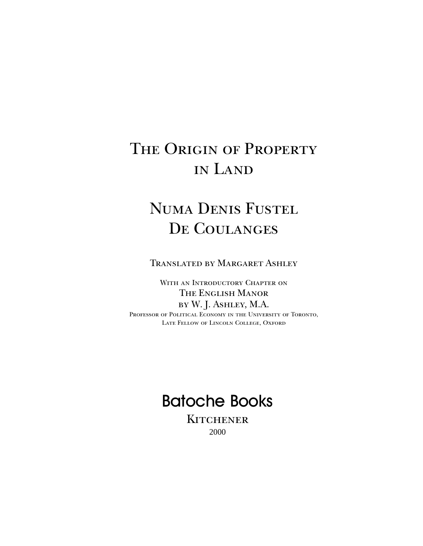# THE ORIGIN OF PROPERTY in Land

# Numa Denis Fustel DE COULANGES

Translated by Margaret Ashley

WITH AN INTRODUCTORY CHAPTER ON The English Manor by W. J. Ashley, M.A. Professor of Political Economy in the University of Toronto, Late Fellow of Lincoln College, Oxford

# Batoche Books

**KITCHENER** 2000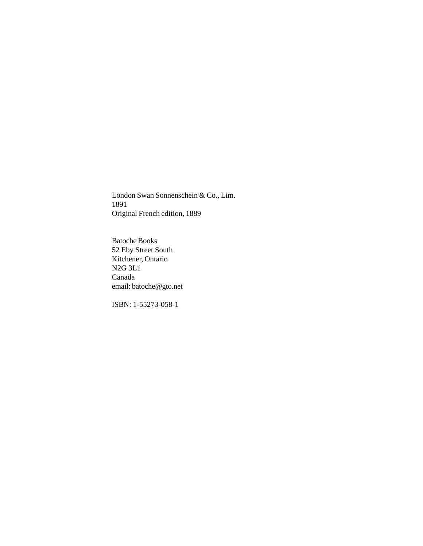London Swan Sonnenschein & Co., Lim. 1891 Original French edition, 1889

Batoche Books 52 Eby Street South Kitchener, Ontario N2G 3L1 Canada email: batoche@gto.net

ISBN: 1-55273-058-1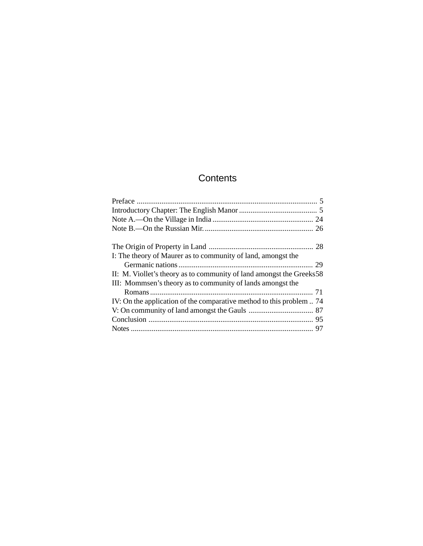## **Contents**

| I: The theory of Maurer as to community of land, amongst the<br>II: M. Viollet's theory as to community of land amongst the Greeks 58<br>III: Mommsen's theory as to community of lands amongst the<br>IV: On the application of the comparative method to this problem  74 |  |
|-----------------------------------------------------------------------------------------------------------------------------------------------------------------------------------------------------------------------------------------------------------------------------|--|
|                                                                                                                                                                                                                                                                             |  |
|                                                                                                                                                                                                                                                                             |  |
|                                                                                                                                                                                                                                                                             |  |
|                                                                                                                                                                                                                                                                             |  |
|                                                                                                                                                                                                                                                                             |  |
|                                                                                                                                                                                                                                                                             |  |
|                                                                                                                                                                                                                                                                             |  |
|                                                                                                                                                                                                                                                                             |  |
|                                                                                                                                                                                                                                                                             |  |
|                                                                                                                                                                                                                                                                             |  |
|                                                                                                                                                                                                                                                                             |  |
|                                                                                                                                                                                                                                                                             |  |
|                                                                                                                                                                                                                                                                             |  |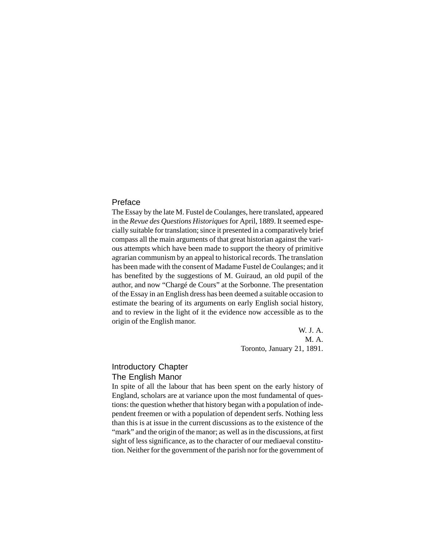#### Preface

The Essay by the late M. Fustel de Coulanges, here translated, appeared in the *Revue des Questions Historiques* for April, 1889. It seemed especially suitable for translation; since it presented in a comparatively brief compass all the main arguments of that great historian against the various attempts which have been made to support the theory of primitive agrarian communism by an appeal to historical records. The translation has been made with the consent of Madame Fustel de Coulanges; and it has benefited by the suggestions of M. Guiraud, an old pupil of the author, and now "Chargé de Cours" at the Sorbonne. The presentation of the Essay in an English dress has been deemed a suitable occasion to estimate the bearing of its arguments on early English social history, and to review in the light of it the evidence now accessible as to the origin of the English manor.

> W. J. A. M. A. Toronto, January 21, 1891.

### Introductory Chapter The English Manor

In spite of all the labour that has been spent on the early history of England, scholars are at variance upon the most fundamental of questions: the question whether that history began with a population of independent freemen or with a population of dependent serfs. Nothing less than this is at issue in the current discussions as to the existence of the "mark" and the origin of the manor; as well as in the discussions, at first sight of less significance, as to the character of our mediaeval constitution. Neither for the government of the parish nor for the government of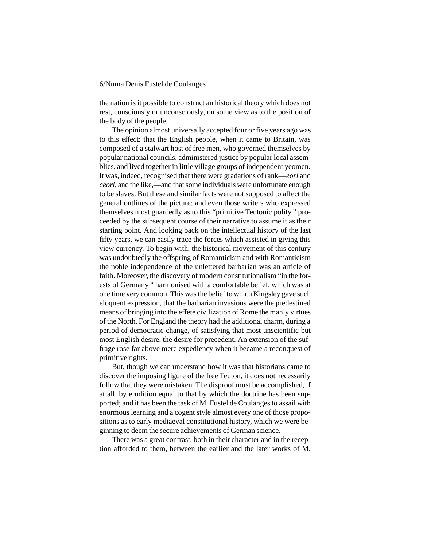the nation is it possible to construct an historical theory which does not rest, consciously or unconsciously, on some view as to the position of the body of the people.

The opinion almost universally accepted four or five years ago was to this effect: that the English people, when it came to Britain, was composed of a stalwart host of free men, who governed themselves by popular national councils, administered justice by popular local assemblies, and lived together in little village groups of independent yeomen. It was, indeed, recognised that there were gradations of rank—*eorl* and *ceorl*, and the like,—and that some individuals were unfortunate enough to be slaves. But these and similar facts were not supposed to affect the general outlines of the picture; and even those writers who expressed themselves most guardedly as to this "primitive Teutonic polity," proceeded by the subsequent course of their narrative to assume it as their starting point. And looking back on the intellectual history of the last fifty years, we can easily trace the forces which assisted in giving this view currency. To begin with, the historical movement of this century was undoubtedly the offspring of Romanticism and with Romanticism the noble independence of the unlettered barbarian was an article of faith. Moreover, the discovery of modern constitutionalism "in the forests of Germany " harmonised with a comfortable belief, which was at one time very common. This was the belief to which Kingsley gave such eloquent expression, that the barbarian invasions were the predestined means of bringing into the effete civilization of Rome the manly virtues of the North. For England the theory had the additional charm, during a period of democratic change, of satisfying that most unscientific but most English desire, the desire for precedent. An extension of the suffrage rose far above mere expediency when it became a reconquest of primitive rights.

But, though we can understand how it was that historians came to discover the imposing figure of the free Teuton, it does not necessarily follow that they were mistaken. The disproof must be accomplished, if at all, by erudition equal to that by which the doctrine has been supported; and it has been the task of M. Fustel de Coulanges to assail with enormous learning and a cogent style almost every one of those propositions as to early mediaeval constitutional history, which we were beginning to deem the secure achievements of German science.

There was a great contrast, both in their character and in the reception afforded to them, between the earlier and the later works of M.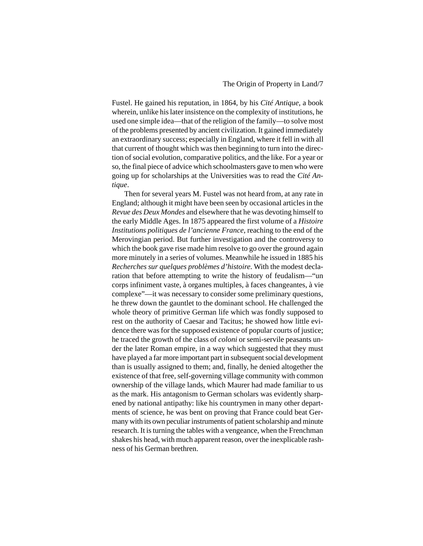Fustel. He gained his reputation, in 1864, by his *Cité Antique*, a book wherein, unlike his later insistence on the complexity of institutions, he used one simple idea—that of the religion of the family—to solve most of the problems presented by ancient civilization. It gained immediately an extraordinary success; especially in England, where it fell in with all that current of thought which was then beginning to turn into the direction of social evolution, comparative politics, and the like. For a year or so, the final piece of advice which schoolmasters gave to men who were going up for scholarships at the Universities was to read the *Cité Antique*.

Then for several years M. Fustel was not heard from, at any rate in England; although it might have been seen by occasional articles in the *Revue des Deux Mondes* and elsewhere that he was devoting himself to the early Middle Ages. In 1875 appeared the first volume of a *Histoire Institutions politiques de l'ancienne France*, reaching to the end of the Merovingian period. But further investigation and the controversy to which the book gave rise made him resolve to go over the ground again more minutely in a series of volumes. Meanwhile he issued in 1885 his *Recherches sur quelques problèmes d'histoire*. With the modest declaration that before attempting to write the history of feudalism—"un corps infiniment vaste, à organes multiples, à faces changeantes, à vie complexe"—it was necessary to consider some preliminary questions, he threw down the gauntlet to the dominant school. He challenged the whole theory of primitive German life which was fondly supposed to rest on the authority of Caesar and Tacitus; he showed how little evidence there was for the supposed existence of popular courts of justice; he traced the growth of the class of *coloni* or semi-servile peasants under the later Roman empire, in a way which suggested that they must have played a far more important part in subsequent social development than is usually assigned to them; and, finally, he denied altogether the existence of that free, self-governing village community with common ownership of the village lands, which Maurer had made familiar to us as the mark. His antagonism to German scholars was evidently sharpened by national antipathy: like his countrymen in many other departments of science, he was bent on proving that France could beat Germany with its own peculiar instruments of patient scholarship and minute research. It is turning the tables with a vengeance, when the Frenchman shakes his head, with much apparent reason, over the inexplicable rashness of his German brethren.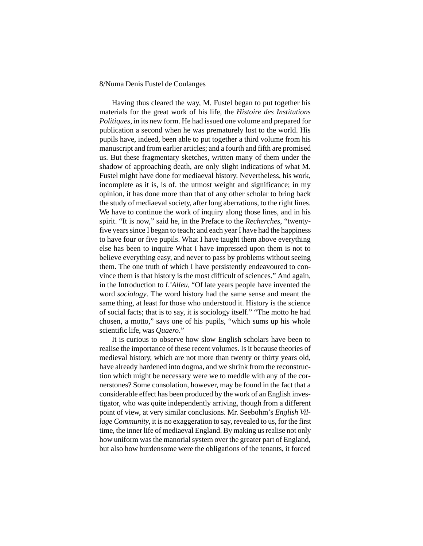Having thus cleared the way, M. Fustel began to put together his materials for the great work of his life, the *Histoire des Institutions Politiques*, in its new form. He had issued one volume and prepared for publication a second when he was prematurely lost to the world. His pupils have, indeed, been able to put together a third volume from his manuscript and from earlier articles; and a fourth and fifth are promised us. But these fragmentary sketches, written many of them under the shadow of approaching death, are only slight indications of what M. Fustel might have done for mediaeval history. Nevertheless, his work, incomplete as it is, is of. the utmost weight and significance; in my opinion, it has done more than that of any other scholar to bring back the study of mediaeval society, after long aberrations, to the right lines. We have to continue the work of inquiry along those lines, and in his spirit. "It is now," said he, in the Preface to the *Recherches*, "twentyfive years since I began to teach; and each year I have had the happiness to have four or five pupils. What I have taught them above everything else has been to inquire What I have impressed upon them is not to believe everything easy, and never to pass by problems without seeing them. The one truth of which I have persistently endeavoured to convince them is that history is the most difficult of sciences." And again, in the Introduction to *L'Alleu*, "Of late years people have invented the word *sociology*. The word history had the same sense and meant the same thing, at least for those who understood it. History is the science of social facts; that is to say, it is sociology itself." "The motto he had chosen, a motto," says one of his pupils, "which sums up his whole scientific life, was *Quaero*."

It is curious to observe how slow English scholars have been to realise the importance of these recent volumes. Is it because theories of medieval history, which are not more than twenty or thirty years old, have already hardened into dogma, and we shrink from the reconstruction which might be necessary were we to meddle with any of the cornerstones? Some consolation, however, may be found in the fact that a considerable effect has been produced by the work of an English investigator, who was quite independently arriving, though from a different point of view, at very similar conclusions. Mr. Seebohm's *English Village Community*, it is no exaggeration to say, revealed to us, for the first time, the inner life of mediaeval England. By making us realise not only how uniform was the manorial system over the greater part of England, but also how burdensome were the obligations of the tenants, it forced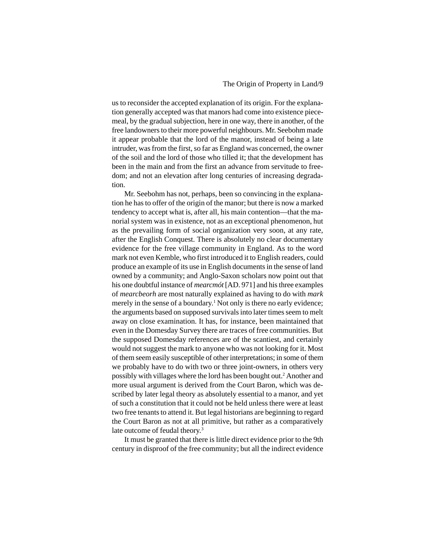us to reconsider the accepted explanation of its origin. For the explanation generally accepted was that manors had come into existence piecemeal, by the gradual subjection, here in one way, there in another, of the free landowners to their more powerful neighbours. Mr. Seebohm made it appear probable that the lord of the manor, instead of being a late intruder, was from the first, so far as England was concerned, the owner of the soil and the lord of those who tilled it; that the development has been in the main and from the first an advance from servitude to freedom; and not an elevation after long centuries of increasing degradation.

Mr. Seebohm has not, perhaps, been so convincing in the explanation he has to offer of the origin of the manor; but there is now a marked tendency to accept what is, after all, his main contention—that the manorial system was in existence, not as an exceptional phenomenon, hut as the prevailing form of social organization very soon, at any rate, after the English Conquest. There is absolutely no clear documentary evidence for the free village community in England. As to the word mark not even Kemble, who first introduced it to English readers, could produce an example of its use in English documents in the sense of land owned by a community; and Anglo-Saxon scholars now point out that his one doubtful instance of *mearcmót* [AD. 971] and his three examples of *mearcbeorh* are most naturally explained as having to do with *mark* merely in the sense of a boundary.<sup>1</sup> Not only is there no early evidence; the arguments based on supposed survivals into later times seem to melt away on close examination. It has, for instance, been maintained that even in the Domesday Survey there are traces of free communities. But the supposed Domesday references are of the scantiest, and certainly would not suggest the mark to anyone who was not looking for it. Most of them seem easily susceptible of other interpretations; in some of them we probably have to do with two or three joint-owners, in others very possibly with villages where the lord has been bought out.2 Another and more usual argument is derived from the Court Baron, which was described by later legal theory as absolutely essential to a manor, and yet of such a constitution that it could not be held unless there were at least two free tenants to attend it. But legal historians are beginning to regard the Court Baron as not at all primitive, but rather as a comparatively late outcome of feudal theory.<sup>3</sup>

It must be granted that there is little direct evidence prior to the 9th century in disproof of the free community; but all the indirect evidence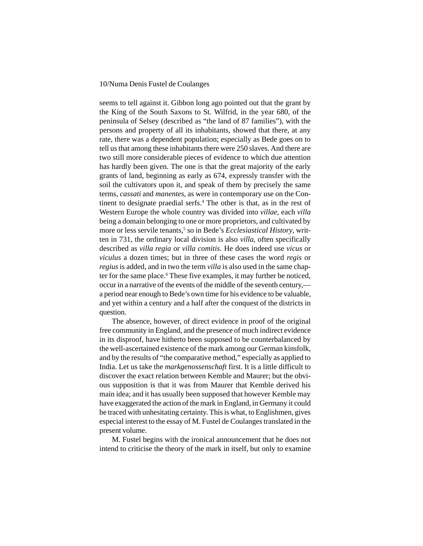seems to tell against it. Gibbon long ago pointed out that the grant by the King of the South Saxons to St. Wilfrid, in the year 680, of the peninsula of Selsey (described as "the land of 87 families"), with the persons and property of all its inhabitants, showed that there, at any rate, there was a dependent population; especially as Bede goes on to tell us that among these inhabitants there were 250 slaves. And there are two still more considerable pieces of evidence to which due attention has hardly been given. The one is that the great majority of the early grants of land, beginning as early as 674, expressly transfer with the soil the cultivators upon it, and speak of them by precisely the same terms, *cassati* and *manentes*, as were in contemporary use on the Continent to designate praedial serfs.<sup>4</sup> The other is that, as in the rest of Western Europe the whole country was divided into *villae*, each *villa* being a domain belonging to one or more proprietors, and cultivated by more or less servile tenants,<sup>5</sup> so in Bede's *Ecclesiastical History*, written in 731, the ordinary local division is also *villa*, often specifically described as *villa regia* or *villa comitis*. He does indeed use *vicus* or *viculus* a dozen times; but in three of these cases the word *regis* or *regius* is added, and in two the term *villa* is also used in the same chapter for the same place.<sup>6</sup> These five examples, it may further be noticed, occur in a narrative of the events of the middle of the seventh century, a period near enough to Bede's own time for his evidence to be valuable, and yet within a century and a half after the conquest of the districts in question.

The absence, however, of direct evidence in proof of the original free community in England, and the presence of much indirect evidence in its disproof, have hitherto been supposed to be counterbalanced by the well-ascertained existence of the mark among our German kinsfolk, and by the results of "the comparative method," especially as applied to India. Let us take the *markgenossenschaft* first. It is a little difficult to discover the exact relation between Kemble and Maurer; but the obvious supposition is that it was from Maurer that Kemble derived his main idea; and it has usually been supposed that however Kemble may have exaggerated the action of the mark in England, in Germany it could be traced with unhesitating certainty. This is what, to Englishmen, gives especial interest to the essay of M. Fustel de Coulanges translated in the present volume.

M. Fustel begins with the ironical announcement that he does not intend to criticise the theory of the mark in itself, but only to examine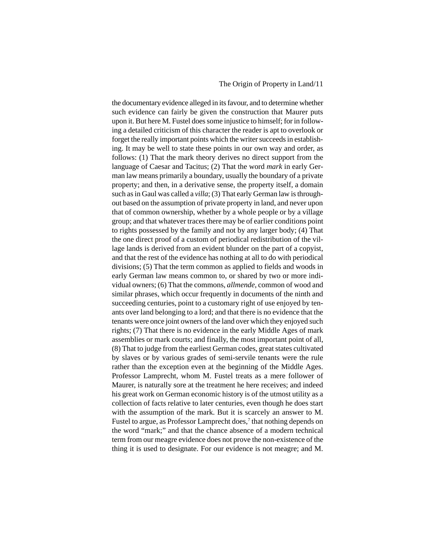#### The Origin of Property in Land/11

the documentary evidence alleged in its favour, and to determine whether such evidence can fairly be given the construction that Maurer puts upon it. But here M. Fustel does some injustice to himself; for in following a detailed criticism of this character the reader is apt to overlook or forget the really important points which the writer succeeds in establishing. It may be well to state these points in our own way and order, as follows: (1) That the mark theory derives no direct support from the language of Caesar and Tacitus; (2) That the word *mark* in early German law means primarily a boundary, usually the boundary of a private property; and then, in a derivative sense, the property itself, a domain such as in Gaul was called a *villa*; (3) That early German law is throughout based on the assumption of private property in land, and never upon that of common ownership, whether by a whole people or by a village group; and that whatever traces there may be of earlier conditions point to rights possessed by the family and not by any larger body; (4) That the one direct proof of a custom of periodical redistribution of the village lands is derived from an evident blunder on the part of a copyist, and that the rest of the evidence has nothing at all to do with periodical divisions; (5) That the term common as applied to fields and woods in early German law means common to, or shared by two or more individual owners; (6) That the commons, *allmende*, common of wood and similar phrases, which occur frequently in documents of the ninth and succeeding centuries, point to a customary right of use enjoyed by tenants over land belonging to a lord; and that there is no evidence that the tenants were once joint owners of the land over which they enjoyed such rights; (7) That there is no evidence in the early Middle Ages of mark assemblies or mark courts; and finally, the most important point of all, (8) That to judge from the earliest German codes, great states cultivated by slaves or by various grades of semi-servile tenants were the rule rather than the exception even at the beginning of the Middle Ages. Professor Lamprecht, whom M. Fustel treats as a mere follower of Maurer, is naturally sore at the treatment he here receives; and indeed his great work on German economic history is of the utmost utility as a collection of facts relative to later centuries, even though he does start with the assumption of the mark. But it is scarcely an answer to M. Fustel to argue, as Professor Lamprecht does,<sup>7</sup> that nothing depends on the word "mark;" and that the chance absence of a modern technical term from our meagre evidence does not prove the non-existence of the thing it is used to designate. For our evidence is not meagre; and M.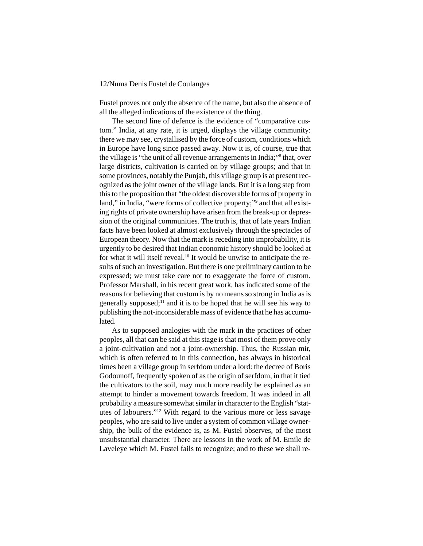Fustel proves not only the absence of the name, but also the absence of all the alleged indications of the existence of the thing.

The second line of defence is the evidence of "comparative custom." India, at any rate, it is urged, displays the village community: there we may see, crystallised by the force of custom, conditions which in Europe have long since passed away. Now it is, of course, true that the village is "the unit of all revenue arrangements in India;"<sup>8</sup> that, over large districts, cultivation is carried on by village groups; and that in some provinces, notably the Punjab, this village group is at present recognized as the joint owner of the village lands. But it is a long step from this to the proposition that "the oldest discoverable forms of property in land," in India, "were forms of collective property;" and that all existing rights of private ownership have arisen from the break-up or depression of the original communities. The truth is, that of late years Indian facts have been looked at almost exclusively through the spectacles of European theory. Now that the mark is receding into improbability, it is urgently to be desired that Indian economic history should be looked at for what it will itself reveal.10 It would be unwise to anticipate the results of such an investigation. But there is one preliminary caution to be expressed; we must take care not to exaggerate the force of custom. Professor Marshall, in his recent great work, has indicated some of the reasons for believing that custom is by no means so strong in India as is generally supposed; $\frac{11}{11}$  and it is to be hoped that he will see his way to publishing the not-inconsiderable mass of evidence that he has accumulated.

As to supposed analogies with the mark in the practices of other peoples, all that can be said at this stage is that most of them prove only a joint-cultivation and not a joint-ownership. Thus, the Russian mir, which is often referred to in this connection, has always in historical times been a village group in serfdom under a lord: the decree of Boris Godounoff, frequently spoken of as the origin of serfdom, in that it tied the cultivators to the soil, may much more readily be explained as an attempt to hinder a movement towards freedom. It was indeed in all probability a measure somewhat similar in character to the English "statutes of labourers."12 With regard to the various more or less savage peoples, who are said to live under a system of common village ownership, the bulk of the evidence is, as M. Fustel observes, of the most unsubstantial character. There are lessons in the work of M. Emile de Laveleye which M. Fustel fails to recognize; and to these we shall re-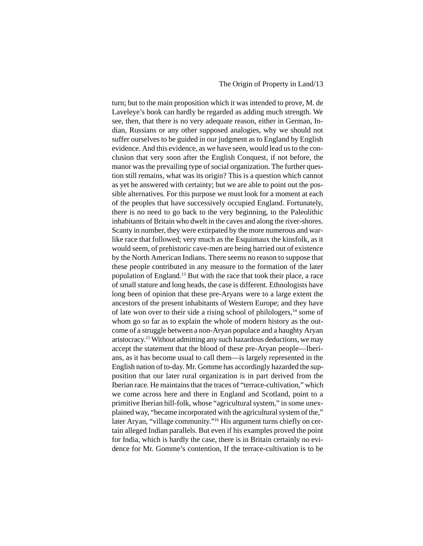#### The Origin of Property in Land/13

turn; but to the main proposition which it was intended to prove, M. de Laveleye's book can hardly be regarded as adding much strength. We see, then, that there is no very adequate reason, either in German, Indian, Russians or any other supposed analogies, why we should not suffer ourselves to be guided in our judgment as to England by English evidence. And this evidence, as we have seen, would lead us to the conclusion that very soon after the English Conquest, if not before, the manor was the prevailing type of social organization. The further question still remains, what was its origin? This is a question which cannot as yet be answered with certainty; but we are able to point out the possible alternatives. For this purpose we must look for a moment at each of the peoples that have successively occupied England. Fortunately, there is no need to go back to the very beginning, to the Paleolithic inhabitants of Britain who dwelt in the caves and along the river-shores. Scanty in number, they were extirpated by the more numerous and warlike race that followed; very much as the Esquimaux the kinsfolk, as it would seem, of prehistoric cave-men are being harried out of existence by the North American Indians. There seems no reason to suppose that these people contributed in any measure to the formation of the later population of England.13 But with the race that took their place, a race of small stature and long heads, the case is different. Ethnologists have long been of opinion that these pre-Aryans were to a large extent the ancestors of the present inhabitants of Western Europe; and they have of late won over to their side a rising school of philologers, $<sup>14</sup>$  some of</sup> whom go so far as to explain the whole of modern history as the outcome of a struggle between a non-Aryan populace and a haughty Aryan aristocracy.15 Without admitting any such hazardous deductions, we may accept the statement that the blood of these pre-Aryan people—Iberians, as it has become usual to call them—is largely represented in the English nation of to-day. Mr. Gomme has accordingly hazarded the supposition that our later rural organization is in part derived from the Iberian race. He maintains that the traces of "terrace-cultivation," which we come across here and there in England and Scotland, point to a primitive Iberian hill-folk, whose "agricultural system," in some unexplained way, "became incorporated with the agricultural system of the," later Aryan, "village community."16 His argument turns chiefly on certain alleged Indian parallels. But even if his examples proved the point for India, which is hardly the case, there is in Britain certainly no evidence for Mr. Gomme's contention, If the terrace-cultivation is to be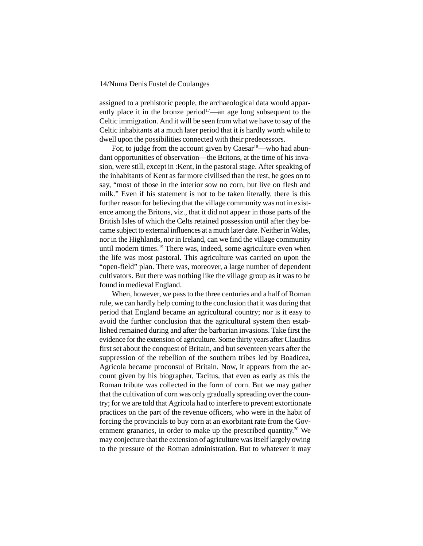assigned to a prehistoric people, the archaeological data would apparently place it in the bronze period<sup>17</sup>—an age long subsequent to the Celtic immigration. And it will be seen from what we have to say of the Celtic inhabitants at a much later period that it is hardly worth while to dwell upon the possibilities connected with their predecessors.

For, to judge from the account given by Caesar<sup>18</sup>—who had abundant opportunities of observation—the Britons, at the time of his invasion, were still, except in :Kent, in the pastoral stage. After speaking of the inhabitants of Kent as far more civilised than the rest, he goes on to say, "most of those in the interior sow no corn, but live on flesh and milk." Even if his statement is not to be taken literally, there is this further reason for believing that the village community was not in existence among the Britons, viz., that it did not appear in those parts of the British Isles of which the Celts retained possession until after they became subject to external influences at a much later date. Neither in Wales, nor in the Highlands, nor in Ireland, can we find the village community until modern times.<sup>19</sup> There was, indeed, some agriculture even when the life was most pastoral. This agriculture was carried on upon the "open-field" plan. There was, moreover, a large number of dependent cultivators. But there was nothing like the village group as it was to be found in medieval England.

When, however, we pass to the three centuries and a half of Roman rule, we can hardly help coming to the conclusion that it was during that period that England became an agricultural country; nor is it easy to avoid the further conclusion that the agricultural system then established remained during and after the barbarian invasions. Take first the evidence for the extension of agriculture. Some thirty years after Claudius first set about the conquest of Britain, and but seventeen years after the suppression of the rebellion of the southern tribes led by Boadicea, Agricola became proconsul of Britain. Now, it appears from the account given by his biographer, Tacitus, that even as early as this the Roman tribute was collected in the form of corn. But we may gather that the cultivation of corn was only gradually spreading over the country; for we are told that Agricola had to interfere to prevent extortionate practices on the part of the revenue officers, who were in the habit of forcing the provincials to buy corn at an exorbitant rate from the Government granaries, in order to make up the prescribed quantity.<sup>20</sup> We may conjecture that the extension of agriculture was itself largely owing to the pressure of the Roman administration. But to whatever it may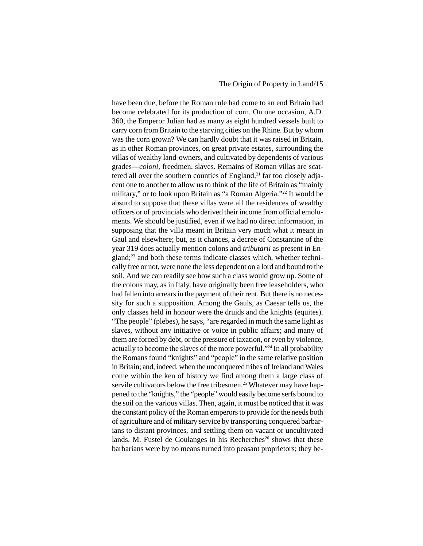#### The Origin of Property in Land/15

have been due, before the Roman rule had come to an end Britain had become celebrated for its production of corn. On one occasion, A.D. 360, the Emperor Julian had as many as eight hundred vessels built to carry corn from Britain to the starving cities on the Rhine. But by whom was the corn grown? We can hardly doubt that it was raised in Britain, as in other Roman provinces, on great private estates, surrounding the villas of wealthy land-owners, and cultivated by dependents of various grades—*coloni*, freedmen, slaves. Remains of Roman villas are scattered all over the southern counties of England, $^{21}$  far too closely adjacent one to another to allow us to think of the life of Britain as "mainly military," or to look upon Britain as "a Roman Algeria."22 It would be absurd to suppose that these villas were all the residences of wealthy officers or of provincials who derived their income from official emoluments. We should be justified, even if we had no direct information, in supposing that the villa meant in Britain very much what it meant in Gaul and elsewhere; but, as it chances, a decree of Constantine of the year 319 does actually mention colons and *tributarii* as present in England;23 and both these terms indicate classes which, whether technically free or not, were none the less dependent on a lord and bound to the soil. And we can readily see how such a class would grow up. Some of the colons may, as in Italy, have originally been free leaseholders, who had fallen into arrears in the payment of their rent. But there is no necessity for such a supposition. Among the Gauls, as Caesar tells us, the only classes held in honour were the druids and the knights (equites). "The people" (plebes), he says, "are regarded in much the same light as slaves, without any initiative or voice in public affairs; and many of them are forced by debt, or the pressure of taxation, or even by violence, actually to become the slaves of the more powerful."24 In all probability the Romans found "knights" and "people" in the same relative position in Britain; and, indeed, when the unconquered tribes of Ireland and Wales come within the ken of history we find among them a large class of servile cultivators below the free tribesmen.<sup>25</sup> Whatever may have happened to the "knights," the "people" would easily become serfs bound to the soil on the various villas. Then, again, it must be noticed that it was the constant policy of the Roman emperors to provide for the needs both of agriculture and of military service by transporting conquered barbarians to distant provinces, and settling them on vacant or uncultivated lands. M. Fustel de Coulanges in his Recherches<sup>26</sup> shows that these barbarians were by no means turned into peasant proprietors; they be-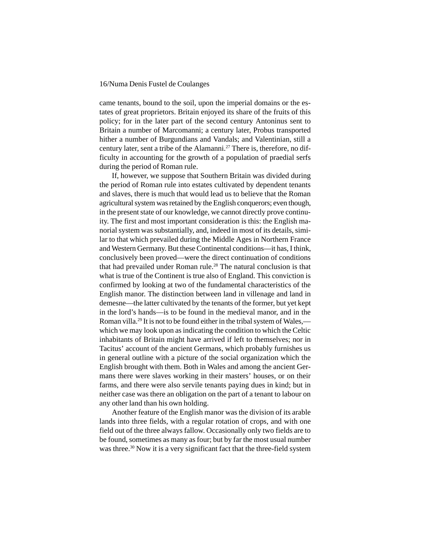came tenants, bound to the soil, upon the imperial domains or the estates of great proprietors. Britain enjoyed its share of the fruits of this policy; for in the later part of the second century Antoninus sent to Britain a number of Marcomanni; a century later, Probus transported hither a number of Burgundians and Vandals; and Valentinian, still a century later, sent a tribe of the Alamanni.<sup>27</sup> There is, therefore, no difficulty in accounting for the growth of a population of praedial serfs during the period of Roman rule.

If, however, we suppose that Southern Britain was divided during the period of Roman rule into estates cultivated by dependent tenants and slaves, there is much that would lead us to believe that the Roman agricultural system was retained by the English conquerors; even though, in the present state of our knowledge, we cannot directly prove continuity. The first and most important consideration is this: the English manorial system was substantially, and, indeed in most of its details, similar to that which prevailed during the Middle Ages in Northern France and Western Germany. But these Continental conditions—it has, I think, conclusively been proved—were the direct continuation of conditions that had prevailed under Roman rule.<sup>28</sup> The natural conclusion is that what is true of the Continent is true also of England. This conviction is confirmed by looking at two of the fundamental characteristics of the English manor. The distinction between land in villenage and land in demesne—the latter cultivated by the tenants of the former, but yet kept in the lord's hands—is to be found in the medieval manor, and in the Roman villa.<sup>29</sup> It is not to be found either in the tribal system of Wales, which we may look upon as indicating the condition to which the Celtic inhabitants of Britain might have arrived if left to themselves; nor in Tacitus' account of the ancient Germans, which probably furnishes us in general outline with a picture of the social organization which the English brought with them. Both in Wales and among the ancient Germans there were slaves working in their masters' houses, or on their farms, and there were also servile tenants paying dues in kind; but in neither case was there an obligation on the part of a tenant to labour on any other land than his own holding.

Another feature of the English manor was the division of its arable lands into three fields, with a regular rotation of crops, and with one field out of the three always fallow. Occasionally only two fields are to be found, sometimes as many as four; but by far the most usual number was three.<sup>30</sup> Now it is a very significant fact that the three-field system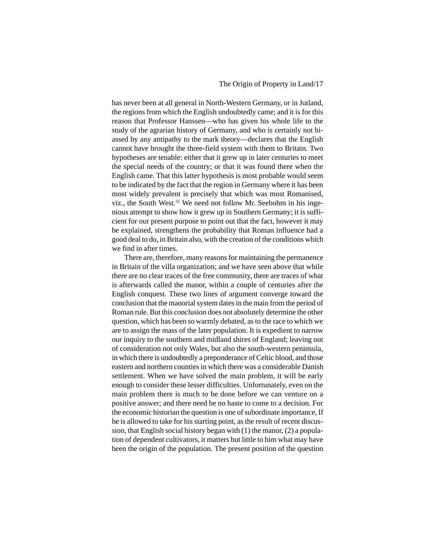has never been at all general in North-Western Germany, or in Jutland, the regions from which the English undoubtedly came; and it is for this reason that Professor Hanssen—who has given his whole life to the study of the agrarian history of Germany, and who is certainly not biassed by any antipathy to the mark theory—declares that the English cannot have brought the three-field system with them to Britain. Two hypotheses are tenable: either that it grew up in later centuries to meet the special needs of the country; or that it was found there when the English came. That this latter hypothesis is most probable would seem to be indicated by the fact that the region in Germany where it has been most widely prevalent is precisely that which was most Romanised, viz., the South West. $31$  We need not follow Mr. Seebohm in his ingenious attempt to show how it grew up in Southern Germany; it is sufficient for our present purpose to point out that the fact, however it may be explained, strengthens the probability that Roman influence had a good deal to do, in Britain also, with the creation of the conditions which we find in after times.

There are, therefore, many reasons for maintaining the permanence in Britain of the villa organization; and we have seen above that while there are no clear traces of the free community, there are traces of what is afterwards called the manor, within a couple of centuries after the English conquest. These two lines of argument converge toward the conclusion that the manorial system dates in the main from the period of Roman rule. But this conclusion does not absolutely determine the other question, which has been so warmly debated, as to the race to which we are to assign the mass of the later population. It is expedient to narrow our inquiry to the southern and midland shires of England; leaving out of consideration not only Wales, but also the south-western peninsula, in which there is undoubtedly a preponderance of Celtic blood, and those eastern and northern counties in which there was a considerable Danish settlement. When we have solved the main problem, it will be early enough to consider these lesser difficulties. Unfortunately, even on the main problem there is much to be done before we can venture on a positive answer; and there need be no haste to come to a decision. For the economic historian the question is one of subordinate importance, If he is allowed to take for his starting point, as the result of recent discussion, that English social history began with (1) the manor, (2) a population of dependent cultivators, it matters but little to him what may have been the origin of the population. The present position of the question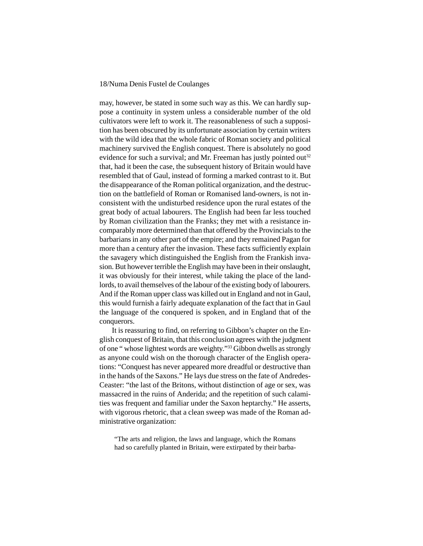may, however, be stated in some such way as this. We can hardly suppose a continuity in system unless a considerable number of the old cultivators were left to work it. The reasonableness of such a supposition has been obscured by its unfortunate association by certain writers with the wild idea that the whole fabric of Roman society and political machinery survived the English conquest. There is absolutely no good evidence for such a survival; and Mr. Freeman has justly pointed out<sup>32</sup> that, had it been the case, the subsequent history of Britain would have resembled that of Gaul, instead of forming a marked contrast to it. But the disappearance of the Roman political organization, and the destruction on the battlefield of Roman or Romanised land-owners, is not inconsistent with the undisturbed residence upon the rural estates of the great body of actual labourers. The English had been far less touched by Roman civilization than the Franks; they met with a resistance incomparably more determined than that offered by the Provincials to the barbarians in any other part of the empire; and they remained Pagan for more than a century after the invasion. These facts sufficiently explain the savagery which distinguished the English from the Frankish invasion. But however terrible the English may have been in their onslaught, it was obviously for their interest, while taking the place of the landlords, to avail themselves of the labour of the existing body of labourers. And if the Roman upper class was killed out in England and not in Gaul, this would furnish a fairly adequate explanation of the fact that in Gaul the language of the conquered is spoken, and in England that of the conquerors.

It is reassuring to find, on referring to Gibbon's chapter on the English conquest of Britain, that this conclusion agrees with the judgment of one " whose lightest words are weighty."33 Gibbon dwells as strongly as anyone could wish on the thorough character of the English operations: "Conquest has never appeared more dreadful or destructive than in the hands of the Saxons." He lays due stress on the fate of Andredes-Ceaster: "the last of the Britons, without distinction of age or sex, was massacred in the ruins of Anderida; and the repetition of such calamities was frequent and familiar under the Saxon heptarchy." He asserts, with vigorous rhetoric, that a clean sweep was made of the Roman administrative organization:

"The arts and religion, the laws and language, which the Romans had so carefully planted in Britain, were extirpated by their barba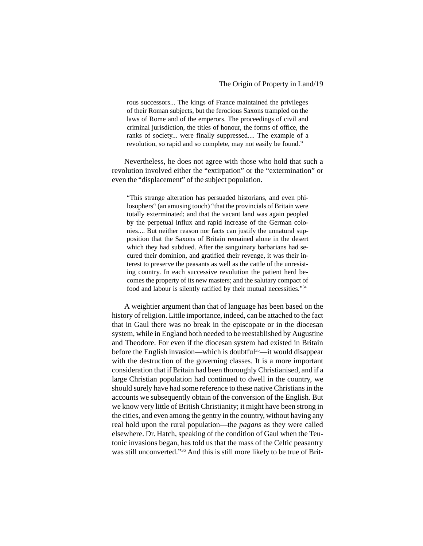rous successors... The kings of France maintained the privileges of their Roman subjects, but the ferocious Saxons trampled on the laws of Rome and of the emperors. The proceedings of civil and criminal jurisdiction, the titles of honour, the forms of office, the ranks of society... were finally suppressed.... The example of a revolution, so rapid and so complete, may not easily be found."

Nevertheless, he does not agree with those who hold that such a revolution involved either the "extirpation" or the "extermination" or even the "displacement" of the subject population.

"This strange alteration has persuaded historians, and even philosophers" (an amusing touch) "that the provincials of Britain were totally exterminated; and that the vacant land was again peopled by the perpetual influx and rapid increase of the German colonies.... But neither reason nor facts can justify the unnatural supposition that the Saxons of Britain remained alone in the desert which they had subdued. After the sanguinary barbarians had secured their dominion, and gratified their revenge, it was their interest to preserve the peasants as well as the cattle of the unresisting country. In each successive revolution the patient herd becomes the property of its new masters; and the salutary compact of food and labour is silently ratified by their mutual necessities."34

A weightier argument than that of language has been based on the history of religion. Little importance, indeed, can be attached to the fact that in Gaul there was no break in the episcopate or in the diocesan system, while in England both needed to be reestablished by Augustine and Theodore. For even if the diocesan system had existed in Britain before the English invasion—which is doubtful35—it would disappear with the destruction of the governing classes. It is a more important consideration that if Britain had been thoroughly Christianised, and if a large Christian population had continued to dwell in the country, we should surely have had some reference to these native Christians in the accounts we subsequently obtain of the conversion of the English. But we know very little of British Christianity; it might have been strong in the cities, and even among the gentry in the country, without having any real hold upon the rural population—the *pagans* as they were called elsewhere. Dr. Hatch, speaking of the condition of Gaul when the Teutonic invasions began, has told us that the mass of the Celtic peasantry was still unconverted."36 And this is still more likely to be true of Brit-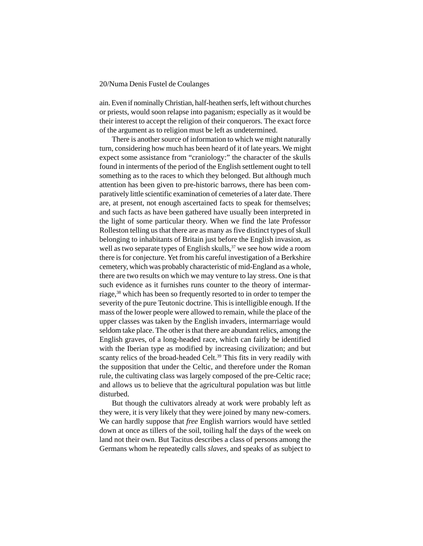ain. Even if nominally Christian, half-heathen serfs, left without churches or priests, would soon relapse into paganism; especially as it would be their interest to accept the religion of their conquerors. The exact force of the argument as to religion must be left as undetermined.

There is another source of information to which we might naturally turn, considering how much has been heard of it of late years. We might expect some assistance from "craniology:" the character of the skulls found in interments of the period of the English settlement ought to tell something as to the races to which they belonged. But although much attention has been given to pre-historic barrows, there has been comparatively little scientific examination of cemeteries of a later date. There are, at present, not enough ascertained facts to speak for themselves; and such facts as have been gathered have usually been interpreted in the light of some particular theory. When we find the late Professor Rolleston telling us that there are as many as five distinct types of skull belonging to inhabitants of Britain just before the English invasion, as well as two separate types of English skulls,<sup>37</sup> we see how wide a room there is for conjecture. Yet from his careful investigation of a Berkshire cemetery, which was probably characteristic of mid-England as a whole, there are two results on which we may venture to lay stress. One is that such evidence as it furnishes runs counter to the theory of intermarriage,38 which has been so frequently resorted to in order to temper the severity of the pure Teutonic doctrine. This is intelligible enough. If the mass of the lower people were allowed to remain, while the place of the upper classes was taken by the English invaders, intermarriage would seldom take place. The other is that there are abundant relics, among the English graves, of a long-headed race, which can fairly be identified with the Iberian type as modified by increasing civilization; and but scanty relics of the broad-headed Celt.<sup>39</sup> This fits in very readily with the supposition that under the Celtic, and therefore under the Roman rule, the cultivating class was largely composed of the pre-Celtic race; and allows us to believe that the agricultural population was but little disturbed.

But though the cultivators already at work were probably left as they were, it is very likely that they were joined by many new-comers. We can hardly suppose that *free* English warriors would have settled down at once as tillers of the soil, toiling half the days of the week on land not their own. But Tacitus describes a class of persons among the Germans whom he repeatedly calls *slaves*, and speaks of as subject to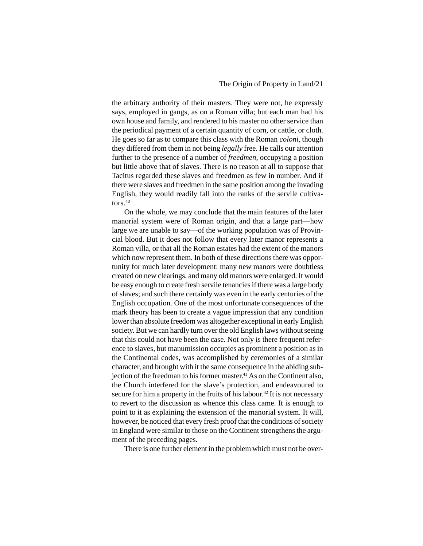the arbitrary authority of their masters. They were not, he expressly says, employed in gangs, as on a Roman villa; but each man had his own house and family, and rendered to his master no other service than the periodical payment of a certain quantity of corn, or cattle, or cloth. He goes so far as to compare this class with the Roman *coloni*, though they differed from them in not being *legally* free. He calls our attention further to the presence of a number of *freedmen*, occupying a position but little above that of slaves. There is no reason at all to suppose that Tacitus regarded these slaves and freedmen as few in number. And if there were slaves and freedmen in the same position among the invading English, they would readily fall into the ranks of the servile cultivators $40$ 

On the whole, we may conclude that the main features of the later manorial system were of Roman origin, and that a large part—how large we are unable to say—of the working population was of Provincial blood. But it does not follow that every later manor represents a Roman villa, or that all the Roman estates had the extent of the manors which now represent them. In both of these directions there was opportunity for much later development: many new manors were doubtless created on new clearings, and many old manors were enlarged. It would be easy enough to create fresh servile tenancies if there was a large body of slaves; and such there certainly was even in the early centuries of the English occupation. One of the most unfortunate consequences of the mark theory has been to create a vague impression that any condition lower than absolute freedom was altogether exceptional in early English society. But we can hardly turn over the old English laws without seeing that this could not have been the case. Not only is there frequent reference to slaves, but manumission occupies as prominent a position as in the Continental codes, was accomplished by ceremonies of a similar character, and brought with it the same consequence in the abiding subjection of the freedman to his former master.<sup>41</sup> As on the Continent also, the Church interfered for the slave's protection, and endeavoured to secure for him a property in the fruits of his labour.<sup>42</sup> It is not necessary to revert to the discussion as whence this class came. It is enough to point to it as explaining the extension of the manorial system. It will, however, be noticed that every fresh proof that the conditions of society in England were similar to those on the Continent strengthens the argument of the preceding pages.

There is one further element in the problem which must not be over-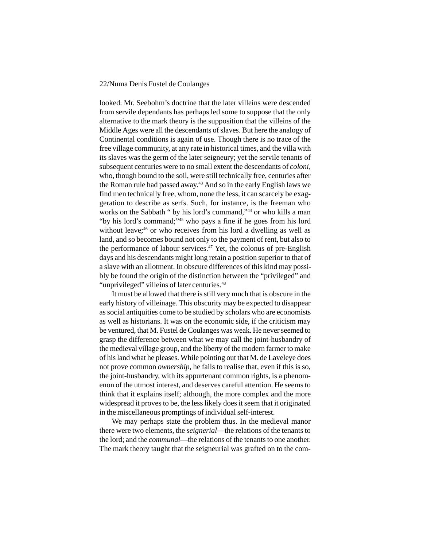looked. Mr. Seebohm's doctrine that the later villeins were descended from servile dependants has perhaps led some to suppose that the only alternative to the mark theory is the supposition that the villeins of the Middle Ages were all the descendants of slaves. But here the analogy of Continental conditions is again of use. Though there is no trace of the free village community, at any rate in historical times, and the villa with its slaves was the germ of the later seigneury; yet the servile tenants of subsequent centuries were to no small extent the descendants of *coloni*, who, though bound to the soil, were still technically free, centuries after the Roman rule had passed away.43 And so in the early English laws we find men technically free, whom, none the less, it can scarcely be exaggeration to describe as serfs. Such, for instance, is the freeman who works on the Sabbath " by his lord's command,"<sup>44</sup> or who kills a man "by his lord's command;"45 who pays a fine if he goes from his lord without leave;<sup>46</sup> or who receives from his lord a dwelling as well as land, and so becomes bound not only to the payment of rent, but also to the performance of labour services.<sup>47</sup> Yet, the colonus of pre-English days and his descendants might long retain a position superior to that of a slave with an allotment. In obscure differences of this kind may possibly be found the origin of the distinction between the "privileged" and "unprivileged" villeins of later centuries.<sup>48</sup>

It must be allowed that there is still very much that is obscure in the early history of villeinage. This obscurity may be expected to disappear as social antiquities come to be studied by scholars who are economists as well as historians. It was on the economic side, if the criticism may be ventured, that M. Fustel de Coulanges was weak. He never seemed to grasp the difference between what we may call the joint-husbandry of the medieval village group, and the liberty of the modern farmer to make of his land what he pleases. While pointing out that M. de Laveleye does not prove common *ownership*, he fails to realise that, even if this is so, the joint-husbandry, with its appurtenant common rights, is a phenomenon of the utmost interest, and deserves careful attention. He seems to think that it explains itself; although, the more complex and the more widespread it proves to be, the less likely does it seem that it originated in the miscellaneous promptings of individual self-interest.

We may perhaps state the problem thus. In the medieval manor there were two elements, the *seignerial*—the relations of the tenants to the lord; and the *communal*—the relations of the tenants to one another. The mark theory taught that the seigneurial was grafted on to the com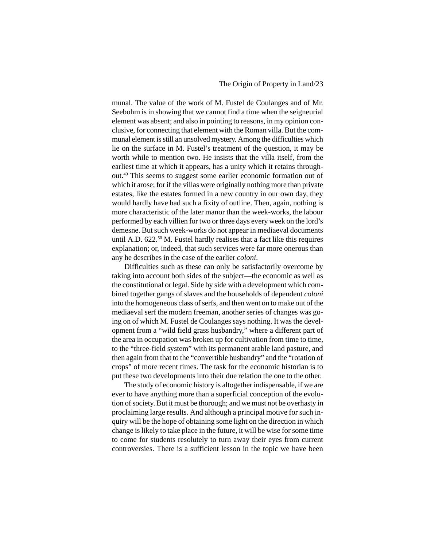munal. The value of the work of M. Fustel de Coulanges and of Mr. Seebohm is in showing that we cannot find a time when the seigneurial element was absent; and also in pointing to reasons, in my opinion conclusive, for connecting that element with the Roman villa. But the communal element is still an unsolved mystery. Among the difficulties which lie on the surface in M. Fustel's treatment of the question, it may be worth while to mention two. He insists that the villa itself, from the earliest time at which it appears, has a unity which it retains throughout.49 This seems to suggest some earlier economic formation out of which it arose; for if the villas were originally nothing more than private estates, like the estates formed in a new country in our own day, they would hardly have had such a fixity of outline. Then, again, nothing is more characteristic of the later manor than the week-works, the labour performed by each villien for two or three days every week on the lord's demesne. But such week-works do not appear in mediaeval documents until A.D. 622.50 M. Fustel hardly realises that a fact like this requires explanation; or, indeed, that such services were far more onerous than any he describes in the case of the earlier *coloni*.

Difficulties such as these can only be satisfactorily overcome by taking into account both sides of the subject—the economic as well as the constitutional or legal. Side by side with a development which combined together gangs of slaves and the households of dependent *coloni* into the homogeneous class of serfs, and then went on to make out of the mediaeval serf the modern freeman, another series of changes was going on of which M. Fustel de Coulanges says nothing. It was the development from a "wild field grass husbandry," where a different part of the area in occupation was broken up for cultivation from time to time, to the "three-field system" with its permanent arable land pasture, and then again from that to the "convertible husbandry" and the "rotation of crops" of more recent times. The task for the economic historian is to put these two developments into their due relation the one to the other.

The study of economic history is altogether indispensable, if we are ever to have anything more than a superficial conception of the evolution of society. But it must be thorough; and we must not be overhasty in proclaiming large results. And although a principal motive for such inquiry will be the hope of obtaining some light on the direction in which change is likely to take place in the future, it will be wise for some time to come for students resolutely to turn away their eyes from current controversies. There is a sufficient lesson in the topic we have been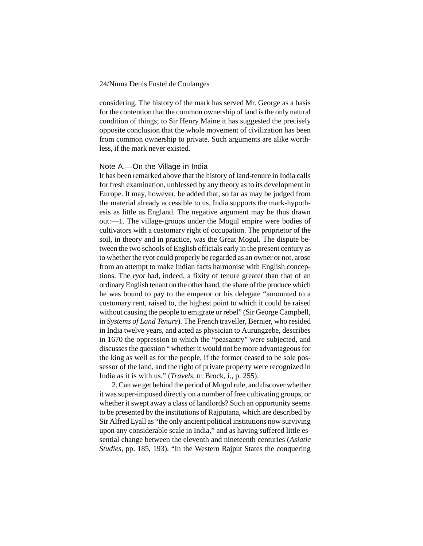considering. The history of the mark has served Mr. George as a basis for the contention that the common ownership of land is the only natural condition of things; to Sir Henry Maine it has suggested the precisely opposite conclusion that the whole movement of civilization has been from common ownership to private. Such arguments are alike worthless, if the mark never existed.

#### Note A.—On the Village in India

It has been remarked above that the history of land-tenure in India calls for fresh examination, unblessed by any theory as to its development in Europe. It may, however, be added that, so far as may be judged from the material already accessible to us, India supports the mark-hypothesis as little as England. The negative argument may be thus drawn out:—1. The village-groups under the Mogul empire were bodies of cultivators with a customary right of occupation. The proprietor of the soil, in theory and in practice, was the Great Mogul. The dispute between the two schools of English officials early in the present century as to whether the ryot could properly be regarded as an owner or not, arose from an attempt to make Indian facts harmonise with English conceptions. The *ryot* had, indeed, a fixity of tenure greater than that of an ordinary English tenant on the other hand, the share of the produce which he was bound to pay to the emperor or his delegate "amounted to a customary rent, raised to, the highest point to which it could be raised without causing the people to emigrate or rebel" (Sir George Campbell, in *Systems of Land Tenure*). The French traveller, Bernier, who resided in India twelve years, and acted as physician to Aurungzebe, describes in 1670 the oppression to which the "peasantry" were subjected, and discusses the question " whether it would not be more advantageous for the king as well as for the people, if the former ceased to be sole possessor of the land, and the right of private property were recognized in India as it is with us." (*Travels*, tr. Brock, i., p. 255).

2. Can we get behind the period of Mogul rule, and discover whether it was super-imposed directly on a number of free cultivating groups, or whether it swept away a class of landlords? Such an opportunity seems to be presented by the institutions of Rajputana, which are described by Sir Alfred Lyall as "the only ancient political institutions now surviving upon any considerable scale in India," and as having suffered little essential change between the eleventh and nineteenth centuries (*Asiatic Studies*, pp. 185, 193). "In the Western Rajput States the conquering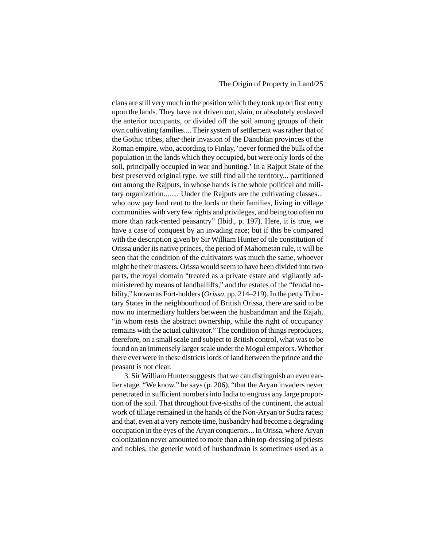#### The Origin of Property in Land/25

clans are still very much in the position which they took up on first entry upon the lands. They have not driven out, slain, or absolutely enslaved the anterior occupants, or divided off the soil among groups of their own cultivating families.... Their system of settlement was rather that of the Gothic tribes, after their invasion of the Danubian provinces of the Roman empire, who, according to Finlay, 'never formed the bulk of the population in the lands which they occupied, but were only lords of the soil, principally occupied in war and hunting.' In a Rajput State of the best preserved original type, we still find all the territory... partitioned out among the Rajputs, in whose hands is the whole political and military organization........ Under the Rajputs are the cultivating classes... who now pay land rent to the lords or their families, living in village communities with very few rights and privileges, and being too often no more than rack-rented peasantry" (Ibid., p. 197). Here, it is true, we have a case of conquest by an invading race; but if this be compared with the description given by Sir William Hunter of tile constitution of Orissa under its native princes, the period of Mahometan rule, it will be seen that the condition of the cultivators was much the same, whoever might be their masters. Orissa would seem to have been divided into two parts, the royal domain "treated as a private estate and vigilantly administered by means of landbailiffs," and the estates of the "feudal nobility," known as Fort-holders (*Orissa*, pp. 214–219). In the petty Tributary States in the neighbourhood of British Orissa, there are said to be now no intermediary holders between the husbandman and the Rajah, "in whom rests the abstract ownership, while the right of occupancy remains with the actual cultivator." The condition of things reproduces, therefore, on a small scale and subject to British control, what was to be found on an immensely larger scale under the Mogul emperors. Whether there ever were in these districts lords of land between the prince and the peasant is not clear.

3. Sir William Hunter suggests that we can distinguish an even earlier stage. "We know," he says (p. 206), "that the Aryan invaders never penetrated in sufficient numbers into India to engross any large proportion of the soil. That throughout five-sixths of the continent, the actual work of tillage remained in the hands of the Non-Aryan or Sudra races; and that, even at a very remote time, husbandry had become a degrading occupation in the eyes of the Aryan conquerors... In Orissa, where Aryan colonization never amounted to more than a thin top-dressing of priests and nobles, the generic word of husbandman is sometimes used as a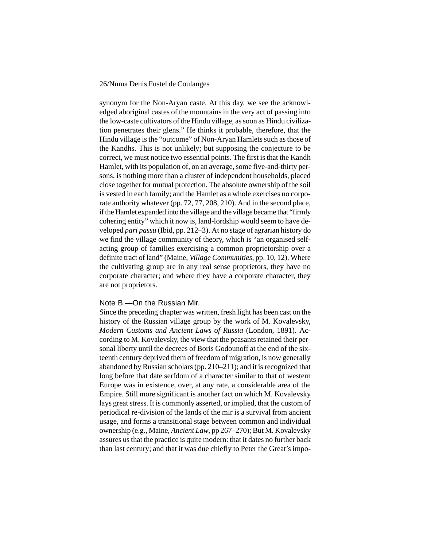synonym for the Non-Aryan caste. At this day, we see the acknowledged aboriginal castes of the mountains in the very act of passing into the low-caste cultivators of the Hindu village, as soon as Hindu civilization penetrates their glens." He thinks it probable, therefore, that the Hindu village is the "outcome" of Non-Aryan Hamlets such as those of the Kandhs. This is not unlikely; but supposing the conjecture to be correct, we must notice two essential points. The first is that the Kandh Hamlet, with its population of, on an average, some five-and-thirty persons, is nothing more than a cluster of independent households, placed close together for mutual protection. The absolute ownership of the soil is vested in each family; and the Hamlet as a whole exercises no corporate authority whatever (pp. 72, 77, 208, 210). And in the second place, if the Hamlet expanded into the village and the village became that "firmly cohering entity" which it now is, land-lordship would seem to have developed *pari passu* (Ibid, pp. 212–3). At no stage of agrarian history do we find the village community of theory, which is "an organised selfacting group of families exercising a common proprietorship over a definite tract of land" (Maine, *Village Communities*, pp. 10, 12). Where the cultivating group are in any real sense proprietors, they have no corporate character; and where they have a corporate character, they are not proprietors.

#### Note B.—On the Russian Mir.

Since the preceding chapter was written, fresh light has been cast on the history of the Russian village group by the work of M. Kovalevsky, *Modern Customs and Ancient Laws of Russia* (London, 1891). According to M. Kovalevsky, the view that the peasants retained their personal liberty until the decrees of Boris Godounoff at the end of the sixteenth century deprived them of freedom of migration, is now generally abandoned by Russian scholars (pp. 210–211); and it is recognized that long before that date serfdom of a character similar to that of western Europe was in existence, over, at any rate, a considerable area of the Empire. Still more significant is another fact on which M. Kovalevsky lays great stress. It is commonly asserted, or implied, that the custom of periodical re-division of the lands of the mir is a survival from ancient usage, and forms a transitional stage between common and individual ownership (e.g., Maine, *Ancient Law*, pp 267–270); But M. Kovalevsky assures us that the practice is quite modern: that it dates no further back than last century; and that it was due chiefly to Peter the Great's impo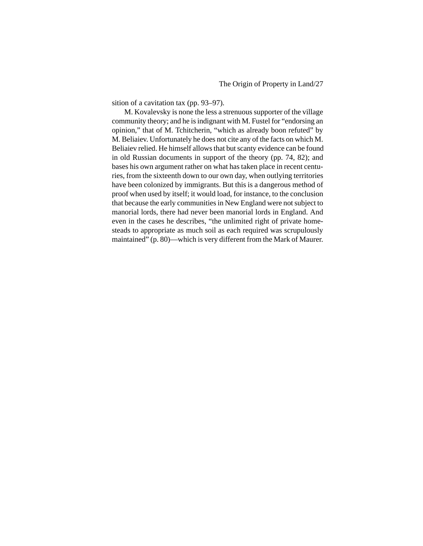sition of a cavitation tax (pp. 93–97).

M. Kovalevsky is none the less a strenuous supporter of the village community theory; and he is indignant with M. Fustel for "endorsing an opinion," that of M. Tchitcherin, "which as already boon refuted" by M. Beliaiev. Unfortunately he does not cite any of the facts on which M. Beliaiev relied. He himself allows that but scanty evidence can be found in old Russian documents in support of the theory (pp. 74, 82); and bases his own argument rather on what has taken place in recent centuries, from the sixteenth down to our own day, when outlying territories have been colonized by immigrants. But this is a dangerous method of proof when used by itself; it would load, for instance, to the conclusion that because the early communities in New England were not subject to manorial lords, there had never been manorial lords in England. And even in the cases he describes, "the unlimited right of private homesteads to appropriate as much soil as each required was scrupulously maintained" (p. 80)—which is very different from the Mark of Maurer.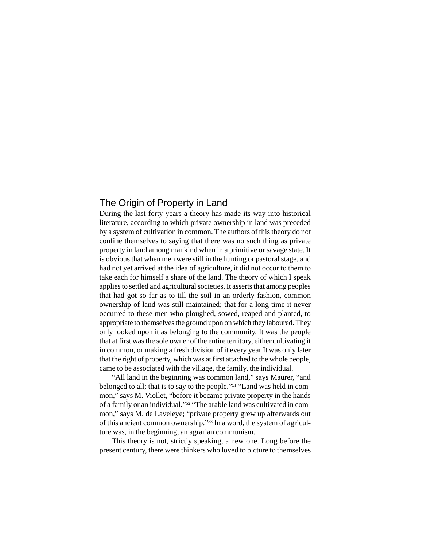### The Origin of Property in Land

During the last forty years a theory has made its way into historical literature, according to which private ownership in land was preceded by a system of cultivation in common. The authors of this theory do not confine themselves to saying that there was no such thing as private property in land among mankind when in a primitive or savage state. It is obvious that when men were still in the hunting or pastoral stage, and had not yet arrived at the idea of agriculture, it did not occur to them to take each for himself a share of the land. The theory of which I speak applies to settled and agricultural societies. It asserts that among peoples that had got so far as to till the soil in an orderly fashion, common ownership of land was still maintained; that for a long time it never occurred to these men who ploughed, sowed, reaped and planted, to appropriate to themselves the ground upon on which they laboured. They only looked upon it as belonging to the community. It was the people that at first was the sole owner of the entire territory, either cultivating it in common, or making a fresh division of it every year It was only later that the right of property, which was at first attached to the whole people, came to be associated with the village, the family, the individual.

"All land in the beginning was common land," says Maurer, "and belonged to all; that is to say to the people."51 "Land was held in common," says M. Viollet, "before it became private property in the hands of a family or an individual."52 "The arable land was cultivated in common," says M. de Laveleye; "private property grew up afterwards out of this ancient common ownership."53 In a word, the system of agriculture was, in the beginning, an agrarian communism.

This theory is not, strictly speaking, a new one. Long before the present century, there were thinkers who loved to picture to themselves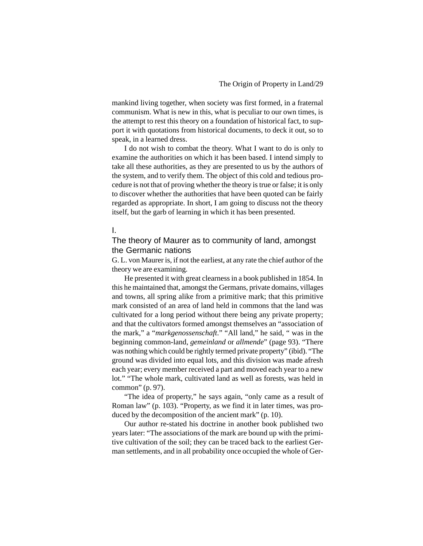mankind living together, when society was first formed, in a fraternal communism. What is new in this, what is peculiar to our own times, is the attempt to rest this theory on a foundation of historical fact, to support it with quotations from historical documents, to deck it out, so to speak, in a learned dress.

I do not wish to combat the theory. What I want to do is only to examine the authorities on which it has been based. I intend simply to take all these authorities, as they are presented to us by the authors of the system, and to verify them. The object of this cold and tedious procedure is not that of proving whether the theory is true or false; it is only to discover whether the authorities that have been quoted can be fairly regarded as appropriate. In short, I am going to discuss not the theory itself, but the garb of learning in which it has been presented.

#### I.

### The theory of Maurer as to community of land, amongst the Germanic nations

G. L. von Maurer is, if not the earliest, at any rate the chief author of the theory we are examining.

He presented it with great clearness in a book published in 1854. In this he maintained that, amongst the Germans, private domains, villages and towns, all spring alike from a primitive mark; that this primitive mark consisted of an area of land held in commons that the land was cultivated for a long period without there being any private property; and that the cultivators formed amongst themselves an "association of the mark," a "*markgenossenschaft*." "All land," he said, " was in the beginning common-land, *gemeinland* or *allmende*" (page 93). "There was nothing which could be rightly termed private property" (ibid). "The ground was divided into equal lots, and this division was made afresh each year; every member received a part and moved each year to a new lot." "The whole mark, cultivated land as well as forests, was held in common" (p. 97).

"The idea of property," he says again, "only came as a result of Roman law" (p. 103). "Property, as we find it in later times, was produced by the decomposition of the ancient mark" (p. 10).

Our author re-stated his doctrine in another book published two years later: "The associations of the mark are bound up with the primitive cultivation of the soil; they can be traced back to the earliest German settlements, and in all probability once occupied the whole of Ger-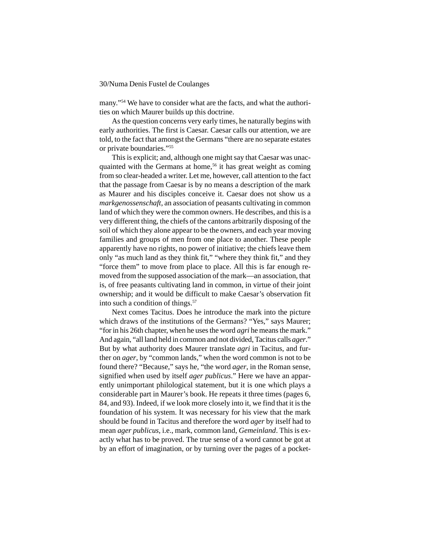many."54 We have to consider what are the facts, and what the authorities on which Maurer builds up this doctrine.

As the question concerns very early times, he naturally begins with early authorities. The first is Caesar. Caesar calls our attention, we are told, to the fact that amongst the Germans "there are no separate estates or private boundaries."55

This is explicit; and, although one might say that Caesar was unacquainted with the Germans at home,<sup>56</sup> it has great weight as coming from so clear-headed a writer. Let me, however, call attention to the fact that the passage from Caesar is by no means a description of the mark as Maurer and his disciples conceive it. Caesar does not show us a *markgenossenschaft*, an association of peasants cultivating in common land of which they were the common owners. He describes, and this is a very different thing, the chiefs of the cantons arbitrarily disposing of the soil of which they alone appear to be the owners, and each year moving families and groups of men from one place to another. These people apparently have no rights, no power of initiative; the chiefs leave them only "as much land as they think fit," "where they think fit," and they "force them" to move from place to place. All this is far enough removed from the supposed association of the mark—an association, that is, of free peasants cultivating land in common, in virtue of their joint ownership; and it would be difficult to make Caesar's observation fit into such a condition of things.<sup>57</sup>

Next comes Tacitus. Does he introduce the mark into the picture which draws of the institutions of the Germans? "Yes," says Maurer; "for in his 26th chapter, when he uses the word *agri* he means the mark." And again, "all land held in common and not divided, Tacitus calls *ager*." But by what authority does Maurer translate *agri* in Tacitus, and further on *ager*, by "common lands," when the word common is not to be found there? "Because," says he, "the word *ager*, in the Roman sense, signified when used by itself *ager publicus*." Here we have an apparently unimportant philological statement, but it is one which plays a considerable part in Maurer's book. He repeats it three times (pages 6, 84, and 93). Indeed, if we look more closely into it, we find that it is the foundation of his system. It was necessary for his view that the mark should be found in Tacitus and therefore the word *ager* by itself had to mean *ager publicus*, i.e., mark, common land, *Gemeinland*. This is exactly what has to be proved. The true sense of a word cannot be got at by an effort of imagination, or by turning over the pages of a pocket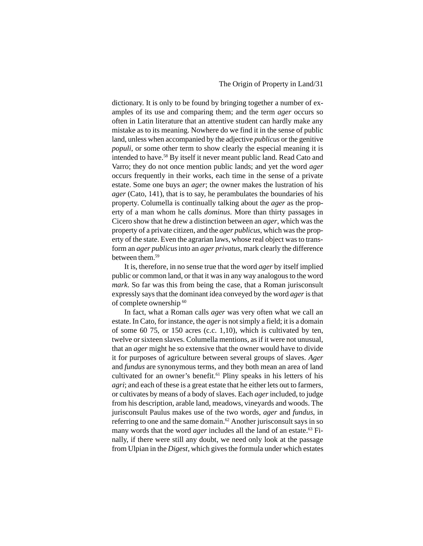dictionary. It is only to be found by bringing together a number of examples of its use and comparing them; and the term *ager* occurs so often in Latin literature that an attentive student can hardly make any mistake as to its meaning. Nowhere do we find it in the sense of public land, unless when accompanied by the adjective *publicus* or the genitive *populi*, or some other term to show clearly the especial meaning it is intended to have.58 By itself it never meant public land. Read Cato and Varro; they do not once mention public lands; and yet the word *ager* occurs frequently in their works, each time in the sense of a private estate. Some one buys an *ager*; the owner makes the lustration of his *ager* (Cato, 141), that is to say, he perambulates the boundaries of his property. Columella is continually talking about the *ager* as the property of a man whom he calls *dominus*. More than thirty passages in Cicero show that he drew a distinction between an *ager*, which was the property of a private citizen, and the *ager publicus*, which was the property of the state. Even the agrarian laws, whose real object was to transform an *ager publicus* into an *ager privatus*, mark clearly the difference between them.<sup>59</sup>

It is, therefore, in no sense true that the word *ager* by itself implied public or common land, or that it was in any way analogous to the word *mark*. So far was this from being the case, that a Roman jurisconsult expressly says that the dominant idea conveyed by the word *ager* is that of complete ownership <sup>60</sup>

In fact, what a Roman calls *ager* was very often what we call an estate. In Cato, for instance, the *ager* is not simply a field; it is a domain of some 60 75, or 150 acres (c.c. 1,10), which is cultivated by ten, twelve or sixteen slaves. Columella mentions, as if it were not unusual, that an *ager* might he so extensive that the owner would have to divide it for purposes of agriculture between several groups of slaves. *Ager* and *fundus* are synonymous terms, and they both mean an area of land cultivated for an owner's benefit.<sup>61</sup> Pliny speaks in his letters of his *agri*; and each of these is a great estate that he either lets out to farmers, or cultivates by means of a body of slaves. Each *ager* included, to judge from his description, arable land, meadows, vineyards and woods. The jurisconsult Paulus makes use of the two words, *ager* and *fundus*, in referring to one and the same domain.<sup>62</sup> Another jurisconsult says in so many words that the word *ager* includes all the land of an estate.<sup>63</sup> Finally, if there were still any doubt, we need only look at the passage from Ulpian in the *Digest*, which gives the formula under which estates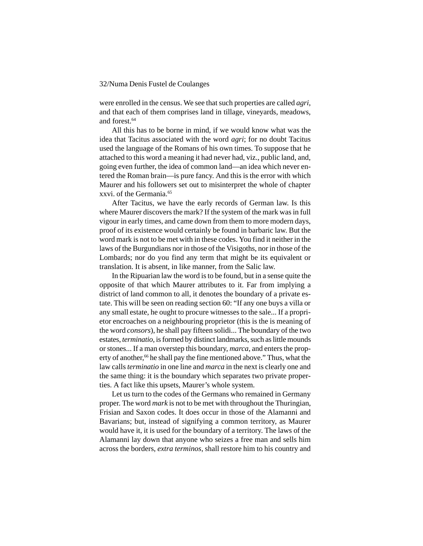were enrolled in the census. We see that such properties are called *agri*, and that each of them comprises land in tillage, vineyards, meadows, and forest.<sup>64</sup>

All this has to be borne in mind, if we would know what was the idea that Tacitus associated with the word *agri*; for no doubt Tacitus used the language of the Romans of his own times. To suppose that he attached to this word a meaning it had never had, viz., public land, and, going even further, the idea of common land—an idea which never entered the Roman brain—is pure fancy. And this is the error with which Maurer and his followers set out to misinterpret the whole of chapter xxvi. of the Germania.65

After Tacitus, we have the early records of German law. Is this where Maurer discovers the mark? If the system of the mark was in full vigour in early times, and came down from them to more modern days, proof of its existence would certainly be found in barbaric law. But the word mark is not to be met with in these codes. You find it neither in the laws of the Burgundians nor in those of the Visigoths, nor in those of the Lombards; nor do you find any term that might be its equivalent or translation. It is absent, in like manner, from the Salic law.

In the Ripuarian law the word is to be found, but in a sense quite the opposite of that which Maurer attributes to it. Far from implying a district of land common to all, it denotes the boundary of a private estate. This will be seen on reading section 60: "If any one buys a villa or any small estate, he ought to procure witnesses to the sale... If a proprietor encroaches on a neighbouring proprietor (this is the is meaning of the word *consors*), he shall pay fifteen solidi... The boundary of the two estates, *terminatio*, is formed by distinct landmarks, such as little mounds or stones... If a man overstep this boundary, *marca*, and enters the property of another,<sup>66</sup> he shall pay the fine mentioned above." Thus, what the law calls *terminatio* in one line and *marca* in the next is clearly one and the same thing: it is the boundary which separates two private properties. A fact like this upsets, Maurer's whole system.

Let us turn to the codes of the Germans who remained in Germany proper. The word *mark* is not to be met with throughout the Thuringian, Frisian and Saxon codes. It does occur in those of the Alamanni and Bavarians; but, instead of signifying a common territory, as Maurer would have it, it is used for the boundary of a territory. The laws of the Alamanni lay down that anyone who seizes a free man and sells him across the borders, *extra terminos*, shall restore him to his country and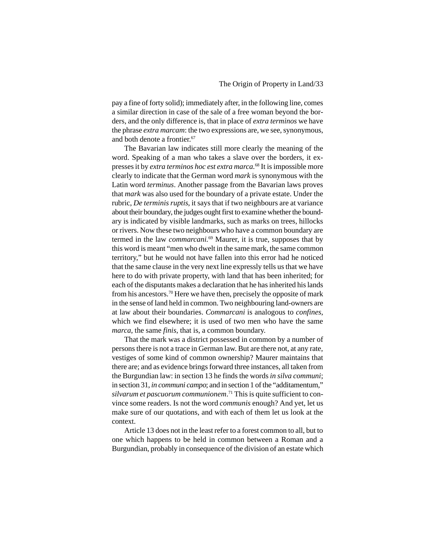pay a fine of forty solid); immediately after, in the following line, comes a similar direction in case of the sale of a free woman beyond the borders, and the only difference is, that in place of *extra terminos* we have the phrase *extra marcam*: the two expressions are, we see, synonymous, and both denote a frontier.67

The Bavarian law indicates still more clearly the meaning of the word. Speaking of a man who takes a slave over the borders, it expresses it by *extra terminos hoc est extra marca.*68 It is impossible more clearly to indicate that the German word *mark* is synonymous with the Latin word *terminus*. Another passage from the Bavarian laws proves that *mark* was also used for the boundary of a private estate. Under the rubric, *De terminis ruptis*, it says that if two neighbours are at variance about their boundary, the judges ought first to examine whether the boundary is indicated by visible landmarks, such as marks on trees, hillocks or rivers. Now these two neighbours who have a common boundary are termed in the law *commarcani.*69 Maurer, it is true, supposes that by this word is meant "men who dwelt in the same mark, the same common territory," but he would not have fallen into this error had he noticed that the same clause in the very next line expressly tells us that we have here to do with private property, with land that has been inherited; for each of the disputants makes a declaration that he has inherited his lands from his ancestors.<sup>70</sup> Here we have then, precisely the opposite of mark in the sense of land held in common. Two neighbouring land-owners are at law about their boundaries. *Commarcani* is analogous to *confines*, which we find elsewhere; it is used of two men who have the same *marca*, the same *finis*, that is, a common boundary.

That the mark was a district possessed in common by a number of persons there is not a trace in German law. But are there not, at any rate, vestiges of some kind of common ownership? Maurer maintains that there are; and as evidence brings forward three instances, all taken from the Burgundian law: in section 13 he finds the words *in silva communi*; in section 31, *in communi campo*; and in section 1 of the "additamentum," *silvarum et pascuorum communionem*. 71 This is quite sufficient to convince some readers. Is not the word *communis* enough? And yet, let us make sure of our quotations, and with each of them let us look at the context.

Article 13 does not in the least refer to a forest common to all, but to one which happens to be held in common between a Roman and a Burgundian, probably in consequence of the division of an estate which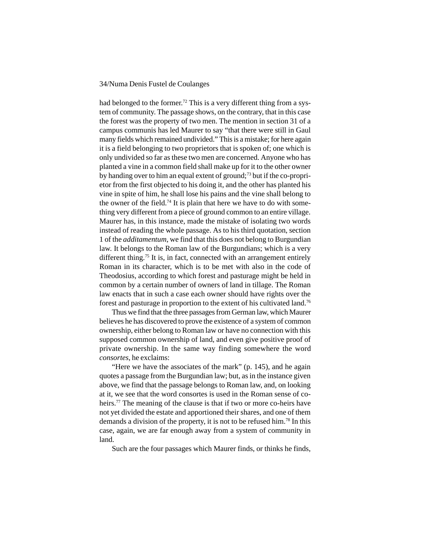had belonged to the former.<sup>72</sup> This is a very different thing from a system of community. The passage shows, on the contrary, that in this case the forest was the property of two men. The mention in section 31 of a campus communis has led Maurer to say "that there were still in Gaul many fields which remained undivided." This is a mistake; for here again it is a field belonging to two proprietors that is spoken of; one which is only undivided so far as these two men are concerned. Anyone who has planted a vine in a common field shall make up for it to the other owner by handing over to him an equal extent of ground;<sup>73</sup> but if the co-proprietor from the first objected to his doing it, and the other has planted his vine in spite of him, he shall lose his pains and the vine shall belong to the owner of the field.<sup>74</sup> It is plain that here we have to do with something very different from a piece of ground common to an entire village. Maurer has, in this instance, made the mistake of isolating two words instead of reading the whole passage. As to his third quotation, section 1 of the *additamentum*, we find that this does not belong to Burgundian law. It belongs to the Roman law of the Burgundians; which is a very different thing.<sup>75</sup> It is, in fact, connected with an arrangement entirely Roman in its character, which is to be met with also in the code of Theodosius, according to which forest and pasturage might be held in common by a certain number of owners of land in tillage. The Roman law enacts that in such a case each owner should have rights over the forest and pasturage in proportion to the extent of his cultivated land.76

Thus we find that the three passages from German law, which Maurer believes he has discovered to prove the existence of a system of common ownership, either belong to Roman law or have no connection with this supposed common ownership of land, and even give positive proof of private ownership. In the same way finding somewhere the word *consortes*, he exclaims:

"Here we have the associates of the mark" (p. 145), and he again quotes a passage from the Burgundian law; but, as in the instance given above, we find that the passage belongs to Roman law, and, on looking at it, we see that the word consortes is used in the Roman sense of coheirs.<sup>77</sup> The meaning of the clause is that if two or more co-heirs have not yet divided the estate and apportioned their shares, and one of them demands a division of the property, it is not to be refused him.78 In this case, again, we are far enough away from a system of community in land.

Such are the four passages which Maurer finds, or thinks he finds,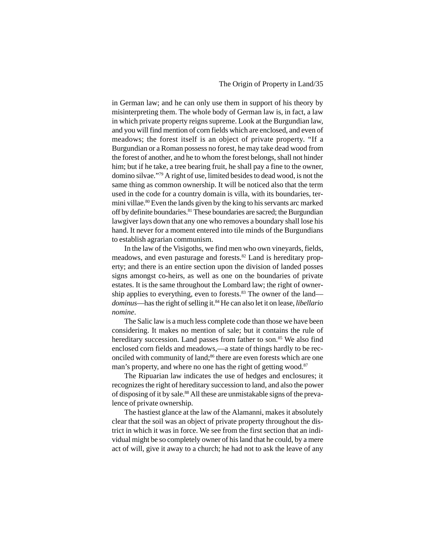in German law; and he can only use them in support of his theory by misinterpreting them. The whole body of German law is, in fact, a law in which private property reigns supreme. Look at the Burgundian law, and you will find mention of corn fields which are enclosed, and even of meadows; the forest itself is an object of private property. "If a Burgundian or a Roman possess no forest, he may take dead wood from the forest of another, and he to whom the forest belongs, shall not hinder him; but if he take, a tree bearing fruit, he shall pay a fine to the owner, domino silvae."79 A right of use, limited besides to dead wood, is not the same thing as common ownership. It will be noticed also that the term used in the code for a country domain is villa, with its boundaries, termini villae.80 Even the lands given by the king to his servants arc marked off by definite boundaries.81 These boundaries are sacred; the Burgundian lawgiver lays down that any one who removes a boundary shall lose his hand. It never for a moment entered into tile minds of the Burgundians to establish agrarian communism.

In the law of the Visigoths, we find men who own vineyards, fields, meadows, and even pasturage and forests.<sup>82</sup> Land is hereditary property; and there is an entire section upon the division of landed posses signs amongst co-heirs, as well as one on the boundaries of private estates. It is the same throughout the Lombard law; the right of ownership applies to everything, even to forests.<sup>83</sup> The owner of the land *dominus*—has the right of selling it.84 He can also let it on lease, *libellario nomine*.

The Salic law is a much less complete code than those we have been considering. It makes no mention of sale; but it contains the rule of hereditary succession. Land passes from father to son.<sup>85</sup> We also find enclosed corn fields and meadows,—a state of things hardly to be reconciled with community of land;<sup>86</sup> there are even forests which are one man's property, and where no one has the right of getting wood.<sup>87</sup>

The Ripuarian law indicates the use of hedges and enclosures; it recognizes the right of hereditary succession to land, and also the power of disposing of it by sale.<sup>88</sup> All these are unmistakable signs of the prevalence of private ownership.

The hastiest glance at the law of the Alamanni, makes it absolutely clear that the soil was an object of private property throughout the district in which it was in force. We see from the first section that an individual might be so completely owner of his land that he could, by a mere act of will, give it away to a church; he had not to ask the leave of any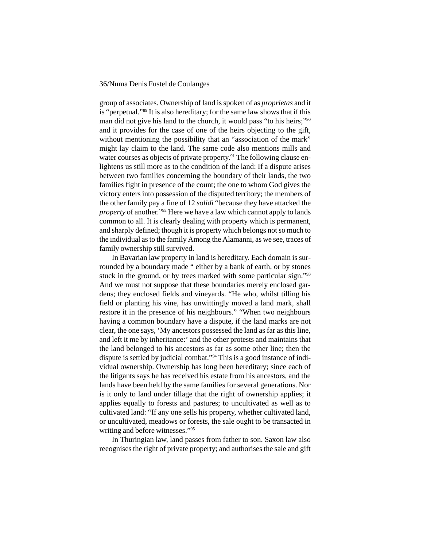group of associates. Ownership of land is spoken of as *proprietas* and it is "perpetual."89 It is also hereditary; for the same law shows that if this man did not give his land to the church, it would pass "to his heirs;"90 and it provides for the case of one of the heirs objecting to the gift, without mentioning the possibility that an "association of the mark" might lay claim to the land. The same code also mentions mills and water courses as objects of private property.<sup>91</sup> The following clause enlightens us still more as to the condition of the land: If a dispute arises between two families concerning the boundary of their lands, the two families fight in presence of the count; the one to whom God gives the victory enters into possession of the disputed territory; the members of the other family pay a fine of 12 *solidi* "because they have attacked the *property* of another."92 Here we have a law which cannot apply to lands common to all. It is clearly dealing with property which is permanent, and sharply defined; though it is property which belongs not so much to the individual as to the family Among the Alamanni, as we see, traces of family ownership still survived.

In Bavarian law property in land is hereditary. Each domain is surrounded by a boundary made " either by a bank of earth, or by stones stuck in the ground, or by trees marked with some particular sign."93 And we must not suppose that these boundaries merely enclosed gardens; they enclosed fields and vineyards. "He who, whilst tilling his field or planting his vine, has unwittingly moved a land mark, shall restore it in the presence of his neighbours." "When two neighbours having a common boundary have a dispute, if the land marks are not clear, the one says, 'My ancestors possessed the land as far as this line, and left it me by inheritance:' and the other protests and maintains that the land belonged to his ancestors as far as some other line; then the dispute is settled by judicial combat."94 This is a good instance of individual ownership. Ownership has long been hereditary; since each of the litigants says he has received his estate from his ancestors, and the lands have been held by the same families for several generations. Nor is it only to land under tillage that the right of ownership applies; it applies equally to forests and pastures; to uncultivated as well as to cultivated land: "If any one sells his property, whether cultivated land, or uncultivated, meadows or forests, the sale ought to be transacted in writing and before witnesses."95

In Thuringian law, land passes from father to son. Saxon law also reeognises the right of private property; and authorises the sale and gift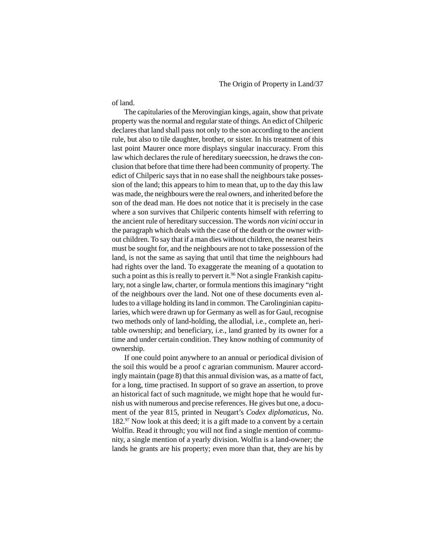of land.

The capitularies of the Merovingian kings, again, show that private property was the normal and regular state of things. An edict of Chilperic declares that land shall pass not only to the son according to the ancient rule, but also to tile daughter, brother, or sister. In his treatment of this last point Maurer once more displays singular inaccuracy. From this law which declares the rule of hereditary sueecssion, he draws the conclusion that before that time there had been community of property. The edict of Chilperic says that in no ease shall the neighbours take possession of the land; this appears to him to mean that, up to the day this law was made, the neighbours were the real owners, and inherited before the son of the dead man. He does not notice that it is precisely in the case where a son survives that Chilperic contents himself with referring to the ancient rule of hereditary succession. The words *non vicini* occur in the paragraph which deals with the case of the death or the owner without children. To say that if a man dies without children, the nearest heirs must be sought for, and the neighbours are not to take possession of the land, is not the same as saying that until that time the neighbours had had rights over the land. To exaggerate the meaning of a quotation to such a point as this is really to pervert it.<sup>96</sup> Not a single Frankish capitulary, not a single law, charter, or formula mentions this imaginary "right of the neighbours over the land. Not one of these documents even alludes to a village holding its land in common. The Carolinginian capitularies, which were drawn up for Germany as well as for Gaul, recognise two methods only of land-holding, the allodial, i.e., complete an, heritable ownership; and beneficiary, i.e., land granted by its owner for a time and under certain condition. They know nothing of community of ownership.

If one could point anywhere to an annual or periodical division of the soil this would be a proof c agrarian communism. Maurer accordingly maintain (page 8) that this annual division was, as a matte of fact, for a long, time practised. In support of so grave an assertion, to prove an historical fact of such magnitude, we might hope that he would furnish us with numerous and precise references. He gives but one, a document of the year 815, printed in Neugart's *Codex diplomaticus*, No. 182.97 Now look at this deed; it is a gift made to a convent by a certain Wolfin. Read it through; you will not find a single mention of community, a single mention of a yearly division. Wolfin is a land-owner; the lands he grants are his property; even more than that, they are his by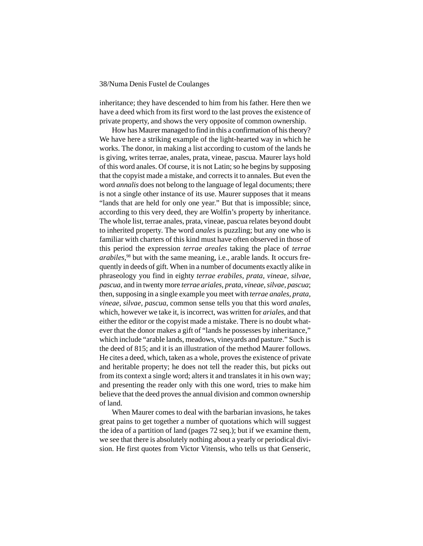inheritance; they have descended to him from his father. Here then we have a deed which from its first word to the last proves the existence of private property, and shows the very opposite of common ownership.

How has Maurer managed to find in this a confirmation of his theory? We have here a striking example of the light-hearted way in which he works. The donor, in making a list according to custom of the lands he is giving, writes terrae, anales, prata, vineae, pascua. Maurer lays hold of this word anales. Of course, it is not Latin; so he begins by supposing that the copyist made a mistake, and corrects it to annales. But even the word *annalis* does not belong to the language of legal documents; there is not a single other instance of its use. Maurer supposes that it means "lands that are held for only one year." But that is impossible; since, according to this very deed, they are Wolfin's property by inheritance. The whole list, terrae anales, prata, vineae, pascua relates beyond doubt to inherited property. The word *anales* is puzzling; but any one who is familiar with charters of this kind must have often observed in those of this period the expression *terrae areales* taking the place of *terrae arabiles,*98 but with the same meaning, i.e., arable lands. It occurs frequently in deeds of gift. When in a number of documents exactly alike in phraseology you find in eighty *terrae erabiles, prata, vineae, silvae, pascua*, and in twenty more *terrae ariales*, *prata*, *vineae, silvae, pascua*; then, supposing in a single example you meet with *terrae anales, prata, vineae, silvae, pascua*, common sense tells you that this word *anales*, which, however we take it, is incorrect, was written for *ariales*, and that either the editor or the copyist made a mistake. There is no doubt whatever that the donor makes a gift of "lands he possesses by inheritance," which include "arable lands, meadows, vineyards and pasture." Such is the deed of 815; and it is an illustration of the method Maurer follows. He cites a deed, which, taken as a whole, proves the existence of private and heritable property; he does not tell the reader this, but picks out from its context a single word; alters it and translates it in his own way; and presenting the reader only with this one word, tries to make him believe that the deed proves the annual division and common ownership of land.

When Maurer comes to deal with the barbarian invasions, he takes great pains to get together a number of quotations which will suggest the idea of a partition of land (pages 72 seq.); but if we examine them, we see that there is absolutely nothing about a yearly or periodical division. He first quotes from Victor Vitensis, who tells us that Genseric,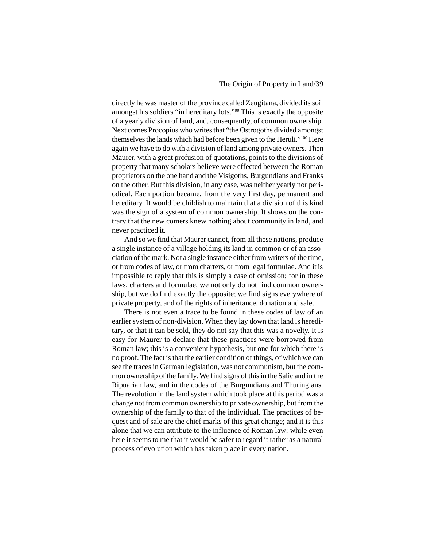directly he was master of the province called Zeugitana, divided its soil amongst his soldiers "in hereditary lots."99 This is exactly the opposite of a yearly division of land, and, consequently, of common ownership. Next comes Procopius who writes that "the Ostrogoths divided amongst themselves the lands which had before been given to the Heruli."100 Here again we have to do with a division of land among private owners. Then Maurer, with a great profusion of quotations, points to the divisions of property that many scholars believe were effected between the Roman proprietors on the one hand and the Visigoths, Burgundians and Franks on the other. But this division, in any case, was neither yearly nor periodical. Each portion became, from the very first day, permanent and hereditary. It would be childish to maintain that a division of this kind was the sign of a system of common ownership. It shows on the contrary that the new comers knew nothing about community in land, and never practiced it.

And so we find that Maurer cannot, from all these nations, produce a single instance of a village holding its land in common or of an association of the mark. Not a single instance either from writers of the time, or from codes of law, or from charters, or from legal formulae. And it is impossible to reply that this is simply a case of omission; for in these laws, charters and formulae, we not only do not find common ownership, but we do find exactly the opposite; we find signs everywhere of private property, and of the rights of inheritance, donation and sale.

There is not even a trace to be found in these codes of law of an earlier system of non-division. When they lay down that land is hereditary, or that it can be sold, they do not say that this was a novelty. It is easy for Maurer to declare that these practices were borrowed from Roman law; this is a convenient hypothesis, but one for which there is no proof. The fact is that the earlier condition of things, of which we can see the traces in German legislation, was not communism, but the common ownership of the family. We find signs of this in the Salic and in the Ripuarian law, and in the codes of the Burgundians and Thuringians. The revolution in the land system which took place at this period was a change not from common ownership to private ownership, but from the ownership of the family to that of the individual. The practices of bequest and of sale are the chief marks of this great change; and it is this alone that we can attribute to the influence of Roman law: while even here it seems to me that it would be safer to regard it rather as a natural process of evolution which has taken place in every nation.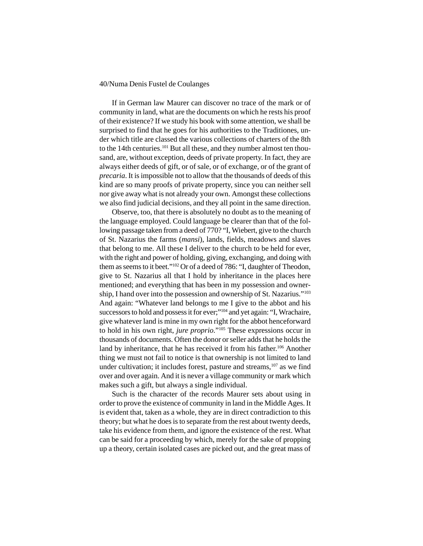If in German law Maurer can discover no trace of the mark or of community in land, what are the documents on which he rests his proof of their existence? If we study his book with some attention, we shall be surprised to find that he goes for his authorities to the Traditiones, under which title are classed the various collections of charters of the 8th to the 14th centuries.101 But all these, and they number almost ten thousand, are, without exception, deeds of private property. In fact, they are always either deeds of gift, or of sale, or of exchange, or of the grant of *precaria*. It is impossible not to allow that the thousands of deeds of this kind are so many proofs of private property, since you can neither sell nor give away what is not already your own. Amongst these collections we also find judicial decisions, and they all point in the same direction.

Observe, too, that there is absolutely no doubt as to the meaning of the language employed. Could language be clearer than that of the following passage taken from a deed of 770? "I, Wiebert, give to the church of St. Nazarius the farms (*mansi*), lands, fields, meadows and slaves that belong to me. All these I deliver to the church to be held for ever, with the right and power of holding, giving, exchanging, and doing with them as seems to it beet."102 Or of a deed of 786: "I, daughter of Theodon, give to St. Nazarius all that I hold by inheritance in the places here mentioned; and everything that has been in my possession and ownership, I hand over into the possession and ownership of St. Nazarius."103 And again: "Whatever land belongs to me I give to the abbot and his successors to hold and possess it for ever;"104 and yet again: "I, Wrachaire, give whatever land is mine in my own right for the abbot henceforward to hold in his own right, *jure proprio*."105 These expressions occur in thousands of documents. Often the donor or seller adds that he holds the land by inheritance, that he has received it from his father.<sup>106</sup> Another thing we must not fail to notice is that ownership is not limited to land under cultivation; it includes forest, pasture and streams,<sup>107</sup> as we find over and over again. And it is never a village community or mark which makes such a gift, but always a single individual.

Such is the character of the records Maurer sets about using in order to prove the existence of community in land in the Middle Ages. It is evident that, taken as a whole, they are in direct contradiction to this theory; but what he does is to separate from the rest about twenty deeds, take his evidence from them, and ignore the existence of the rest. What can be said for a proceeding by which, merely for the sake of propping up a theory, certain isolated cases are picked out, and the great mass of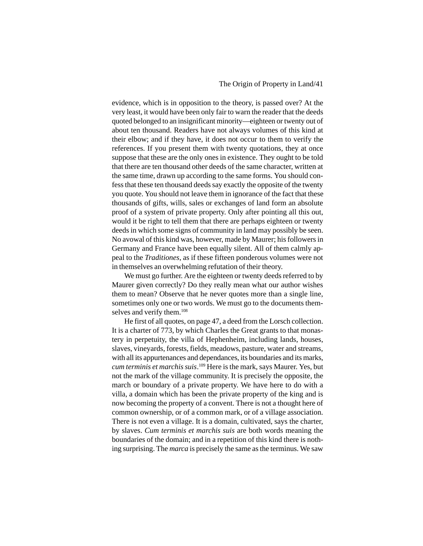evidence, which is in opposition to the theory, is passed over? At the very least, it would have been only fair to warn the reader that the deeds quoted belonged to an insignificant minority—eighteen or twenty out of about ten thousand. Readers have not always volumes of this kind at their elbow; and if they have, it does not occur to them to verify the references. If you present them with twenty quotations, they at once suppose that these are the only ones in existence. They ought to be told that there are ten thousand other deeds of the same character, written at the same time, drawn up according to the same forms. You should confess that these ten thousand deeds say exactly the opposite of the twenty you quote. You should not leave them in ignorance of the fact that these thousands of gifts, wills, sales or exchanges of land form an absolute proof of a system of private property. Only after pointing all this out, would it be right to tell them that there are perhaps eighteen or twenty deeds in which some signs of community in land may possibly be seen. No avowal of this kind was, however, made by Maurer; his followers in Germany and France have been equally silent. All of them calmly appeal to the *Traditiones*, as if these fifteen ponderous volumes were not in themselves an overwhelming refutation of their theory.

We must go further. Are the eighteen or twenty deeds referred to by Maurer given correctly? Do they really mean what our author wishes them to mean? Observe that he never quotes more than a single line, sometimes only one or two words. We must go to the documents themselves and verify them.<sup>108</sup>

He first of all quotes, on page 47, a deed from the Lorsch collection. It is a charter of 773, by which Charles the Great grants to that monastery in perpetuity, the villa of Hephenheim, including lands, houses, slaves, vineyards, forests, fields, meadows, pasture, water and streams, with all its appurtenances and dependances, its boundaries and its marks, *cum terminis et marchis suis*. 109 Here is the mark, says Maurer. Yes, but not the mark of the village community. It is precisely the opposite, the march or boundary of a private property. We have here to do with a villa, a domain which has been the private property of the king and is now becoming the property of a convent. There is not a thought here of common ownership, or of a common mark, or of a village association. There is not even a village. It is a domain, cultivated, says the charter, by slaves. *Cum terminis et marchis suis* are both words meaning the boundaries of the domain; and in a repetition of this kind there is nothing surprising. The *marca* is precisely the same as the terminus. We saw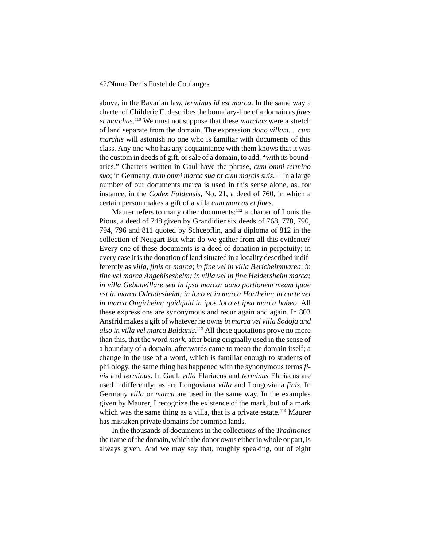above, in the Bavarian law, *terminus id est marca*. In the same way a charter of Childeric II. describes the boundary-line of a domain as *fines et marchas*. 110 We must not suppose that these *marchae* were a stretch of land separate from the domain. The expression *dono villam.... cum marchis* will astonish no one who is familiar with documents of this class. Any one who has any acquaintance with them knows that it was the custom in deeds of gift, or sale of a domain, to add, "with its boundaries." Charters written in Gaul have the phrase, *cum omni termino suo*; in Germany, *cum omni marca sua* or *cum marcis suis*. 111 In a large number of our documents marca is used in this sense alone, as, for instance, in the *Codex Fuldensis*, No. 21, a deed of 760, in which a certain person makes a gift of a villa *cum marcas et fines*.

Maurer refers to many other documents;<sup>112</sup> a charter of Louis the Pious, a deed of 748 given by Grandidier six deeds of 768, 778, 790, 794, 796 and 811 quoted by Schcepflin, and a diploma of 812 in the collection of Neugart But what do we gather from all this evidence? Every one of these documents is a deed of donation in perpetuity; in every case it is the donation of land situated in a locality described indifferently as *villa*, *finis* or *marca*; *in fine vel in villa Bericheimmarea*; *in fine vel marca Angehiseshelm; in villa vel in fine Heidersheim marca; in villa Gebunvillare seu in ipsa marca; dono portionem meam quae est in marca Odradesheim; in loco et in marca Hortheim; in curte vel in marca Ongirheim; quidquid in ipos loco et ipsa marca habeo*. All these expressions are synonymous and recur again and again. In 803 Ansfrid makes a gift of whatever he owns *in marca vel villa Sodoja and also in villa vel marca Baldanis*. 113 All these quotations prove no more than this, that the word *mark*, after being originally used in the sense of a boundary of a domain, afterwards came to mean the domain itself; a change in the use of a word, which is familiar enough to students of philology. the same thing has happened with the synonymous terms *finis* and *terminus*. In Gaul, *villa* Elariacus and *terminus* Elariacus are used indifferently; as are Longoviana *villa* and Longoviana *finis*. In Germany *villa* or *marca* are used in the same way. In the examples given by Maurer, I recognize the existence of the mark, but of a mark which was the same thing as a villa, that is a private estate.<sup>114</sup> Maurer has mistaken private domains for common lands.

In the thousands of documents in the collections of the *Traditiones* the name of the domain, which the donor owns either in whole or part, is always given. And we may say that, roughly speaking, out of eight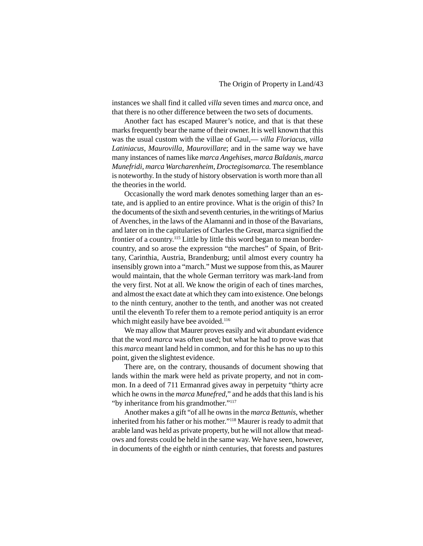instances we shall find it called *villa* seven times and *marca* once, and that there is no other difference between the two sets of documents.

Another fact has escaped Maurer's notice, and that is that these marks frequently bear the name of their owner. It is well known that this was the usual custom with the villae of Gaul,— *villa Floriacus*, *villa Latiniacus*, *Maurovilla*, *Maurovillare*; and in the same way we have many instances of names like *marca Angehises*, *marca Baldanis*, *marca Munefridi*, *marca Warcharenheim*, *Droctegisomarca*. The resemblance is noteworthy. In the study of history observation is worth more than all the theories in the world.

Occasionally the word mark denotes something larger than an estate, and is applied to an entire province. What is the origin of this? In the documents of the sixth and seventh centuries, in the writings of Marius of Avenches, in the laws of the Alamanni and in those of the Bavarians, and later on in the capitularies of Charles the Great, marca signified the frontier of a country.115 Little by little this word began to mean bordercountry, and so arose the expression "the marches" of Spain, of Brittany, Carinthia, Austria, Brandenburg; until almost every country ha insensibly grown into a "march." Must we suppose from this, as Maurer would maintain, that the whole German territory was mark-land from the very first. Not at all. We know the origin of each of tines marches, and almost the exact date at which they cam into existence. One belongs to the ninth century, another to the tenth, and another was not created until the eleventh To refer them to a remote period antiquity is an error which might easily have bee avoided.<sup>116</sup>

We may allow that Maurer proves easily and wit abundant evidence that the word *marca* was often used; but what he had to prove was that this *marca* meant land held in common, and for this he has no up to this point, given the slightest evidence.

There are, on the contrary, thousands of document showing that lands within the mark were held as private property, and not in common. In a deed of 711 Ermanrad gives away in perpetuity "thirty acre which he owns in the *marca Munefred*," and he adds that this land is his "by inheritance from his grandmother."117

Another makes a gift "of all he owns in the *marca Bettunis*, whether inherited from his father or his mother."118 Maurer is ready to admit that arable land was held as private property, but he will not allow that meadows and forests could be held in the same way. We have seen, however, in documents of the eighth or ninth centuries, that forests and pastures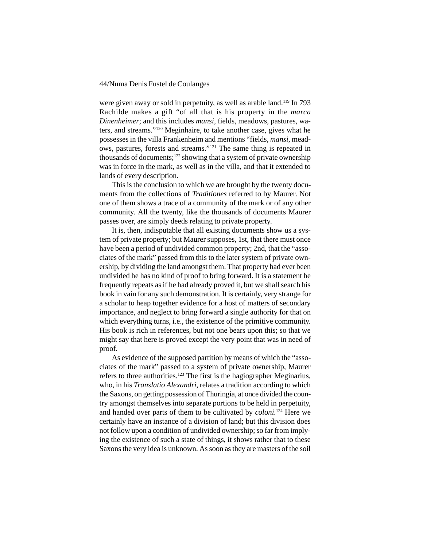were given away or sold in perpetuity, as well as arable land.<sup>119</sup> In 793 Rachilde makes a gift "of all that is his property in the *marca Dinenheimer*; and this includes *mansi*, fields, meadows, pastures, waters, and streams."120 Meginhaire, to take another case, gives what he possesses in the villa Frankenheim and mentions "fields, *mansi*, meadows, pastures, forests and streams."121 The same thing is repeated in thousands of documents;  $122$  showing that a system of private ownership was in force in the mark, as well as in the villa, and that it extended to lands of every description.

This is the conclusion to which we are brought by the twenty documents from the collections of *Traditiones* referred to by Maurer. Not one of them shows a trace of a community of the mark or of any other community. All the twenty, like the thousands of documents Maurer passes over, are simply deeds relating to private property.

It is, then, indisputable that all existing documents show us a system of private property; but Maurer supposes, 1st, that there must once have been a period of undivided common property; 2nd, that the "associates of the mark" passed from this to the later system of private ownership, by dividing the land amongst them. That property had ever been undivided he has no kind of proof to bring forward. It is a statement he frequently repeats as if he had already proved it, but we shall search his book in vain for any such demonstration. It is certainly, very strange for a scholar to heap together evidence for a host of matters of secondary importance, and neglect to bring forward a single authority for that on which everything turns, i.e., the existence of the primitive community. His book is rich in references, but not one bears upon this; so that we might say that here is proved except the very point that was in need of proof.

As evidence of the supposed partition by means of which the "associates of the mark" passed to a system of private ownership, Maurer refers to three authorities.123 The first is the hagiographer Meginarius, who, in his *Translatio Alexandri*, relates a tradition according to which the Saxons, on getting possession of Thuringia, at once divided the country amongst themselves into separate portions to be held in perpetuity, and handed over parts of them to be cultivated by *coloni.*124 Here we certainly have an instance of a division of land; but this division does not follow upon a condition of undivided ownership; so far from implying the existence of such a state of things, it shows rather that to these Saxons the very idea is unknown. As soon as they are masters of the soil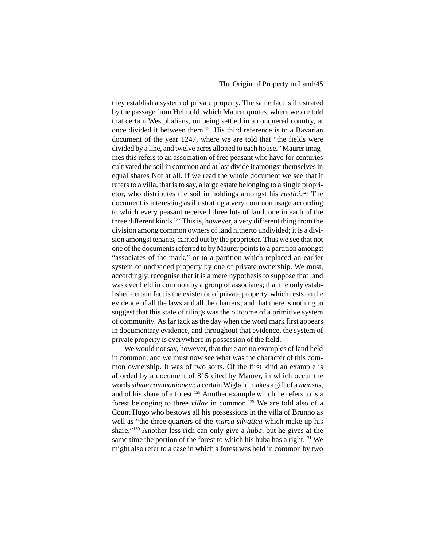# The Origin of Property in Land/45

they establish a system of private property. The same fact is illustrated by the passage from Helmold, which Maurer quotes, where we are told that certain Westphalians, on being settled in a conquered country, at once divided it between them.125 His third reference is to a Bavarian document of the year 1247, where we are told that "the fields were divided by a line, and twelve acres allotted to each house." Maurer imagines this refers to an association of free peasant who have for centuries cultivated the soil in common and at last divide it amongst themselves in equal shares Not at all. If we read the whole document we see that it refers to a villa, that is to say, a large estate belonging to a single proprietor, who distributes the soil in holdings amongst his *rustici*. 126 The document is interesting as illustrating a very common usage according to which every peasant received three lots of land, one in each of the three different kinds.<sup>127</sup> This is, however, a very different thing from the division among common owners of land hitherto undivided; it is a division amongst tenants, carried out by the proprietor. Thus we see that not one of the documents referred to by Maurer points to a partition amongst "associates of the mark," or to a partition which replaced an earlier system of undivided property by one of private ownership. We must, accordingly, recognise that it is a mere hypothesis to suppose that land was ever held in common by a group of associates; that the only established certain fact is the existence of private property, which rests on the evidence of all the laws and all the charters; and that there is nothing to suggest that this state of tilings was the outcome of a primitive system of community. As far tack as the day when the word mark first appears in documentary evidence, and throughout that evidence, the system of private property is everywhere in possession of the field.

We would not say, however, that there are no examples of land held in common; and we must now see what was the character of this common ownership. It was of two sorts. Of the first kind an example is afforded by a document of 815 cited by Maurer, in which occur the words *silvae communionem*; a certain Wigbald makes a gift of a *mansus*, and of his share of a forest.128 Another example which he refers to is a forest belonging to three *villae* in common.<sup>129</sup> We are told also of a Count Hugo who bestows all his possessions in the villa of Brunno as well as "the three quarters of the *marca silvatica* which make up his share."130 Another less rich can only give a *huba*, but he gives at the same time the portion of the forest to which his huba has a right.<sup>131</sup> We might also refer to a case in which a forest was held in common by two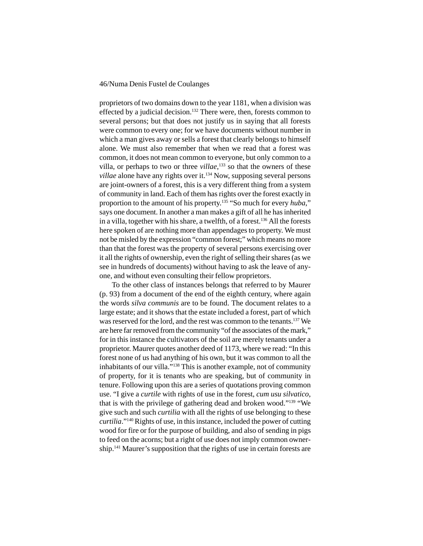proprietors of two domains down to the year 1181, when a division was effected by a judicial decision.<sup>132</sup> There were, then, forests common to several persons; but that does not justify us in saying that all forests were common to every one; for we have documents without number in which a man gives away or sells a forest that clearly belongs to himself alone. We must also remember that when we read that a forest was common, it does not mean common to everyone, but only common to a villa, or perhaps to two or three *villae*, 133 so that the owners of these *villae* alone have any rights over it.<sup>134</sup> Now, supposing several persons are joint-owners of a forest, this is a very different thing from a system of community in land. Each of them has rights over the forest exactly in proportion to the amount of his property.135 "So much for every *huba*," says one document. In another a man makes a gift of all he has inherited in a villa, together with his share, a twelfth, of a forest.<sup>136</sup> All the forests here spoken of are nothing more than appendages to property. We must not be misled by the expression "common forest;" which means no more than that the forest was the property of several persons exercising over it all the rights of ownership, even the right of selling their shares (as we see in hundreds of documents) without having to ask the leave of anyone, and without even consulting their fellow proprietors.

To the other class of instances belongs that referred to by Maurer (p. 93) from a document of the end of the eighth century, where again the words *silva communis* are to be found. The document relates to a large estate; and it shows that the estate included a forest, part of which was reserved for the lord, and the rest was common to the tenants.137 We are here far removed from the community "of the associates of the mark," for in this instance the cultivators of the soil are merely tenants under a proprietor. Maurer quotes another deed of 1173, where we read: "In this forest none of us had anything of his own, but it was common to all the inhabitants of our villa."138 This is another example, not of community of property, for it is tenants who are speaking, but of community in tenure. Following upon this are a series of quotations proving common use. "I give a *curtile* with rights of use in the forest, *cum usu silvatico*, that is with the privilege of gathering dead and broken wood."139 "We give such and such *curtilia* with all the rights of use belonging to these *curtilia*."140 Rights of use, in this instance, included the power of cutting wood for fire or for the purpose of building, and also of sending in pigs to feed on the acorns; but a right of use does not imply common ownership.<sup>141</sup> Maurer's supposition that the rights of use in certain forests are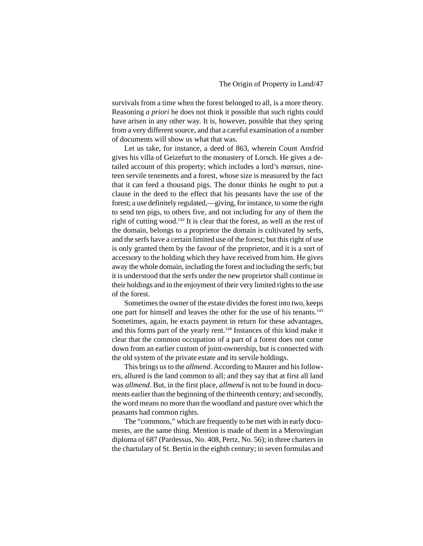survivals from a time when the forest belonged to all, is a more theory. Reasoning *a priori* he does not think it possible that such rights could have arisen in any other way. It is, however, possible that they spring from a very different source, and that a careful examination of a number of documents will show us what that was.

Let us take, for instance, a deed of 863, wherein Count Ansfrid gives his villa of Geizefurt to the monastery of Lorsch. He gives a detailed account of this property; which includes a lord's *mansus*, nineteen servile tenements and a forest, whose size is measured by the fact that it can feed a thousand pigs. The donor thinks he ought to put a clause in the deed to the effect that his peasants have the use of the forest; a use definitely regulated,—giving, for instance, to some the right to send ten pigs, to others five, and not including for any of them the right of cutting wood.142 It is clear that the forest, as well as the rest of the domain, belongs to a proprietor the domain is cultivated by serfs, and the serfs have a certain limited use of the forest; but this right of use is only granted them by the favour of the proprietor, and it is a sort of accessory to the holding which they have received from him. He gives away the whole domain, including the forest and including the serfs; but it is understood that the serfs under the new proprietor shall continue in their holdings and in the enjoyment of their very limited rights to the use of the forest.

Sometimes the owner of the estate divides the forest into two, keeps one part for himself and leaves the other for the use of his tenants.143 Sometimes, again, he exacts payment in return for these advantages, and this forms part of the yearly rent.144 Instances of this kind make it clear that the common occupation of a part of a forest does not come down from an earlier custom of joint-ownership, but is connected with the old system of the private estate and its servile holdings.

This brings us to the *allmend*. According to Maurer and his followers, allured is the land common to all; and they say that at first all land was *allmend*. But, in the first place, *allmend* is not to be found in documents earlier than the beginning of the thirteenth century; and secondly, the word means no more than the woodland and pasture over which the peasants had common rights.

The "commons," which are frequently to be met with in early documents, are the same thing. Mention is made of them in a Merovingian diploma of 687 (Pardessus, No. 408, Pertz, No. 56); in three charters in the chartulary of St. Bertin in the eighth century; in seven formulas and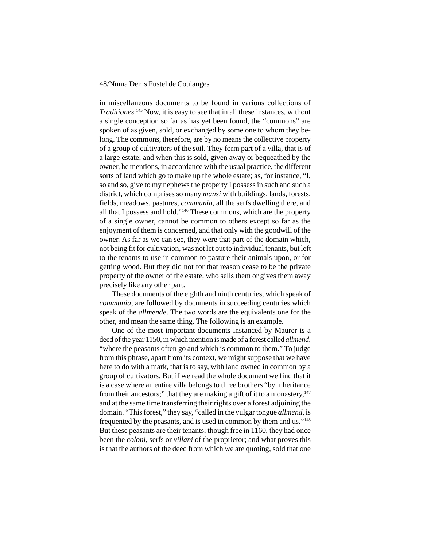in miscellaneous documents to be found in various collections of *Traditiones*. 145 Now, it is easy to see that in all these instances, without a single conception so far as has yet been found, the "commons" are spoken of as given, sold, or exchanged by some one to whom they belong. The commons, therefore, are by no means the collective property of a group of cultivators of the soil. They form part of a villa, that is of a large estate; and when this is sold, given away or bequeathed by the owner, he mentions, in accordance with the usual practice, the different sorts of land which go to make up the whole estate; as, for instance, "I, so and so, give to my nephews the property I possess in such and such a district, which comprises so many *mansi* with buildings, lands, forests, fields, meadows, pastures, *communia*, all the serfs dwelling there, and all that I possess and hold."146 These commons, which are the property of a single owner, cannot be common to others except so far as the enjoyment of them is concerned, and that only with the goodwill of the owner. As far as we can see, they were that part of the domain which, not being fit for cultivation, was not let out to individual tenants, but left to the tenants to use in common to pasture their animals upon, or for getting wood. But they did not for that reason cease to be the private property of the owner of the estate, who sells them or gives them away precisely like any other part.

These documents of the eighth and ninth centuries, which speak of *communia*, are followed by documents in succeeding centuries which speak of the *allmende*. The two words are the equivalents one for the other, and mean the same thing. The following is an example.

One of the most important documents instanced by Maurer is a deed of the year 1150, in which mention is made of a forest called *allmend*, "where the peasants often go and which is common to them." To judge from this phrase, apart from its context, we might suppose that we have here to do with a mark, that is to say, with land owned in common by a group of cultivators. But if we read the whole document we find that it is a case where an entire villa belongs to three brothers "by inheritance from their ancestors;" that they are making a gift of it to a monastery, $147$ and at the same time transferring their rights over a forest adjoining the domain. "This forest," they say, "called in the vulgar tongue *allmend*, is frequented by the peasants, and is used in common by them and us."148 But these peasants are their tenants; though free in 1160, they had once been the *coloni*, serfs or *villani* of the proprietor; and what proves this is that the authors of the deed from which we are quoting, sold that one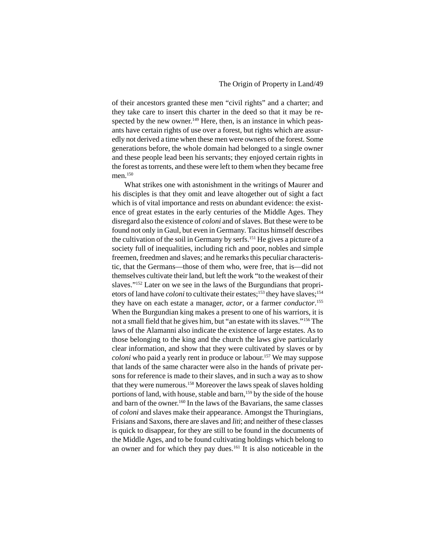of their ancestors granted these men "civil rights" and a charter; and they take care to insert this charter in the deed so that it may be respected by the new owner.<sup>149</sup> Here, then, is an instance in which peasants have certain rights of use over a forest, but rights which are assuredly not derived a time when these men were owners of the forest. Some generations before, the whole domain had belonged to a single owner and these people lead been his servants; they enjoyed certain rights in the forest as torrents, and these were left to them when they became free men.<sup>150</sup>

What strikes one with astonishment in the writings of Maurer and his disciples is that they omit and leave altogether out of sight a fact which is of vital importance and rests on abundant evidence: the existence of great estates in the early centuries of the Middle Ages. They disregard also the existence of *coloni* and of slaves. But these were to be found not only in Gaul, but even in Germany. Tacitus himself describes the cultivation of the soil in Germany by serfs.151 He gives a picture of a society full of inequalities, including rich and poor, nobles and simple freemen, freedmen and slaves; and he remarks this peculiar characteristic, that the Germans—those of them who, were free, that is—did not themselves cultivate their land, but left the work "to the weakest of their slaves."152 Later on we see in the laws of the Burgundians that proprietors of land have *coloni* to cultivate their estates;<sup>153</sup> they have slaves;<sup>154</sup> they have on each estate a manager, *actor*, or a farmer *conductor*. 155 When the Burgundian king makes a present to one of his warriors, it is not a small field that he gives him, but "an estate with its slaves."156 The laws of the Alamanni also indicate the existence of large estates. As to those belonging to the king and the church the laws give particularly clear information, and show that they were cultivated by slaves or by *coloni* who paid a yearly rent in produce or labour.<sup>157</sup> We may suppose that lands of the same character were also in the hands of private persons for reference is made to their slaves, and in such a way as to show that they were numerous.158 Moreover the laws speak of slaves holding portions of land, with house, stable and barn,<sup>159</sup> by the side of the house and barn of the owner.160 In the laws of the Bavarians, the same classes of *coloni* and slaves make their appearance. Amongst the Thuringians, Frisians and Saxons, there are slaves and *liti*; and neither of these classes is quick to disappear, for they are still to be found in the documents of the Middle Ages, and to be found cultivating holdings which belong to an owner and for which they pay dues.161 It is also noticeable in the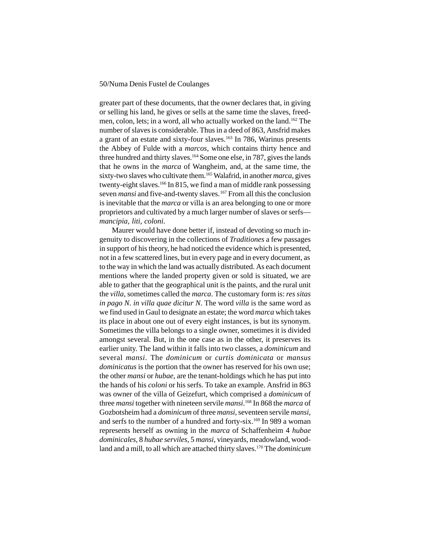greater part of these documents, that the owner declares that, in giving or selling his land, he gives or sells at the same time the slaves, freedmen, colon, lets; in a word, all who actually worked on the land.162 The number of slaves is considerable. Thus in a deed of 863, Ansfrid makes a grant of an estate and sixty-four slaves.<sup>163</sup> In 786, Warinus presents the Abbey of Fulde with a *marcos*, which contains thirty hence and three hundred and thirty slaves.<sup>164</sup> Some one else, in 787, gives the lands that he owns in the *marca* of Wangheim, and, at the same time, the sixty-two slaves who cultivate them.165 Walafrid, in another *marca*, gives twenty-eight slaves.166 In 815, we find a man of middle rank possessing seven *mansi* and five-and-twenty slaves.<sup>167</sup> From all this the conclusion is inevitable that the *marca* or villa is an area belonging to one or more proprietors and cultivated by a much larger number of slaves or serfs *mancipia, liti, coloni*.

Maurer would have done better if, instead of devoting so much ingenuity to discovering in the collections of *Traditiones* a few passages in support of his theory, he had noticed the evidence which is presented, not in a few scattered lines, but in every page and in every document, as to the way in which the land was actually distributed. As each document mentions where the landed property given or sold is situated, we are able to gather that the geographical unit is the paints, and the rural unit the *villa*, sometimes called the *marca*. The customary form is: *res sitas in pago N. in villa quae dicitur N*. The word *villa* is the same word as we find used in Gaul to designate an estate; the word *marca* which takes its place in about one out of every eight instances, is but its synonym. Sometimes the villa belongs to a single owner, sometimes it is divided amongst several. But, in the one case as in the other, it preserves its earlier unity. The land within it falls into two classes, a *dominicum* and several *mansi*. The *dominicum* or *curtis dominicata* or *mansus dominicatus* is the portion that the owner has reserved for his own use; the other *mansi* or *hubae*, are the tenant-holdings which he has put into the hands of his *coloni* or his serfs. To take an example. Ansfrid in 863 was owner of the villa of Geizefurt, which comprised a *dominicum* of three *mansi* together with nineteen servile *mansi*. 168 In 868 the *marca* of Gozbotsheim had a *dominicum* of three *mansi*, seventeen servile *mansi*, and serfs to the number of a hundred and forty-six.<sup>169</sup> In 989 a woman represents herself as owning in the *marca* of Schaffenheim 4 *hubae dominicales*, 8 *hubae serviles*, 5 *mansi*, vineyards, meadowland, woodland and a mill, to all which are attached thirty slaves.170 The *dominicum*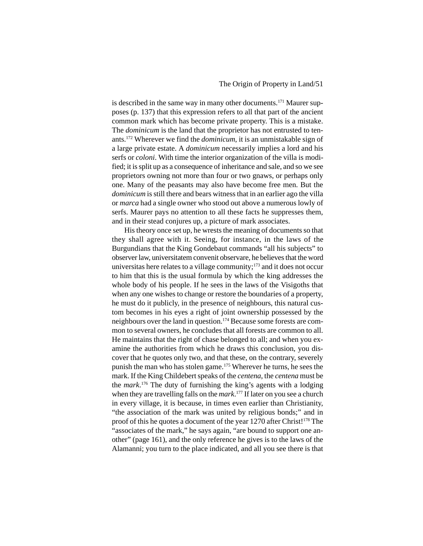is described in the same way in many other documents.<sup>171</sup> Maurer supposes (p. 137) that this expression refers to all that part of the ancient common mark which has become private property. This is a mistake. The *dominicum* is the land that the proprietor has not entrusted to tenants.172 Wherever we find the *dominicum*, it is an unmistakable sign of a large private estate. A *dominicum* necessarily implies a lord and his serfs or *coloni*. With time the interior organization of the villa is modified; it is split up as a consequence of inheritance and sale, and so we see proprietors owning not more than four or two gnaws, or perhaps only one. Many of the peasants may also have become free men. But the *dominicum* is still there and bears witness that in an earlier ago the villa or *marca* had a single owner who stood out above a numerous lowly of serfs. Maurer pays no attention to all these facts he suppresses them, and in their stead conjures up, a picture of mark associates.

His theory once set up, he wrests the meaning of documents so that they shall agree with it. Seeing, for instance, in the laws of the Burgundians that the King Gondebaut commands "all his subjects" to observer law, universitatem convenit observare, he believes that the word universitas here relates to a village community;<sup>173</sup> and it does not occur to him that this is the usual formula by which the king addresses the whole body of his people. If he sees in the laws of the Visigoths that when any one wishes to change or restore the boundaries of a property, he must do it publicly, in the presence of neighbours, this natural custom becomes in his eyes a right of joint ownership possessed by the neighbours over the land in question.174 Because some forests are common to several owners, he concludes that all forests are common to all. He maintains that the right of chase belonged to all; and when you examine the authorities from which he draws this conclusion, you discover that he quotes only two, and that these, on the contrary, severely punish the man who has stolen game.175 Wherever he turns, he sees the mark. If the King Childebert speaks of the *centena*, the *centena* must be the *mark*. 176 The duty of furnishing the king's agents with a lodging when they are travelling falls on the *mark*. 177 If later on you see a church in every village, it is because, in times even earlier than Christianity, "the association of the mark was united by religious bonds;" and in proof of this he quotes a document of the year 1270 after Christ!178 The "associates of the mark," he says again, "are bound to support one another" (page 161), and the only reference he gives is to the laws of the Alamanni; you turn to the place indicated, and all you see there is that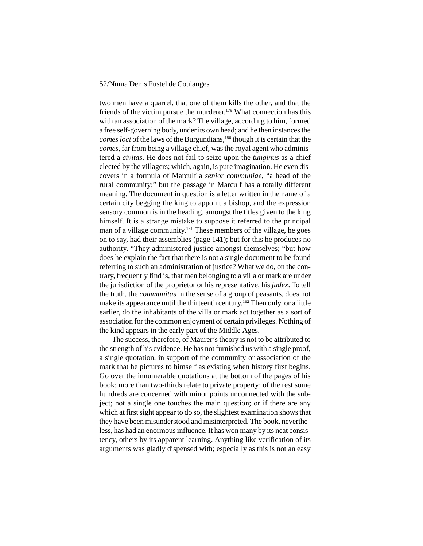two men have a quarrel, that one of them kills the other, and that the friends of the victim pursue the murderer.179 What connection has this with an association of the mark? The village, according to him, formed a free self-governing body, under its own head; and he then instances the *comes loci* of the laws of the Burgundians,<sup>180</sup> though it is certain that the *comes*, far from being a village chief, was the royal agent who administered a *civitas*. He does not fail to seize upon the *tunginus* as a chief elected by the villagers; which, again, is pure imagination. He even discovers in a formula of Marculf a *senior communiae*, "a head of the rural community;" but the passage in Marculf has a totally different meaning. The document in question is a letter written in the name of a certain city begging the king to appoint a bishop, and the expression sensory common is in the heading, amongst the titles given to the king himself. It is a strange mistake to suppose it referred to the principal man of a village community.<sup>181</sup> These members of the village, he goes on to say, had their assemblies (page 141); but for this he produces no authority. "They administered justice amongst themselves; "but how does he explain the fact that there is not a single document to be found referring to such an administration of justice? What we do, on the contrary, frequently find is, that men belonging to a villa or mark are under the jurisdiction of the proprietor or his representative, his *judex*. To tell the truth, the *communitas* in the sense of a group of peasants, does not make its appearance until the thirteenth century.<sup>182</sup> Then only, or a little earlier, do the inhabitants of the villa or mark act together as a sort of association for the common enjoyment of certain privileges. Nothing of the kind appears in the early part of the Middle Ages.

The success, therefore, of Maurer's theory is not to be attributed to the strength of his evidence. He has not furnished us with a single proof, a single quotation, in support of the community or association of the mark that he pictures to himself as existing when history first begins. Go over the innumerable quotations at the bottom of the pages of his book: more than two-thirds relate to private property; of the rest some hundreds are concerned with minor points unconnected with the subject; not a single one touches the main question; or if there are any which at first sight appear to do so, the slightest examination shows that they have been misunderstood and misinterpreted. The book, nevertheless, has had an enormous influence. It has won many by its neat consistency, others by its apparent learning. Anything like verification of its arguments was gladly dispensed with; especially as this is not an easy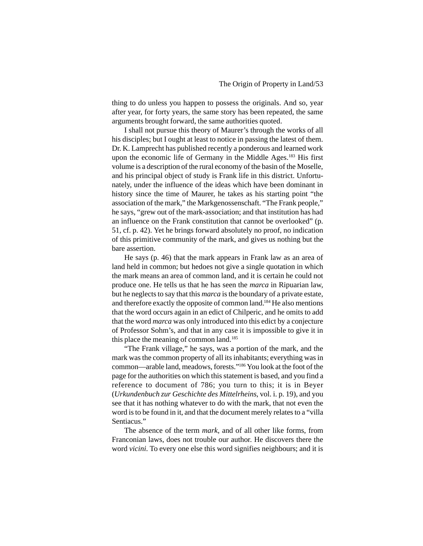thing to do unless you happen to possess the originals. And so, year after year, for forty years, the same story has been repeated, the same arguments brought forward, the same authorities quoted.

I shall not pursue this theory of Maurer's through the works of all his disciples; but I ought at least to notice in passing the latest of them. Dr. K. Lamprecht has published recently a ponderous and learned work upon the economic life of Germany in the Middle Ages.<sup>183</sup> His first volume is a description of the rural economy of the basin of the Moselle, and his principal object of study is Frank life in this district. Unfortunately, under the influence of the ideas which have been dominant in history since the time of Maurer, he takes as his starting point "the association of the mark," the Markgenossenschaft. "The Frank people," he says, "grew out of the mark-association; and that institution has had an influence on the Frank constitution that cannot be overlooked" (p. 51, cf. p. 42). Yet he brings forward absolutely no proof, no indication of this primitive community of the mark, and gives us nothing but the bare assertion.

He says (p. 46) that the mark appears in Frank law as an area of land held in common; but hedoes not give a single quotation in which the mark means an area of common land, and it is certain he could not produce one. He tells us that he has seen the *marca* in Ripuarian law, but he neglects to say that this *marca* is the boundary of a private estate, and therefore exactly the opposite of common land.184 He also mentions that the word occurs again in an edict of Chilperic, and he omits to add that the word *marca* was only introduced into this edict by a conjecture of Professor Sohm's, and that in any case it is impossible to give it in this place the meaning of common land.<sup>185</sup>

"The Frank village," he says, was a portion of the mark, and the mark was the common property of all its inhabitants; everything was in common—arable land, meadows, forests."186 You look at the foot of the page for the authorities on which this statement is based, and you find a reference to document of 786; you turn to this; it is in Beyer (*Urkundenbuch zur Geschichte des Mittelrheins*, vol. i. p. 19), and you see that it has nothing whatever to do with the mark, that not even the word is to be found in it, and that the document merely relates to a "villa Sentiacus."

The absence of the term *mark*, and of all other like forms, from Franconian laws, does not trouble our author. He discovers there the word *vicini*. To every one else this word signifies neighbours; and it is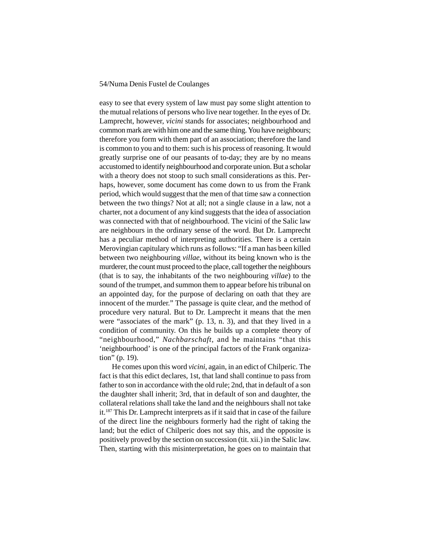easy to see that every system of law must pay some slight attention to the mutual relations of persons who live near together. In the eyes of Dr. Lamprecht, however, *vicini* stands for associates; neighbourhood and common mark are with him one and the same thing. You have neighbours; therefore you form with them part of an association; therefore the land is common to you and to them: such is his process of reasoning. It would greatly surprise one of our peasants of to-day; they are by no means accustomed to identify neighbourhood and corporate union. But a scholar with a theory does not stoop to such small considerations as this. Perhaps, however, some document has come down to us from the Frank period, which would suggest that the men of that time saw a connection between the two things? Not at all; not a single clause in a law, not a charter, not a document of any kind suggests that the idea of association was connected with that of neighbourhood. The vicini of the Salic law are neighbours in the ordinary sense of the word. But Dr. Lamprecht has a peculiar method of interpreting authorities. There is a certain Merovingian capitulary which runs as follows: "If a man has been killed between two neighbouring *villae*, without its being known who is the murderer, the count must proceed to the place, call together the neighbours (that is to say, the inhabitants of the two neighbouring *villae*) to the sound of the trumpet, and summon them to appear before his tribunal on an appointed day, for the purpose of declaring on oath that they are innocent of the murder." The passage is quite clear, and the method of procedure very natural. But to Dr. Lamprecht it means that the men were "associates of the mark" (p. 13, n. 3), and that they lived in a condition of community. On this he builds up a complete theory of "neighbourhood," *Nachbarschaft*, and he maintains "that this 'neighbourhood' is one of the principal factors of the Frank organization" (p. 19).

He comes upon this word *vicini*, again, in an edict of Chilperic. The fact is that this edict declares, 1st, that land shall continue to pass from father to son in accordance with the old rule; 2nd, that in default of a son the daughter shall inherit; 3rd, that in default of son and daughter, the collateral relations shall take the land and the neighbours shall not take it.187 This Dr. Lamprecht interprets as if it said that in case of the failure of the direct line the neighbours formerly had the right of taking the land; but the edict of Chilperic does not say this, and the opposite is positively proved by the section on succession (tit. xii.) in the Salic law. Then, starting with this misinterpretation, he goes on to maintain that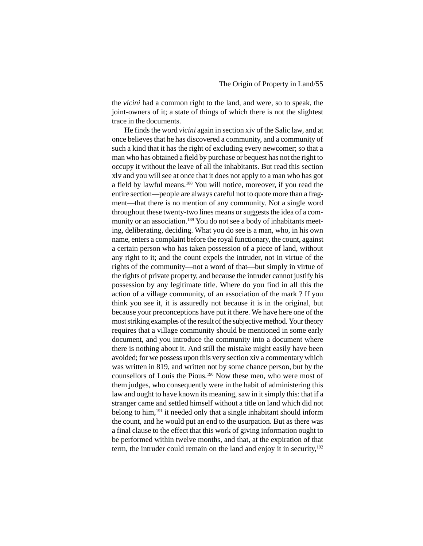the *vicini* had a common right to the land, and were, so to speak, the joint-owners of it; a state of things of which there is not the slightest trace in the documents.

He finds the word *vicini* again in section xiv of the Salic law, and at once believes that he has discovered a community, and a community of such a kind that it has the right of excluding every newcomer; so that a man who has obtained a field by purchase or bequest has not the right to occupy it without the leave of all the inhabitants. But read this section xlv and you will see at once that it does not apply to a man who has got a field by lawful means.188 You will notice, moreover, if you read the entire section—people are always careful not to quote more than a fragment—that there is no mention of any community. Not a single word throughout these twenty-two lines means or suggests the idea of a community or an association.<sup>189</sup> You do not see a body of inhabitants meeting, deliberating, deciding. What you do see is a man, who, in his own name, enters a complaint before the royal functionary, the count, against a certain person who has taken possession of a piece of land, without any right to it; and the count expels the intruder, not in virtue of the rights of the community—not a word of that—but simply in virtue of the rights of private property, and because the intruder cannot justify his possession by any legitimate title. Where do you find in all this the action of a village community, of an association of the mark ? If you think you see it, it is assuredly not because it is in the original, but because your preconceptions have put it there. We have here one of the most striking examples of the result of the subjective method. Your theory requires that a village community should be mentioned in some early document, and you introduce the community into a document where there is nothing about it. And still the mistake might easily have been avoided; for we possess upon this very section xiv a commentary which was written in 819, and written not by some chance person, but by the counsellors of Louis the Pious.190 Now these men, who were most of them judges, who consequently were in the habit of administering this law and ought to have known its meaning, saw in it simply this: that if a stranger came and settled himself without a title on land which did not belong to him,191 it needed only that a single inhabitant should inform the count, and he would put an end to the usurpation. But as there was a final clause to the effect that this work of giving information ought to be performed within twelve months, and that, at the expiration of that term, the intruder could remain on the land and enjoy it in security,<sup>192</sup>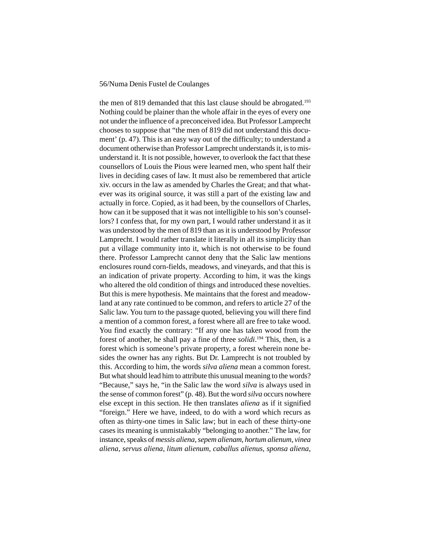the men of 819 demanded that this last clause should be abrogated.193 Nothing could be plainer than the whole affair in the eyes of every one not under the influence of a preconceived idea. But Professor Lamprecht chooses to suppose that "the men of 819 did not understand this document' (p. 47). This is an easy way out of the difficulty; to understand a document otherwise than Professor Lamprecht understands it, is to misunderstand it. It is not possible, however, to overlook the fact that these counsellors of Louis the Pious were learned men, who spent half their lives in deciding cases of law. It must also be remembered that article xiv. occurs in the law as amended by Charles the Great; and that whatever was its original source, it was still a part of the existing law and actually in force. Copied, as it had been, by the counsellors of Charles, how can it be supposed that it was not intelligible to his son's counsellors? I confess that, for my own part, I would rather understand it as it was understood by the men of 819 than as it is understood by Professor Lamprecht. I would rather translate it literally in all its simplicity than put a village community into it, which is not otherwise to be found there. Professor Lamprecht cannot deny that the Salic law mentions enclosures round corn-fields, meadows, and vineyards, and that this is an indication of private property. According to him, it was the kings who altered the old condition of things and introduced these novelties. But this is mere hypothesis. Me maintains that the forest and meadowland at any rate continued to be common, and refers to article 27 of the Salic law. You turn to the passage quoted, believing you will there find a mention of a common forest, a forest where all are free to take wood. You find exactly the contrary: "If any one has taken wood from the forest of another, he shall pay a fine of three *solidi*. 194 This, then, is a forest which is someone's private property, a forest wherein none besides the owner has any rights. But Dr. Lamprecht is not troubled by this. According to him, the words *silva aliena* mean a common forest. But what should lead him to attribute this unusual meaning to the words? "Because," says he, "in the Salic law the word *silva* is always used in the sense of common forest" (p. 48). But the word *silva* occurs nowhere else except in this section. He then translates *aliena* as if it signified "foreign." Here we have, indeed, to do with a word which recurs as often as thirty-one times in Salic law; but in each of these thirty-one cases its meaning is unmistakably "belonging to another." The law, for instance, speaks of *messis aliena*, *sepem alienam*, *hortum alienum*, *vinea aliena*, *servus aliena*, *litum alienum*, *caballus alienus*, *sponsa aliena*,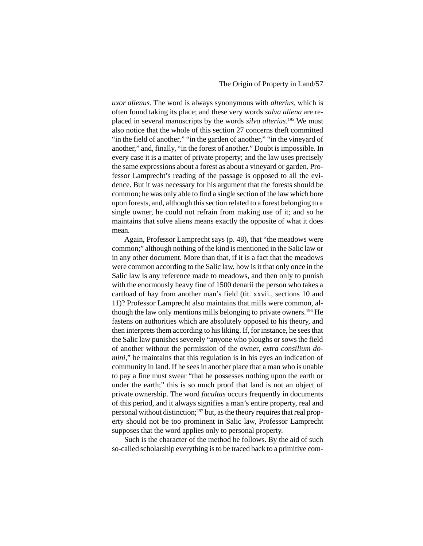*uxor alienus*. The word is always synonymous with *alterius*, which is often found taking its place; and these very words *salva aliena* are replaced in several manuscripts by the words *silva alterius*. 195 We must also notice that the whole of this section 27 concerns theft committed "in the field of another," "in the garden of another," "in the vineyard of another," and, finally, "in the forest of another." Doubt is impossible. In every case it is a matter of private property; and the law uses precisely the same expressions about a forest as about a vineyard or garden. Professor Lamprecht's reading of the passage is opposed to all the evidence. But it was necessary for his argument that the forests should be common; he was only able to find a single section of the law which bore upon forests, and, although this section related to a forest belonging to a single owner, he could not refrain from making use of it; and so he maintains that solve aliens means exactly the opposite of what it does mean.

Again, Professor Lamprecht says (p. 48), that "the meadows were common;" although nothing of the kind is mentioned in the Salic law or in any other document. More than that, if it is a fact that the meadows were common according to the Salic law, how is it that only once in the Salic law is any reference made to meadows, and then only to punish with the enormously heavy fine of 1500 denarii the person who takes a cartload of hay from another man's field (tit. xxvii., sections 10 and 11)? Professor Lamprecht also maintains that mills were common, although the law only mentions mills belonging to private owners.<sup>196</sup> He fastens on authorities which are absolutely opposed to his theory, and then interprets them according to his liking. If, for instance, he sees that the Salic law punishes severely "anyone who ploughs or sows the field of another without the permission of the owner, *extra consilium domini*," he maintains that this regulation is in his eyes an indication of community in land. If he sees in another place that a man who is unable to pay a fine must swear "that he possesses nothing upon the earth or under the earth;" this is so much proof that land is not an object of private ownership. The word *facultas* occurs frequently in documents of this period, and it always signifies a man's entire property, real and personal without distinction;197 but, as the theory requires that real property should not be too prominent in Salic law, Professor Lamprecht supposes that the word applies only to personal property.

Such is the character of the method he follows. By the aid of such so-called scholarship everything is to be traced back to a primitive com-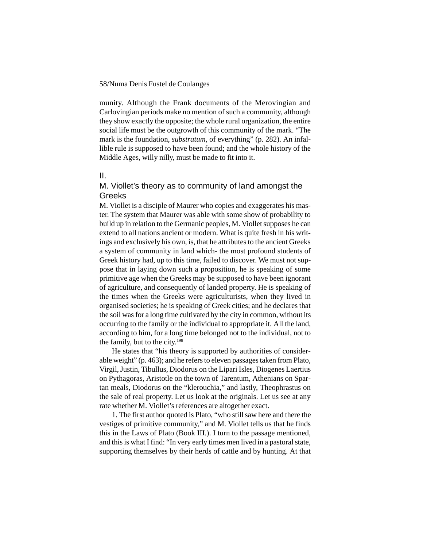munity. Although the Frank documents of the Merovingian and Carlovingian periods make no mention of such a community, although they show exactly the opposite; the whole rural organization, the entire social life must be the outgrowth of this community of the mark. "The mark is the foundation, *substratum*, of everything" (p. 282). An infallible rule is supposed to have been found; and the whole history of the Middle Ages, willy nilly, must be made to fit into it.

#### II.

# M. Viollet's theory as to community of land amongst the Greeks

M. Viollet is a disciple of Maurer who copies and exaggerates his master. The system that Maurer was able with some show of probability to build up in relation to the Germanic peoples, M. Viollet supposes he can extend to all nations ancient or modern. What is quite fresh in his writings and exclusively his own, is, that he attributes to the ancient Greeks a system of community in land which- the most profound students of Greek history had, up to this time, failed to discover. We must not suppose that in laying down such a proposition, he is speaking of some primitive age when the Greeks may be supposed to have been ignorant of agriculture, and consequently of landed property. He is speaking of the times when the Greeks were agriculturists, when they lived in organised societies; he is speaking of Greek cities; and he declares that the soil was for a long time cultivated by the city in common, without its occurring to the family or the individual to appropriate it. All the land, according to him, for a long time belonged not to the individual, not to the family, but to the city.198

He states that "his theory is supported by authorities of considerable weight" (p. 463); and he refers to eleven passages taken from Plato, Virgil, Justin, Tibullus, Diodorus on the Lipari Isles, Diogenes Laertius on Pythagoras, Aristotle on the town of Tarentum, Athenians on Spartan meals, Diodorus on the "klerouchia," and lastly, Theophrastus on the sale of real property. Let us look at the originals. Let us see at any rate whether M. Viollet's references are altogether exact.

1. The first author quoted is Plato, "who still saw here and there the vestiges of primitive community," and M. Viollet tells us that he finds this in the Laws of Plato (Book III.). I turn to the passage mentioned, and this is what I find: "In very early times men lived in a pastoral state, supporting themselves by their herds of cattle and by hunting. At that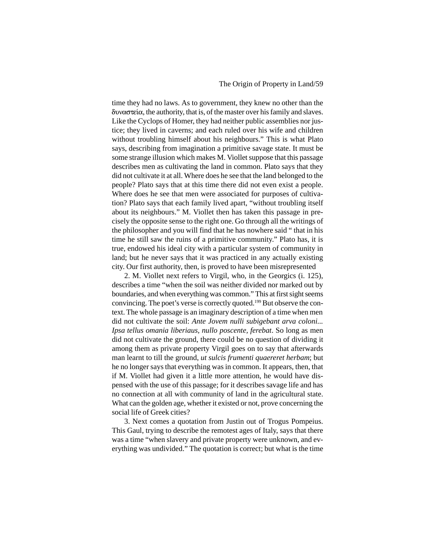time they had no laws. As to government, they knew no other than the  $\delta$   $\alpha$ , the authority, that is, of the master over his family and slaves. Like the Cyclops of Homer, they had neither public assemblies nor justice; they lived in caverns; and each ruled over his wife and children without troubling himself about his neighbours." This is what Plato says, describing from imagination a primitive savage state. It must be some strange illusion which makes M. Viollet suppose that this passage describes men as cultivating the land in common. Plato says that they did not cultivate it at all. Where does he see that the land belonged to the people? Plato says that at this time there did not even exist a people. Where does he see that men were associated for purposes of cultivation? Plato says that each family lived apart, "without troubling itself about its neighbours." M. Viollet then has taken this passage in precisely the opposite sense to the right one. Go through all the writings of the philosopher and you will find that he has nowhere said " that in his time he still saw the ruins of a primitive community." Plato has, it is true, endowed his ideal city with a particular system of community in land; but he never says that it was practiced in any actually existing city. Our first authority, then, is proved to have been misrepresented

2. M. Viollet next refers to Virgil, who, in the Georgics (i. 125), describes a time "when the soil was neither divided nor marked out by boundaries, and when everything was common." This at first sight seems convincing. The poet's verse is correctly quoted.199 But observe the context. The whole passage is an imaginary description of a time when men did not cultivate the soil: *Ante Jovem nulli subigebant arva coloni... Ipsa tellus omania liberiaus, nullo poscente, ferebat*. So long as men did not cultivate the ground, there could be no question of dividing it among them as private property Virgil goes on to say that afterwards man learnt to till the ground, *ut sulcis frumenti quaereret herbam*; but he no longer says that everything was in common. It appears, then, that if M. Viollet had given it a little more attention, he would have dispensed with the use of this passage; for it describes savage life and has no connection at all with community of land in the agricultural state. What can the golden age, whether it existed or not, prove concerning the social life of Greek cities?

3. Next comes a quotation from Justin out of Trogus Pompeius. This Gaul, trying to describe the remotest ages of Italy, says that there was a time "when slavery and private property were unknown, and everything was undivided." The quotation is correct; but what is the time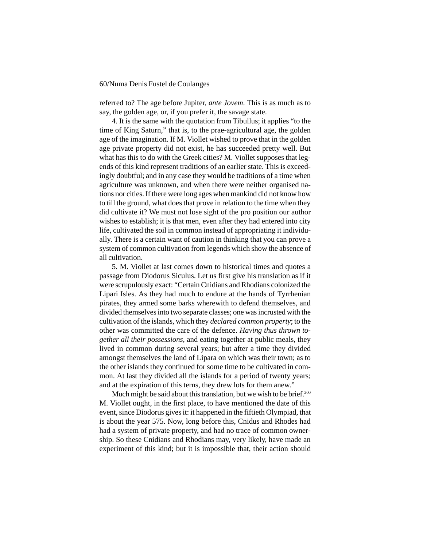referred to? The age before Jupiter, *ante Jovem*. This is as much as to say, the golden age, or, if you prefer it, the savage state.

4. It is the same with the quotation from Tibullus; it applies "to the time of King Saturn," that is, to the prae-agricultural age, the golden age of the imagination. If M. Viollet wished to prove that in the golden age private property did not exist, he has succeeded pretty well. But what has this to do with the Greek cities? M. Viollet supposes that legends of this kind represent traditions of an earlier state. This is exceedingly doubtful; and in any case they would be traditions of a time when agriculture was unknown, and when there were neither organised nations nor cities. If there were long ages when mankind did not know how to till the ground, what does that prove in relation to the time when they did cultivate it? We must not lose sight of the pro position our author wishes to establish; it is that men, even after they had entered into city life, cultivated the soil in common instead of appropriating it individually. There is a certain want of caution in thinking that you can prove a system of common cultivation from legends which show the absence of all cultivation.

5. M. Viollet at last comes down to historical times and quotes a passage from Diodorus Siculus. Let us first give his translation as if it were scrupulously exact: "Certain Cnidians and Rhodians colonized the Lipari Isles. As they had much to endure at the hands of Tyrrhenian pirates, they armed some barks wherewith to defend themselves, and divided themselves into two separate classes; one was incrusted with the cultivation of the islands, which they *declared common property*; to the other was committed the care of the defence. *Having thus thrown together all their possessions*, and eating together at public meals, they lived in common during several years; but after a time they divided amongst themselves the land of Lipara on which was their town; as to the other islands they continued for some time to be cultivated in common. At last they divided all the islands for a period of twenty years; and at the expiration of this terns, they drew lots for them anew."

Much might be said about this translation, but we wish to be brief.<sup>200</sup> M. Viollet ought, in the first place, to have mentioned the date of this event, since Diodorus gives it: it happened in the fiftieth Olympiad, that is about the year 575. Now, long before this, Cnidus and Rhodes had had a system of private property, and had no trace of common ownership. So these Cnidians and Rhodians may, very likely, have made an experiment of this kind; but it is impossible that, their action should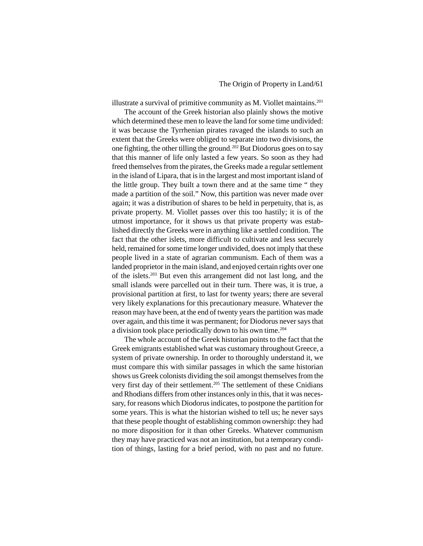illustrate a survival of primitive community as M. Viollet maintains.201

The account of the Greek historian also plainly shows the motive which determined these men to leave the land for some time undivided: it was because the Tyrrhenian pirates ravaged the islands to such an extent that the Greeks were obliged to separate into two divisions, the one fighting, the other tilling the ground.202 But Diodorus goes on to say that this manner of life only lasted a few years. So soon as they had freed themselves from the pirates, the Greeks made a regular settlement in the island of Lipara, that is in the largest and most important island of the little group. They built a town there and at the same time " they made a partition of the soil." Now, this partition was never made over again; it was a distribution of shares to be held in perpetuity, that is, as private property. M. Viollet passes over this too hastily; it is of the utmost importance, for it shows us that private property was established directly the Greeks were in anything like a settled condition. The fact that the other islets, more difficult to cultivate and less securely held, remained for some time longer undivided, does not imply that these people lived in a state of agrarian communism. Each of them was a landed proprietor in the main island, and enjoyed certain rights over one of the islets.203 But even this arrangement did not last long, and the small islands were parcelled out in their turn. There was, it is true, a provisional partition at first, to last for twenty years; there are several very likely explanations for this precautionary measure. Whatever the reason may have been, at the end of twenty years the partition was made over again, and this time it was permanent; for Diodorus never says that a division took place periodically down to his own time.204

The whole account of the Greek historian points to the fact that the Greek emigrants established what was customary throughout Greece, a system of private ownership. In order to thoroughly understand it, we must compare this with similar passages in which the same historian shows us Greek colonists dividing the soil amongst themselves from the very first day of their settlement.205 The settlement of these Cnidians and Rhodians differs from other instances only in this, that it was necessary, for reasons which Diodorus indicates, to postpone the partition for some years. This is what the historian wished to tell us; he never says that these people thought of establishing common ownership: they had no more disposition for it than other Greeks. Whatever communism they may have practiced was not an institution, but a temporary condition of things, lasting for a brief period, with no past and no future.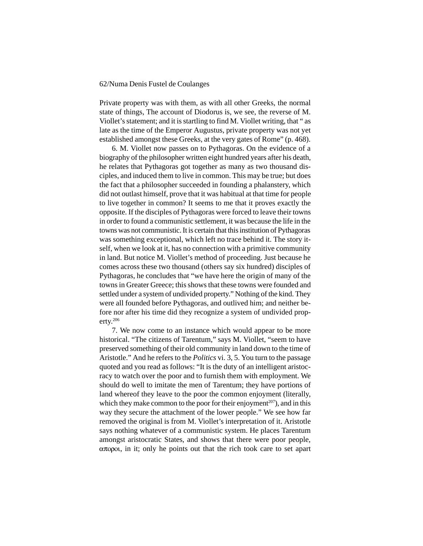Private property was with them, as with all other Greeks, the normal state of things, The account of Diodorus is, we see, the reverse of M. Viollet's statement; and it is startling to find M. Viollet writing, that " as late as the time of the Emperor Augustus, private property was not yet established amongst these Greeks, at the very gates of Rome" (p. 468).

6. M. Viollet now passes on to Pythagoras. On the evidence of a biography of the philosopher written eight hundred years after his death, he relates that Pythagoras got together as many as two thousand disciples, and induced them to live in common. This may be true; but does the fact that a philosopher succeeded in founding a phalanstery, which did not outlast himself, prove that it was habitual at that time for people to live together in common? It seems to me that it proves exactly the opposite. If the disciples of Pythagoras were forced to leave their towns in order to found a communistic settlement, it was because the life in the towns was not communistic. It is certain that this institution of Pythagoras was something exceptional, which left no trace behind it. The story itself, when we look at it, has no connection with a primitive community in land. But notice M. Viollet's method of proceeding. Just because he comes across these two thousand (others say six hundred) disciples of Pythagoras, he concludes that "we have here the origin of many of the towns in Greater Greece; this shows that these towns were founded and settled under a system of undivided property." Nothing of the kind. They were all founded before Pythagoras, and outlived him; and neither before nor after his time did they recognize a system of undivided property.206

7. We now come to an instance which would appear to be more historical. "The citizens of Tarentum," says M. Viollet, "seem to have preserved something of their old community in land down to the time of Aristotle." And he refers to the *Politics* vi. 3, 5. You turn to the passage quoted and you read as follows: "It is the duty of an intelligent aristocracy to watch over the poor and to furnish them with employment. We should do well to imitate the men of Tarentum; they have portions of land whereof they leave to the poor the common enjoyment (literally, which they make common to the poor for their enjoyment<sup>207</sup>), and in this way they secure the attachment of the lower people." We see how far removed the original is from M. Viollet's interpretation of it. Aristotle says nothing whatever of a communistic system. He places Tarentum amongst aristocratic States, and shows that there were poor people,  $\alpha \pi$  opou, in it; only he points out that the rich took care to set apart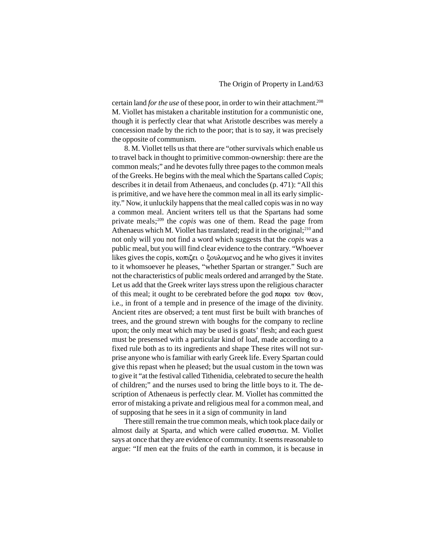certain land *for the use* of these poor, in order to win their attachment.<sup>208</sup> M. Viollet has mistaken a charitable institution for a communistic one, though it is perfectly clear that what Aristotle describes was merely a concession made by the rich to the poor; that is to say, it was precisely the opposite of communism.

8. M. Viollet tells us that there are "other survivals which enable us to travel back in thought to primitive common-ownership: there are the common meals;" and he devotes fully three pages to the common meals of the Greeks. He begins with the meal which the Spartans called *Copis*; describes it in detail from Athenaeus, and concludes (p. 471): "All this is primitive, and we have here the common meal in all its early simplicity." Now, it unluckily happens that the meal called copis was in no way a common meal. Ancient writers tell us that the Spartans had some private meals;209 the *copis* was one of them. Read the page from Athenaeus which M. Viollet has translated; read it in the original; $^{210}$  and not only will you not find a word which suggests that the *copis* was a public meal, but you will find clear evidence to the contrary. "Whoever likes gives the copis,  $\kappa$ o $\pi$ i $\zeta$ et o  $\xi$ ov $\lambda$ o $\mu$ evo $\zeta$  and he who gives it invites to it whomsoever he pleases, "whether Spartan or stranger." Such are not the characteristics of public meals ordered and arranged by the State. Let us add that the Greek writer lays stress upon the religious character of this meal; it ought to be cerebrated before the god  $\pi \alpha \rho \alpha$  tov  $\theta \epsilon$ ov, i.e., in front of a temple and in presence of the image of the divinity. Ancient rites are observed; a tent must first be built with branches of trees, and the ground strewn with boughs for the company to recline upon; the only meat which may be used is goats' flesh; and each guest must be presensed with a particular kind of loaf, made according to a fixed rule both as to its ingredients and shape These rites will not surprise anyone who is familiar with early Greek life. Every Spartan could give this repast when he pleased; but the usual custom in the town was to give it "at the festival called Tithenidia, celebrated to secure the health of children;" and the nurses used to bring the little boys to it. The description of Athenaeus is perfectly clear. M. Viollet has committed the error of mistaking a private and religious meal for a common meal, and of supposing that he sees in it a sign of community in land

There still remain the true common meals, which took place daily or almost daily at Sparta, and which were called  $\sigma \nu \sigma \sigma \nu \tau \nu \alpha$ . M. Viollet says at once that they are evidence of community. It seems reasonable to argue: "If men eat the fruits of the earth in common, it is because in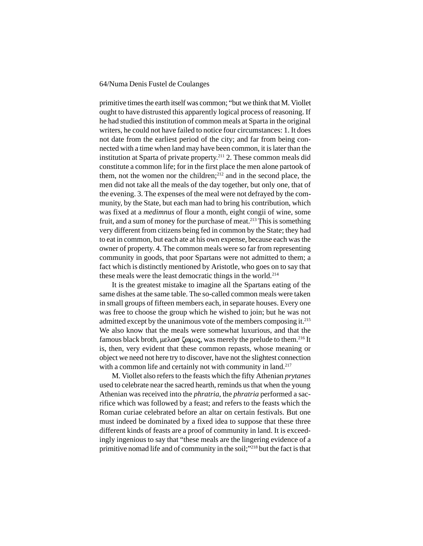primitive times the earth itself was common; "but we think that M. Viollet ought to have distrusted this apparently logical process of reasoning. If he had studied this institution of common meals at Sparta in the original writers, he could not have failed to notice four circumstances: 1. It does not date from the earliest period of the city; and far from being connected with a time when land may have been common, it is later than the institution at Sparta of private property.211 2. These common meals did constitute a common life; for in the first place the men alone partook of them, not the women nor the children; $^{212}$  and in the second place, the men did not take all the meals of the day together, but only one, that of the evening. 3. The expenses of the meal were not defrayed by the community, by the State, but each man had to bring his contribution, which was fixed at a *medimnus* of flour a month, eight congii of wine, some fruit, and a sum of money for the purchase of meat.213 This is something very different from citizens being fed in common by the State; they had to eat in common, but each ate at his own expense, because each was the owner of property. 4. The common meals were so far from representing community in goods, that poor Spartans were not admitted to them; a fact which is distinctly mentioned by Aristotle, who goes on to say that these meals were the least democratic things in the world.214

It is the greatest mistake to imagine all the Spartans eating of the same dishes at the same table. The so-called common meals were taken in small groups of fifteen members each, in separate houses. Every one was free to choose the group which he wished to join; but he was not admitted except by the unanimous vote of the members composing it.215 We also know that the meals were somewhat luxurious, and that the famous black broth,  $\mu \in \Lambda$   $\alpha \sigma$   $\zeta$   $\omega \mu$   $\alpha$ , was merely the prelude to them.<sup>216</sup> It is, then, very evident that these common repasts, whose meaning or object we need not here try to discover, have not the slightest connection with a common life and certainly not with community in land.<sup>217</sup>

M. Viollet also refers to the feasts which the fifty Athenian *prytanes* used to celebrate near the sacred hearth, reminds us that when the young Athenian was received into the *phratria*, the *phratria* performed a sacrifice which was followed by a feast; and refers to the feasts which the Roman curiae celebrated before an altar on certain festivals. But one must indeed be dominated by a fixed idea to suppose that these three different kinds of feasts are a proof of community in land. It is exceedingly ingenious to say that "these meals are the lingering evidence of a primitive nomad life and of community in the soil;"218 but the fact is that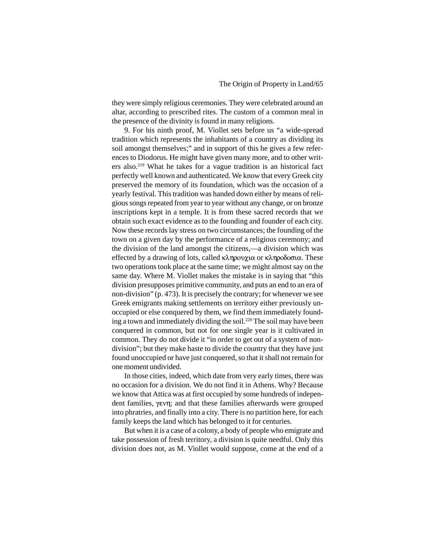they were simply religious ceremonies. They were celebrated around an altar, according to prescribed rites. The custom of a common meal in the presence of the divinity is found in many religions.

9. For his ninth proof, M. Viollet sets before us "a wide-spread tradition which represents the inhabitants of a country as dividing its soil amongst themselves;" and in support of this he gives a few references to Diodorus. He might have given many more, and to other writers also.219 What he takes for a vague tradition is an historical fact perfectly well known and authenticated. We know that every Greek city preserved the memory of its foundation, which was the occasion of a yearly festival. This tradition was handed down either by means of religious songs repeated from year to year without any change, or on bronze inscriptions kept in a temple. It is from these sacred records that we obtain such exact evidence as to the founding and founder of each city. Now these records lay stress on two circumstances; the founding of the town on a given day by the performance of a religious ceremony; and the division of the land amongst the citizens,—a division which was effected by a drawing of lots, called κληρουχια or κληροδοσια. These two operations took place at the same time; we might almost say on the same day. Where M. Viollet makes the mistake is in saying that "this division presupposes primitive community, and puts an end to an era of non-division" (p. 473). It is precisely the contrary; for whenever we see Greek emigrants making settlements on territory either previously unoccupied or else conquered by them, we find them immediately founding a town and immediately dividing the soil.220 The soil may have been conquered in common, but not for one single year is it cultivated in common. They do not divide it "in order to get out of a system of nondivision"; but they make haste to divide the country that they have just found unoccupied or have just conquered, so that it shall not remain for one moment undivided.

In those cities, indeed, which date from very early times, there was no occasion for a division. We do not find it in Athens. Why? Because we know that Attica was at first occupied by some hundreds of independent families,  $\gamma$ evn; and that these families afterwards were grouped into phratries, and finally into a city. There is no partition here, for each family keeps the land which has belonged to it for centuries.

But when it is a case of a colony, a body of people who emigrate and take possession of fresh territory, a division is quite needful. Only this division does not, as M. Viollet would suppose, come at the end of a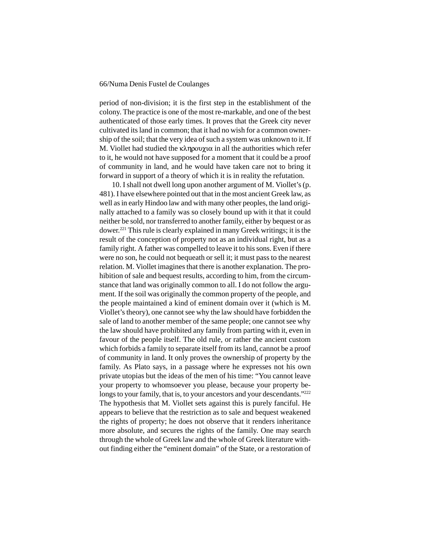period of non-division; it is the first step in the establishment of the colony. The practice is one of the most re-markable, and one of the best authenticated of those early times. It proves that the Greek city never cultivated its land in common; that it had no wish for a common ownership of the soil; that the very idea of such a system was unknown to it. If M. Viollet had studied the  $\kappa\lambda\eta\rho\chi\chi\chi$  in all the authorities which refer to it, he would not have supposed for a moment that it could be a proof of community in land, and he would have taken care not to bring it forward in support of a theory of which it is in reality the refutation.

10. I shall not dwell long upon another argument of M. Viollet's (p. 481). I have elsewhere pointed out that in the most ancient Greek law, as well as in early Hindoo law and with many other peoples, the land originally attached to a family was so closely bound up with it that it could neither be sold, nor transferred to another family, either by bequest or as dower.221 This rule is clearly explained in many Greek writings; it is the result of the conception of property not as an individual right, but as a family right. A father was compelled to leave it to his sons. Even if there were no son, he could not bequeath or sell it; it must pass to the nearest relation. M. Viollet imagines that there is another explanation. The prohibition of sale and bequest results, according to him, from the circumstance that land was originally common to all. I do not follow the argument. If the soil was originally the common property of the people, and the people maintained a kind of eminent domain over it (which is M. Viollet's theory), one cannot see why the law should have forbidden the sale of land to another member of the same people; one cannot see why the law should have prohibited any family from parting with it, even in favour of the people itself. The old rule, or rather the ancient custom which forbids a family to separate itself from its land, cannot be a proof of community in land. It only proves the ownership of property by the family. As Plato says, in a passage where he expresses not his own private utopias but the ideas of the men of his time: "You cannot leave your property to whomsoever you please, because your property belongs to your family, that is, to your ancestors and your descendants."<sup>222</sup> The hypothesis that M. Viollet sets against this is purely fanciful. He appears to believe that the restriction as to sale and bequest weakened the rights of property; he does not observe that it renders inheritance more absolute, and secures the rights of the family. One may search through the whole of Greek law and the whole of Greek literature without finding either the "eminent domain" of the State, or a restoration of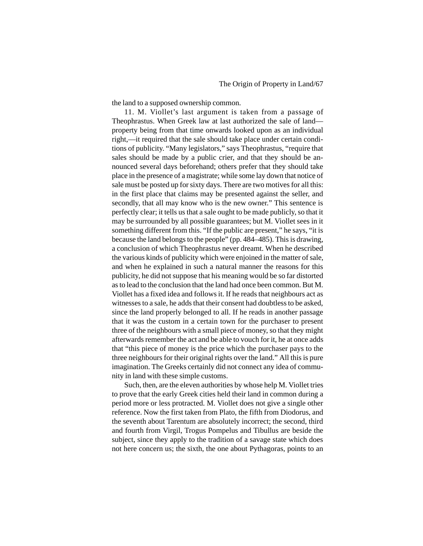the land to a supposed ownership common.

11. M. Viollet's last argument is taken from a passage of Theophrastus. When Greek law at last authorized the sale of land property being from that time onwards looked upon as an individual right,—it required that the sale should take place under certain conditions of publicity. "Many legislators," says Theophrastus, "require that sales should be made by a public crier, and that they should be announced several days beforehand; others prefer that they should take place in the presence of a magistrate; while some lay down that notice of sale must be posted up for sixty days. There are two motives for all this: in the first place that claims may be presented against the seller, and secondly, that all may know who is the new owner." This sentence is perfectly clear; it tells us that a sale ought to be made publicly, so that it may be surrounded by all possible guarantees; but M. Viollet sees in it something different from this. "If the public are present," he says, "it is because the land belongs to the people" (pp. 484–485). This is drawing, a conclusion of which Theophrastus never dreamt. When he described the various kinds of publicity which were enjoined in the matter of sale, and when he explained in such a natural manner the reasons for this publicity, he did not suppose that his meaning would be so far distorted as to lead to the conclusion that the land had once been common. But M. Viollet has a fixed idea and follows it. If he reads that neighbours act as witnesses to a sale, he adds that their consent had doubtless to be asked, since the land properly belonged to all. If he reads in another passage that it was the custom in a certain town for the purchaser to present three of the neighbours with a small piece of money, so that they might afterwards remember the act and be able to vouch for it, he at once adds that "this piece of money is the price which the purchaser pays to the three neighbours for their original rights over the land." All this is pure imagination. The Greeks certainly did not connect any idea of community in land with these simple customs.

Such, then, are the eleven authorities by whose help M. Viollet tries to prove that the early Greek cities held their land in common during a period more or less protracted. M. Viollet does not give a single other reference. Now the first taken from Plato, the fifth from Diodorus, and the seventh about Tarentum are absolutely incorrect; the second, third and fourth from Virgil, Trogus Pompelus and Tibullus are beside the subject, since they apply to the tradition of a savage state which does not here concern us; the sixth, the one about Pythagoras, points to an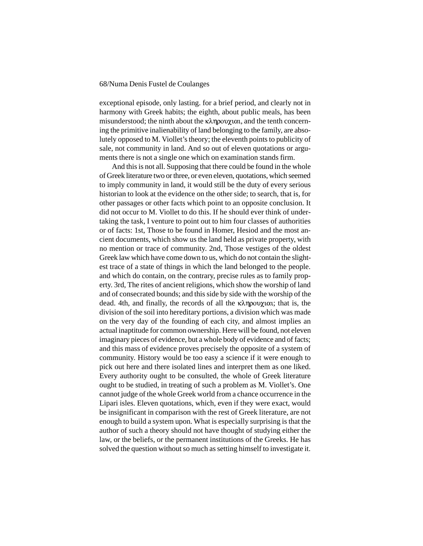exceptional episode, only lasting. for a brief period, and clearly not in harmony with Greek habits; the eighth, about public meals, has been misunderstood; the ninth about the  $\kappa\lambda \eta \rho \partial \gamma \chi$  and the tenth concerning the primitive inalienability of land belonging to the family, are absolutely opposed to M. Viollet's theory; the eleventh points to publicity of sale, not community in land. And so out of eleven quotations or arguments there is not a single one which on examination stands firm.

And this is not all. Supposing that there could be found in the whole of Greek literature two or three, or even eleven, quotations, which seemed to imply community in land, it would still be the duty of every serious historian to look at the evidence on the other side; to search, that is, for other passages or other facts which point to an opposite conclusion. It did not occur to M. Viollet to do this. If he should ever think of undertaking the task, I venture to point out to him four classes of authorities or of facts: 1st, Those to be found in Homer, Hesiod and the most ancient documents, which show us the land held as private property, with no mention or trace of community. 2nd, Those vestiges of the oldest Greek law which have come down to us, which do not contain the slightest trace of a state of things in which the land belonged to the people. and which do contain, on the contrary, precise rules as to family property. 3rd, The rites of ancient religions, which show the worship of land and of consecrated bounds; and this side by side with the worship of the dead. 4th, and finally, the records of all the  $\kappa\lambda \eta \rho \partial \psi$  and is, the division of the soil into hereditary portions, a division which was made on the very day of the founding of each city, and almost implies an actual inaptitude for common ownership. Here will be found, not eleven imaginary pieces of evidence, but a whole body of evidence and of facts; and this mass of evidence proves precisely the opposite of a system of community. History would be too easy a science if it were enough to pick out here and there isolated lines and interpret them as one liked. Every authority ought to be consulted, the whole of Greek literature ought to be studied, in treating of such a problem as M. Viollet's. One cannot judge of the whole Greek world from a chance occurrence in the Lipari isles. Eleven quotations, which, even if they were exact, would be insignificant in comparison with the rest of Greek literature, are not enough to build a system upon. What is especially surprising is that the author of such a theory should not have thought of studying either the law, or the beliefs, or the permanent institutions of the Greeks. He has solved the question without so much as setting himself to investigate it.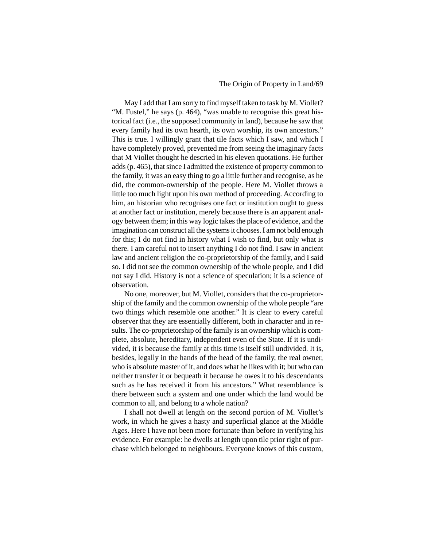# The Origin of Property in Land/69

May I add that I am sorry to find myself taken to task by M. Viollet? "M. Fustel," he says (p. 464), "was unable to recognise this great historical fact (i.e., the supposed community in land), because he saw that every family had its own hearth, its own worship, its own ancestors." This is true. I willingly grant that tile facts which I saw, and which I have completely proved, prevented me from seeing the imaginary facts that M Viollet thought he descried in his eleven quotations. He further adds (p. 465), that since I admitted the existence of property common to the family, it was an easy thing to go a little further and recognise, as he did, the common-ownership of the people. Here M. Viollet throws a little too much light upon his own method of proceeding. According to him, an historian who recognises one fact or institution ought to guess at another fact or institution, merely because there is an apparent analogy between them; in this way logic takes the place of evidence, and the imagination can construct all the systems it chooses. I am not bold enough for this; I do not find in history what I wish to find, but only what is there. I am careful not to insert anything I do not find. I saw in ancient law and ancient religion the co-proprietorship of the family, and I said so. I did not see the common ownership of the whole people, and I did not say I did. History is not a science of speculation; it is a science of observation.

No one, moreover, but M. Viollet, considers that the co-proprietorship of the family and the common ownership of the whole people "are two things which resemble one another." It is clear to every careful observer that they are essentially different, both in character and in results. The co-proprietorship of the family is an ownership which is complete, absolute, hereditary, independent even of the State. If it is undivided, it is because the family at this time is itself still undivided. It is, besides, legally in the hands of the head of the family, the real owner, who is absolute master of it, and does what he likes with it; but who can neither transfer it or bequeath it because he owes it to his descendants such as he has received it from his ancestors." What resemblance is there between such a system and one under which the land would be common to all, and belong to a whole nation?

I shall not dwell at length on the second portion of M. Viollet's work, in which he gives a hasty and superficial glance at the Middle Ages. Here I have not been more fortunate than before in verifying his evidence. For example: he dwells at length upon tile prior right of purchase which belonged to neighbours. Everyone knows of this custom,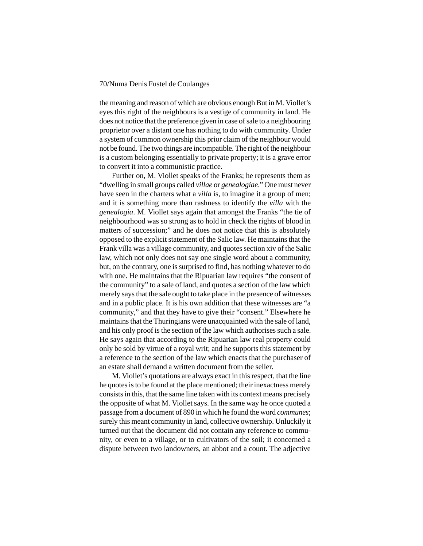the meaning and reason of which are obvious enough But in M. Viollet's eyes this right of the neighbours is a vestige of community in land. He does not notice that the preference given in case of sale to a neighbouring proprietor over a distant one has nothing to do with community. Under a system of common ownership this prior claim of the neighbour would not be found. The two things are incompatible. The right of the neighbour is a custom belonging essentially to private property; it is a grave error to convert it into a communistic practice.

Further on, M. Viollet speaks of the Franks; he represents them as "dwelling in small groups called *villae* or *genealogiae*." One must never have seen in the charters what a *villa* is, to imagine it a group of men; and it is something more than rashness to identify the *villa* with the *genealogia*. M. Viollet says again that amongst the Franks "the tie of neighbourhood was so strong as to hold in check the rights of blood in matters of succession;" and he does not notice that this is absolutely opposed to the explicit statement of the Salic law. He maintains that the Frank villa was a village community, and quotes section xiv of the Salic law, which not only does not say one single word about a community, but, on the contrary, one is surprised to find, has nothing whatever to do with one. He maintains that the Ripuarian law requires "the consent of the community" to a sale of land, and quotes a section of the law which merely says that the sale ought to take place in the presence of witnesses and in a public place. It is his own addition that these witnesses are "a community," and that they have to give their "consent." Elsewhere he maintains that the Thuringians were unacquainted with the sale of land, and his only proof is the section of the law which authorises such a sale. He says again that according to the Ripuarian law real property could only be sold by virtue of a royal writ; and he supports this statement by a reference to the section of the law which enacts that the purchaser of an estate shall demand a written document from the seller.

M. Viollet's quotations are always exact in this respect, that the line he quotes is to be found at the place mentioned; their inexactness merely consists in this, that the same line taken with its context means precisely the opposite of what M. Viollet says. In the same way he once quoted a passage from a document of 890 in which he found the word *communes*; surely this meant community in land, collective ownership. Unluckily it turned out that the document did not contain any reference to community, or even to a village, or to cultivators of the soil; it concerned a dispute between two landowners, an abbot and a count. The adjective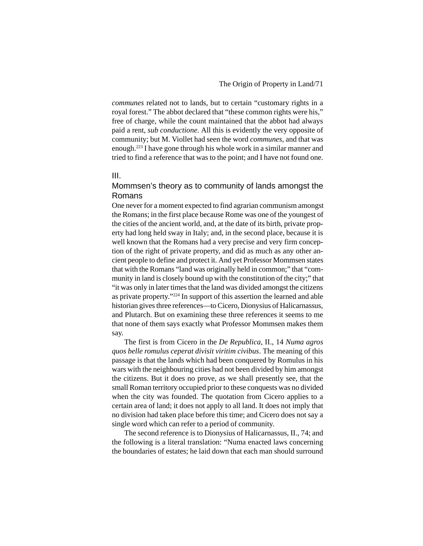*communes* related not to lands, but to certain "customary rights in a royal forest." The abbot declared that "these common rights were his," free of charge, while the count maintained that the abbot had always paid a rent, *sub conductione*. All this is evidently the very opposite of community; but M. Viollet had seen the word *communes*, and that was enough.223 I have gone through his whole work in a similar manner and tried to find a reference that was to the point; and I have not found one.

# III.

# Mommsen's theory as to community of lands amongst the Romans

One never for a moment expected to find agrarian communism amongst the Romans; in the first place because Rome was one of the youngest of the cities of the ancient world, and, at the date of its birth, private property had long held sway in Italy; and, in the second place, because it is well known that the Romans had a very precise and very firm conception of the right of private property, and did as much as any other ancient people to define and protect it. And yet Professor Mommsen states that with the Romans "land was originally held in common;" that "community in land is closely bound up with the constitution of the city;" that "it was only in later times that the land was divided amongst the citizens as private property."224 In support of this assertion the learned and able historian gives three references—to Cicero, Dionysius of Halicarnassus, and Plutarch. But on examining these three references it seems to me that none of them says exactly what Professor Mommsen makes them say.

The first is from Cicero in the *De Republica*, II., 14 *Numa agros quos belle romulus ceperat divisit viritim civibus*. The meaning of this passage is that the lands which had been conquered by Romulus in his wars with the neighbouring cities had not been divided by him amongst the citizens. But it does no prove, as we shall presently see, that the small Roman territory occupied prior to these conquests was no divided when the city was founded. The quotation from Cicero applies to a certain area of land; it does not apply to all land. It does not imply that no division had taken place before this time; and Cicero does not say a single word which can refer to a period of community.

The second reference is to Dionysius of Halicarnassus, II., 74; and the following is a literal translation: "Numa enacted laws concerning the boundaries of estates; he laid down that each man should surround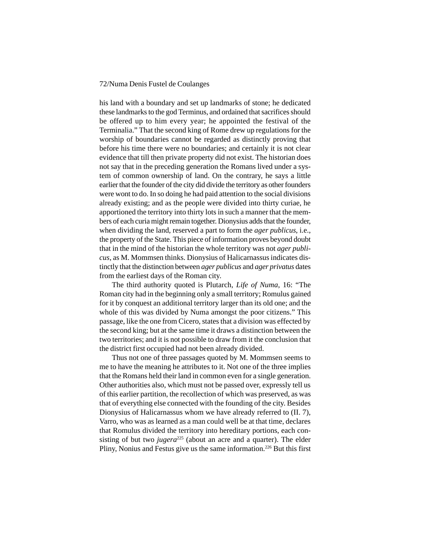his land with a boundary and set up landmarks of stone; he dedicated these landmarks to the god Terminus, and ordained that sacrifices should be offered up to him every year; he appointed the festival of the Terminalia." That the second king of Rome drew up regulations for the worship of boundaries cannot be regarded as distinctly proving that before his time there were no boundaries; and certainly it is not clear evidence that till then private property did not exist. The historian does not say that in the preceding generation the Romans lived under a system of common ownership of land. On the contrary, he says a little earlier that the founder of the city did divide the territory as other founders were wont to do. In so doing he had paid attention to the social divisions already existing; and as the people were divided into thirty curiae, he apportioned the territory into thirty lots in such a manner that the members of each curia might remain together. Dionysius adds that the founder, when dividing the land, reserved a part to form the *ager publicus*, i.e., the property of the State. This piece of information proves beyond doubt that in the mind of the historian the whole territory was not *ager publicus*, as M. Mommsen thinks. Dionysius of Halicarnassus indicates distinctly that the distinction between *ager publicus* and *ager privatus* dates from the earliest days of the Roman city.

The third authority quoted is Plutarch, *Life of Numa*, 16: "The Roman city had in the beginning only a small territory; Romulus gained for it by conquest an additional territory larger than its old one; and the whole of this was divided by Numa amongst the poor citizens." This passage, like the one from Cicero, states that a division was effected by the second king; but at the same time it draws a distinction between the two territories; and it is not possible to draw from it the conclusion that the district first occupied had not been already divided.

Thus not one of three passages quoted by M. Mommsen seems to me to have the meaning he attributes to it. Not one of the three implies that the Romans held their land in common even for a single generation. Other authorities also, which must not be passed over, expressly tell us of this earlier partition, the recollection of which was preserved, as was that of everything else connected with the founding of the city. Besides Dionysius of Halicarnassus whom we have already referred to (II. 7), Varro, who was as learned as a man could well be at that time, declares that Romulus divided the territory into hereditary portions, each consisting of but two *jugera*<sup>225</sup> (about an acre and a quarter). The elder Pliny, Nonius and Festus give us the same information.226 But this first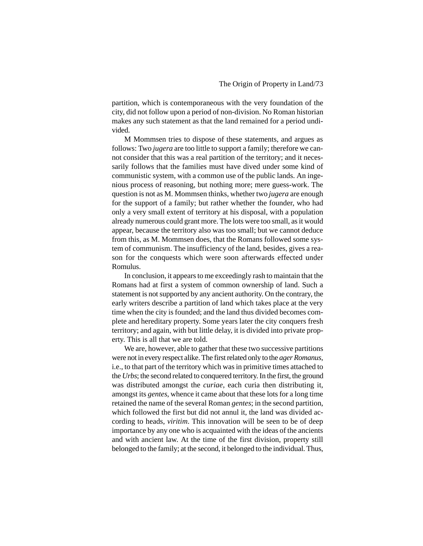partition, which is contemporaneous with the very foundation of the city, did not follow upon a period of non-division. No Roman historian makes any such statement as that the land remained for a period undivided.

M Mommsen tries to dispose of these statements, and argues as follows: Two *jugera* are too little to support a family; therefore we cannot consider that this was a real partition of the territory; and it necessarily follows that the families must have dived under some kind of communistic system, with a common use of the public lands. An ingenious process of reasoning, but nothing more; mere guess-work. The question is not as M. Mommsen thinks, whether two *jugera* are enough for the support of a family; but rather whether the founder, who had only a very small extent of territory at his disposal, with a population already numerous could grant more. The lots were too small, as it would appear, because the territory also was too small; but we cannot deduce from this, as M. Mommsen does, that the Romans followed some system of communism. The insufficiency of the land, besides, gives a reason for the conquests which were soon afterwards effected under Romulus.

In conclusion, it appears to me exceedingly rash to maintain that the Romans had at first a system of common ownership of land. Such a statement is not supported by any ancient authority. On the contrary, the early writers describe a partition of land which takes place at the very time when the city is founded; and the land thus divided becomes complete and hereditary property. Some years later the city conquers fresh territory; and again, with but little delay, it is divided into private property. This is all that we are told.

We are, however, able to gather that these two successive partitions were not in every respect alike. The first related only to the *ager Romanus*, i.e., to that part of the territory which was in primitive times attached to the *Urbs*; the second related to conquered territory. In the first, the ground was distributed amongst the *curiae*, each curia then distributing it, amongst its *gentes*, whence it came about that these lots for a long time retained the name of the several Roman *gentes*; in the second partition, which followed the first but did not annul it, the land was divided according to heads, *viritim*. This innovation will be seen to be of deep importance by any one who is acquainted with the ideas of the ancients and with ancient law. At the time of the first division, property still belonged to the family; at the second, it belonged to the individual. Thus,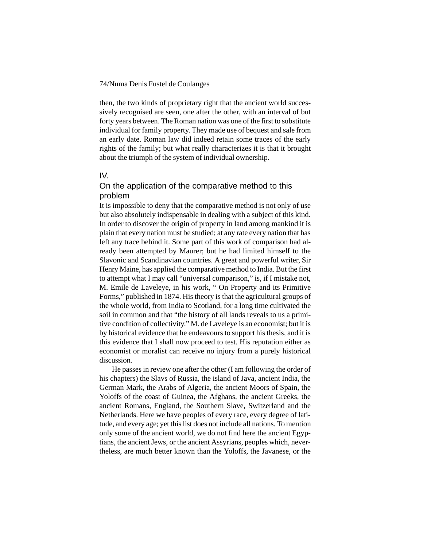then, the two kinds of proprietary right that the ancient world successively recognised are seen, one after the other, with an interval of but forty years between. The Roman nation was one of the first to substitute individual for family property. They made use of bequest and sale from an early date. Roman law did indeed retain some traces of the early rights of the family; but what really characterizes it is that it brought about the triumph of the system of individual ownership.

## IV.

# On the application of the comparative method to this problem

It is impossible to deny that the comparative method is not only of use but also absolutely indispensable in dealing with a subject of this kind. In order to discover the origin of property in land among mankind it is plain that every nation must be studied; at any rate every nation that has left any trace behind it. Some part of this work of comparison had already been attempted by Maurer; but he had limited himself to the Slavonic and Scandinavian countries. A great and powerful writer, Sir Henry Maine, has applied the comparative method to India. But the first to attempt what I may call "universal comparison," is, if I mistake not, M. Emile de Laveleye, in his work, " On Property and its Primitive Forms," published in 1874. His theory is that the agricultural groups of the whole world, from India to Scotland, for a long time cultivated the soil in common and that "the history of all lands reveals to us a primitive condition of collectivity." M. de Laveleye is an economist; but it is by historical evidence that he endeavours to support his thesis, and it is this evidence that I shall now proceed to test. His reputation either as economist or moralist can receive no injury from a purely historical discussion.

He passes in review one after the other (I am following the order of his chapters) the Slavs of Russia, the island of Java, ancient India, the German Mark, the Arabs of Algeria, the ancient Moors of Spain, the Yoloffs of the coast of Guinea, the Afghans, the ancient Greeks, the ancient Romans, England, the Southern Slave, Switzerland and the Netherlands. Here we have peoples of every race, every degree of latitude, and every age; yet this list does not include all nations. To mention only some of the ancient world, we do not find here the ancient Egyptians, the ancient Jews, or the ancient Assyrians, peoples which, nevertheless, are much better known than the Yoloffs, the Javanese, or the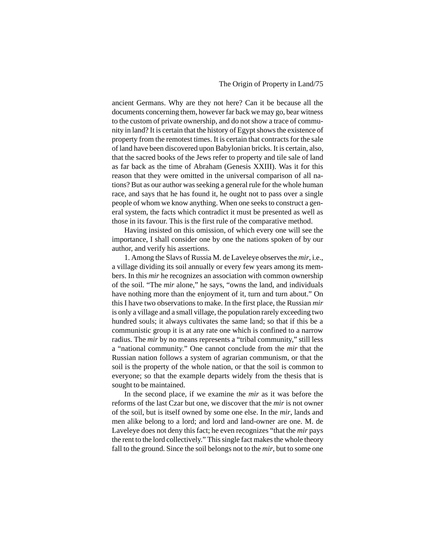ancient Germans. Why are they not here? Can it be because all the documents concerning them, however far back we may go, bear witness to the custom of private ownership, and do not show a trace of community in land? It is certain that the history of Egypt shows the existence of property from the remotest times. It is certain that contracts for the sale of land have been discovered upon Babylonian bricks. It is certain, also, that the sacred books of the Jews refer to property and tile sale of land as far back as the time of Abraham (Genesis XXIII). Was it for this reason that they were omitted in the universal comparison of all nations? But as our author was seeking a general rule for the whole human race, and says that he has found it, he ought not to pass over a single people of whom we know anything. When one seeks to construct a general system, the facts which contradict it must be presented as well as those in its favour. This is the first rule of the comparative method.

Having insisted on this omission, of which every one will see the importance, I shall consider one by one the nations spoken of by our author, and verify his assertions.

1. Among the Slavs of Russia M. de Laveleye observes the *mir*, i.e., a village dividing its soil annually or every few years among its members. In this *mir* he recognizes an association with common ownership of the soil. "The *mir* alone," he says, "owns the land, and individuals have nothing more than the enjoyment of it, turn and turn about." On this I have two observations to make. In the first place, the Russian *mir* is only a village and a small village, the population rarely exceeding two hundred souls; it always cultivates the same land; so that if this be a communistic group it is at any rate one which is confined to a narrow radius. The *mir* by no means represents a "tribal community," still less a "national community." One cannot conclude from the *mir* that the Russian nation follows a system of agrarian communism, or that the soil is the property of the whole nation, or that the soil is common to everyone; so that the example departs widely from the thesis that is sought to be maintained.

In the second place, if we examine the *mir* as it was before the reforms of the last Czar but one, we discover that the *mir* is not owner of the soil, but is itself owned by some one else. In the *mir*, lands and men alike belong to a lord; and lord and land-owner are one. M. de Laveleye does not deny this fact; he even recognizes "that the *mir* pays the rent to the lord collectively." This single fact makes the whole theory fall to the ground. Since the soil belongs not to the *mir*, but to some one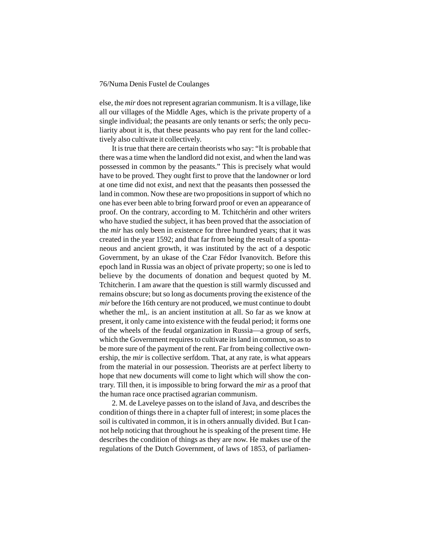else, the *mir* does not represent agrarian communism. It is a village, like all our villages of the Middle Ages, which is the private property of a single individual; the peasants are only tenants or serfs; the only peculiarity about it is, that these peasants who pay rent for the land collectively also cultivate it collectively.

It is true that there are certain theorists who say: "It is probable that there was a time when the landlord did not exist, and when the land was possessed in common by the peasants." This is precisely what would have to be proved. They ought first to prove that the landowner or lord at one time did not exist, and next that the peasants then possessed the land in common. Now these are two propositions in support of which no one has ever been able to bring forward proof or even an appearance of proof. On the contrary, according to M. Tchitchérin and other writers who have studied the subject, it has been proved that the association of the *mir* has only been in existence for three hundred years; that it was created in the year 1592; and that far from being the result of a spontaneous and ancient growth, it was instituted by the act of a despotic Government, by an ukase of the Czar Fédor Ivanovitch. Before this epoch land in Russia was an object of private property; so one is led to believe by the documents of donation and bequest quoted by M. Tchitcherin. I am aware that the question is still warmly discussed and remains obscure; but so long as documents proving the existence of the *mir* before the 16th century are not produced, we must continue to doubt whether the ml,. is an ancient institution at all. So far as we know at present, it only came into existence with the feudal period; it forms one of the wheels of the feudal organization in Russia—a group of serfs, which the Government requires to cultivate its land in common, so as to be more sure of the payment of the rent. Far from being collective ownership, the *mir* is collective serfdom. That, at any rate, is what appears from the material in our possession. Theorists are at perfect liberty to hope that new documents will come to light which will show the contrary. Till then, it is impossible to bring forward the *mir* as a proof that the human race once practised agrarian communism.

2. M. de Laveleye passes on to the island of Java, and describes the condition of things there in a chapter full of interest; in some places the soil is cultivated in common, it is in others annually divided. But I cannot help noticing that throughout he is speaking of the present time. He describes the condition of things as they are now. He makes use of the regulations of the Dutch Government, of laws of 1853, of parliamen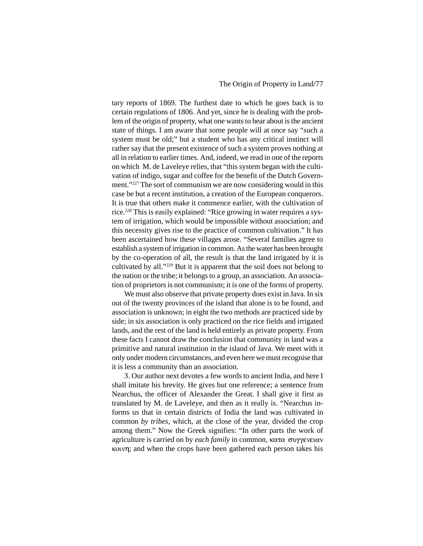tary reports of 1869. The furthest date to which he goes back is to certain regulations of 1806. And yet, since he is dealing with the problem of the origin of property, what one wants to hear about is the ancient state of things. I am aware that some people will at once say "such a system must be old;" but a student who has any critical instinct will rather say that the present existence of such a system proves nothing at all in relation to earlier times. And, indeed, we read in one of the reports on which M. de Laveleye relies, that "this system began with the cultivation of indigo, sugar and coffee for the benefit of the Dutch Government."227 The sort of communism we are now considering would in this case be but a recent institution, a creation of the European conquerors. It is true that others make it commence earlier, with the cultivation of rice.228 This is easily explained: "Rice growing in water requires a system of irrigation, which would be impossible without association; and this necessity gives rise to the practice of common cultivation." It has been ascertained how these villages arose. "Several families agree to establish a system of irrigation in common. As the water has been brought by the co-operation of all, the result is that the land irrigated by it is cultivated by all."229 But it is apparent that the soil does not belong to the nation or the tribe; it belongs to a group, an association. An association of proprietors is not communism; it is one of the forms of property.

We must also observe that private property does exist in Java. In six out of the twenty provinces of the island that alone is to be found, and association is unknown; in eight the two methods are practiced side by side; in six association is only practiced on the rice fields and irrigated lands, and the rest of the land is held entirely as private property. From these facts I cannot draw the conclusion that community in land was a primitive and natural institution in the island of Java. We meet with it only under modern circumstances, and even here we must recognise that it is less a community than an association.

3. Our author next devotes a few words to ancient India, and here I shall imitate his brevity. He gives but one reference; a sentence from Nearchus, the officer of Alexander the Great. I shall give it first as translated by M. de Laveleye, and then as it really is. "Nearchus informs us that in certain districts of India the land was cultivated in common *by tribes*, which, at the close of the year, divided the crop among them." Now the Greek signifies: "In other parts the work of agriculture is carried on by *each family* in common, κατα συγγενειαν kown; and when the crops have been gathered each person takes his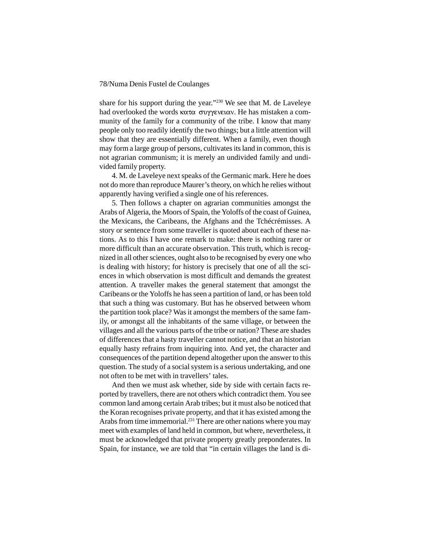share for his support during the year."230 We see that M. de Laveleye had overlooked the words  $\kappa \alpha \tau \alpha$  συγγενειαν. He has mistaken a community of the family for a community of the tribe. I know that many people only too readily identify the two things; but a little attention will show that they are essentially different. When a family, even though may form a large group of persons, cultivates its land in common, this is not agrarian communism; it is merely an undivided family and undivided family property.

4. M. de Laveleye next speaks of the Germanic mark. Here he does not do more than reproduce Maurer's theory, on which he relies without apparently having verified a single one of his references.

5. Then follows a chapter on agrarian communities amongst the Arabs of Algeria, the Moors of Spain, the Yoloffs of the coast of Guinea, the Mexicans, the Caribeans, the Afghans and the Tchécrémisses. A story or sentence from some traveller is quoted about each of these nations. As to this I have one remark to make: there is nothing rarer or more difficult than an accurate observation. This truth, which is recognized in all other sciences, ought also to be recognised by every one who is dealing with history; for history is precisely that one of all the sciences in which observation is most difficult and demands the greatest attention. A traveller makes the general statement that amongst the Caribeans or the Yoloffs he has seen a partition of land, or has been told that such a thing was customary. But has he observed between whom the partition took place? Was it amongst the members of the same family, or amongst all the inhabitants of the same village, or between the villages and all the various parts of the tribe or nation? These are shades of differences that a hasty traveller cannot notice, and that an historian equally hasty refrains from inquiring into. And yet, the character and consequences of the partition depend altogether upon the answer to this question. The study of a social system is a serious undertaking, and one not often to be met with in travellers' tales.

And then we must ask whether, side by side with certain facts reported by travellers, there are not others which contradict them. You see common land among certain Arab tribes; but it must also be noticed that the Koran recognises private property, and that it has existed among the Arabs from time immemorial.<sup>231</sup> There are other nations where you may meet with examples of land held in common, but where, nevertheless, it must be acknowledged that private property greatly preponderates. In Spain, for instance, we are told that "in certain villages the land is di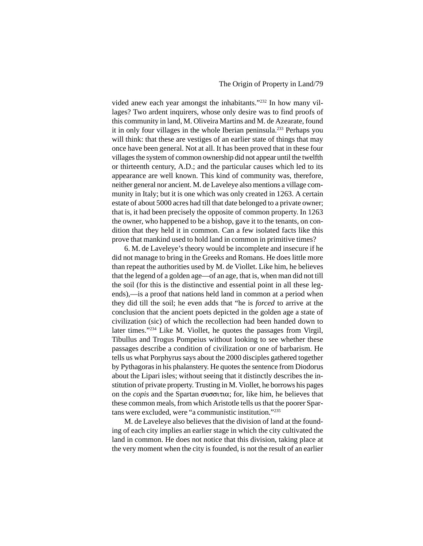vided anew each year amongst the inhabitants."232 In how many villages? Two ardent inquirers, whose only desire was to find proofs of this community in land, M. Oliveira Martins and M. de Azearate, found it in only four villages in the whole Iberian peninsula.233 Perhaps you will think: that these are vestiges of an earlier state of things that may once have been general. Not at all. It has been proved that in these four villages the system of common ownership did not appear until the twelfth or thirteenth century, A.D.; and the particular causes which led to its appearance are well known. This kind of community was, therefore, neither general nor ancient. M. de Laveleye also mentions a village community in Italy; but it is one which was only created in 1263. A certain estate of about 5000 acres had till that date belonged to a private owner; that is, it had been precisely the opposite of common property. In 1263 the owner, who happened to be a bishop, gave it to the tenants, on condition that they held it in common. Can a few isolated facts like this prove that mankind used to hold land in common in primitive times?

6. M. de Laveleye's theory would be incomplete and insecure if he did not manage to bring in the Greeks and Romans. He does little more than repeat the authorities used by M. de Viollet. Like him, he believes that the legend of a golden age—of an age, that is, when man did not till the soil (for this is the distinctive and essential point in all these legends),—is a proof that nations held land in common at a period when they did till the soil; he even adds that "he is *forced* to arrive at the conclusion that the ancient poets depicted in the golden age a state of civilization (sic) of which the recollection had been handed down to later times."234 Like M. Viollet, he quotes the passages from Virgil, Tibullus and Trogus Pompeius without looking to see whether these passages describe a condition of civilization or one of barbarism. He tells us what Porphyrus says about the 2000 disciples gathered together by Pythagoras in his phalanstery. He quotes the sentence from Diodorus about the Lipari isles; without seeing that it distinctly describes the institution of private property. Trusting in M. Viollet, he borrows his pages on the *copis* and the Spartan συσσιτια; for, like him, he believes that these common meals, from which Aristotle tells us that the poorer Spartans were excluded, were "a communistic institution."235

M. de Laveleye also believes that the division of land at the founding of each city implies an earlier stage in which the city cultivated the land in common. He does not notice that this division, taking place at the very moment when the city is founded, is not the result of an earlier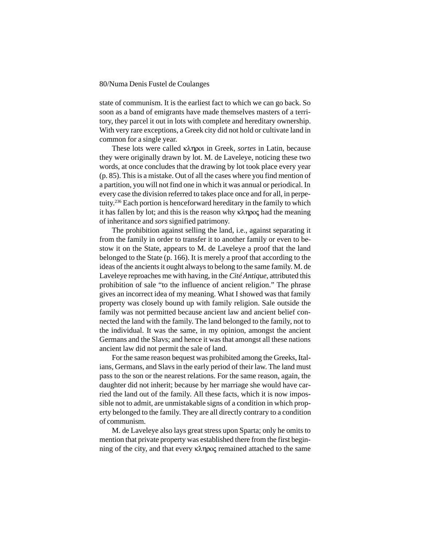state of communism. It is the earliest fact to which we can go back. So soon as a band of emigrants have made themselves masters of a territory, they parcel it out in lots with complete and hereditary ownership. With very rare exceptions, a Greek city did not hold or cultivate land in common for a single year.

These lots were called κληροι in Greek, *sortes* in Latin, because they were originally drawn by lot. M. de Laveleye, noticing these two words, at once concludes that the drawing by lot took place every year (p. 85). This is a mistake. Out of all the cases where you find mention of a partition, you will not find one in which it was annual or periodical. In every case the division referred to takes place once and for all, in perpetuity.236 Each portion is henceforward hereditary in the family to which it has fallen by lot; and this is the reason why  $\kappa\lambda \eta$   $\infty$  had the meaning of inheritance and *sors* signified patrimony.

The prohibition against selling the land, i.e., against separating it from the family in order to transfer it to another family or even to bestow it on the State, appears to M. de Laveleye a proof that the land belonged to the State (p. 166). It is merely a proof that according to the ideas of the ancients it ought always to belong to the same family. M. de Laveleye reproaches me with having, in the *Cité Antique*, attributed this prohibition of sale "to the influence of ancient religion." The phrase gives an incorrect idea of my meaning. What I showed was that family property was closely bound up with family religion. Sale outside the family was not permitted because ancient law and ancient belief connected the land with the family. The land belonged to the family, not to the individual. It was the same, in my opinion, amongst the ancient Germans and the Slavs; and hence it was that amongst all these nations ancient law did not permit the sale of land.

For the same reason bequest was prohibited among the Greeks, Italians, Germans, and Slavs in the early period of their law. The land must pass to the son or the nearest relations. For the same reason, again, the daughter did not inherit; because by her marriage she would have carried the land out of the family. All these facts, which it is now impossible not to admit, are unmistakable signs of a condition in which property belonged to the family. They are all directly contrary to a condition of communism.

M. de Laveleye also lays great stress upon Sparta; only he omits to mention that private property was established there from the first beginning of the city, and that every  $\kappa\lambda \eta$  and remained attached to the same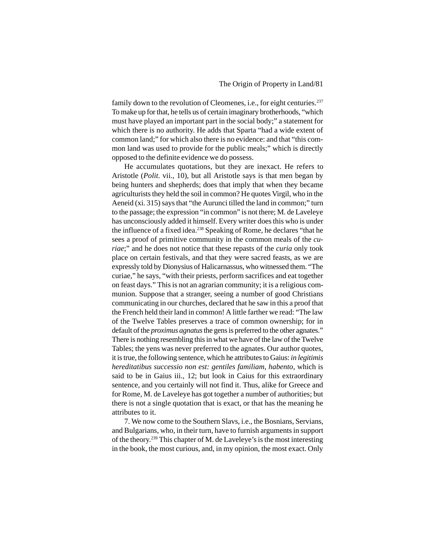family down to the revolution of Cleomenes, i.e., for eight centuries.<sup>237</sup> To make up for that, he tells us of certain imaginary brotherhoods, "which must have played an important part in the social body;" a statement for which there is no authority. He adds that Sparta "had a wide extent of common land;" for which also there is no evidence: and that "this common land was used to provide for the public meals;" which is directly opposed to the definite evidence we do possess.

He accumulates quotations, but they are inexact. He refers to Aristotle (*Polit*. vii., 10), but all Aristotle says is that men began by being hunters and shepherds; does that imply that when they became agriculturists they held the soil in common? He quotes Virgil, who in the Aeneid (xi. 315) says that "the Aurunci tilled the land in common;" turn to the passage; the expression "in common" is not there; M. de Laveleye has unconsciously added it himself. Every writer does this who is under the influence of a fixed idea.238 Speaking of Rome, he declares "that he sees a proof of primitive community in the common meals of the *curiae*;" and he does not notice that these repasts of the *curia* only took place on certain festivals, and that they were sacred feasts, as we are expressly told by Dionysius of Halicarnassus, who witnessed them. "The curiae," he says, "with their priests, perform sacrifices and eat together on feast days." This is not an agrarian community; it is a religious communion. Suppose that a stranger, seeing a number of good Christians communicating in our churches, declared that he saw in this a proof that the French held their land in common! A little farther we read: "The law of the Twelve Tables preserves a trace of common ownership; for in default of the *proximus agnatus* the gens is preferred to the other agnates." There is nothing resembling this in what we have of the law of the Twelve Tables; the yens was never preferred to the agnates. Our author quotes, it is true, the following sentence, which he attributes to Gaius: *in legitimis hereditatibus successio non est: gentiles familiam, habento*, which is said to be in Gaius iii., 12; but look in Caius for this extraordinary sentence, and you certainly will not find it. Thus, alike for Greece and for Rome, M. de Laveleye has got together a number of authorities; but there is not a single quotation that is exact, or that has the meaning he attributes to it.

7. We now come to the Southern Slavs, i.e., the Bosnians, Servians, and Bulgarians, who, in their turn, have to furnish arguments in support of the theory.239 This chapter of M. de Laveleye's is the most interesting in the book, the most curious, and, in my opinion, the most exact. Only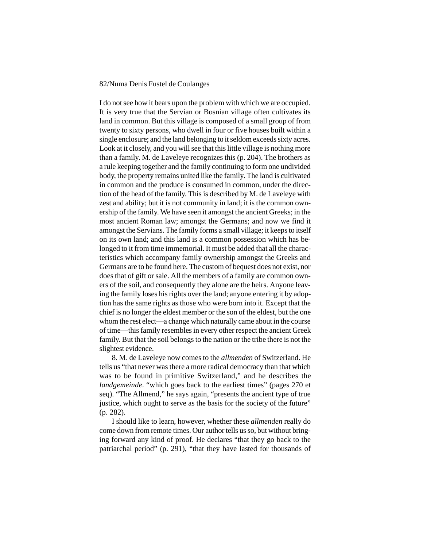I do not see how it bears upon the problem with which we are occupied. It is very true that the Servian or Bosnian village often cultivates its land in common. But this village is composed of a small group of from twenty to sixty persons, who dwell in four or five houses built within a single enclosure; and the land belonging to it seldom exceeds sixty acres. Look at it closely, and you will see that this little village is nothing more than a family. M. de Laveleye recognizes this (p. 204). The brothers as a rule keeping together and the family continuing to form one undivided body, the property remains united like the family. The land is cultivated in common and the produce is consumed in common, under the direction of the head of the family. This is described by M. de Laveleye with zest and ability; but it is not community in land; it is the common ownership of the family. We have seen it amongst the ancient Greeks; in the most ancient Roman law; amongst the Germans; and now we find it amongst the Servians. The family forms a small village; it keeps to itself on its own land; and this land is a common possession which has belonged to it from time immemorial. It must be added that all the characteristics which accompany family ownership amongst the Greeks and Germans are to be found here. The custom of bequest does not exist, nor does that of gift or sale. All the members of a family are common owners of the soil, and consequently they alone are the heirs. Anyone leaving the family loses his rights over the land; anyone entering it by adoption has the same rights as those who were born into it. Except that the chief is no longer the eldest member or the son of the eldest, but the one whom the rest elect—a change which naturally came about in the course of time—this family resembles in every other respect the ancient Greek family. But that the soil belongs to the nation or the tribe there is not the slightest evidence.

8. M. de Laveleye now comes to the *allmenden* of Switzerland. He tells us "that never was there a more radical democracy than that which was to be found in primitive Switzerland," and he describes the *landgemeinde*. "which goes back to the earliest times" (pages 270 et seq). "The Allmend," he says again, "presents the ancient type of true justice, which ought to serve as the basis for the society of the future" (p. 282).

I should like to learn, however, whether these *allmenden* really do come down from remote times. Our author tells us so, but without bringing forward any kind of proof. He declares "that they go back to the patriarchal period" (p. 291), "that they have lasted for thousands of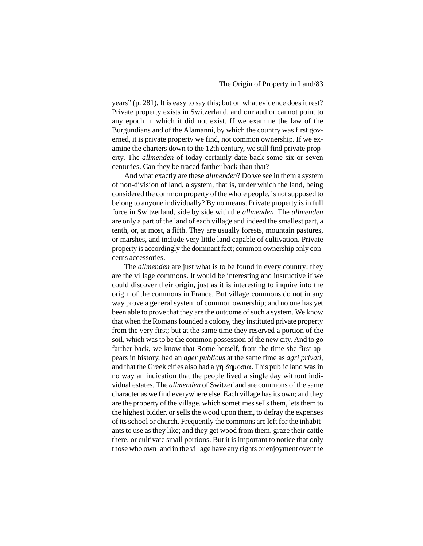## The Origin of Property in Land/83

years" (p. 281). It is easy to say this; but on what evidence does it rest? Private property exists in Switzerland, and our author cannot point to any epoch in which it did not exist. If we examine the law of the Burgundians and of the Alamanni, by which the country was first governed, it is private property we find, not common ownership. If we examine the charters down to the 12th century, we still find private property. The *allmenden* of today certainly date back some six or seven centuries. Can they be traced farther back than that?

And what exactly are these *allmenden*? Do we see in them a system of non-division of land, a system, that is, under which the land, being considered the common property of the whole people, is not supposed to belong to anyone individually? By no means. Private property is in full force in Switzerland, side by side with the *allmenden*. The *allmenden* are only a part of the land of each village and indeed the smallest part, a tenth, or, at most, a fifth. They are usually forests, mountain pastures, or marshes, and include very little land capable of cultivation. Private property is accordingly the dominant fact; common ownership only concerns accessories.

The *allmenden* are just what is to be found in every country; they are the village commons. It would be interesting and instructive if we could discover their origin, just as it is interesting to inquire into the origin of the commons in France. But village commons do not in any way prove a general system of common ownership; and no one has yet been able to prove that they are the outcome of such a system. We know that when the Romans founded a colony, they instituted private property from the very first; but at the same time they reserved a portion of the soil, which was to be the common possession of the new city. And to go farther back, we know that Rome herself, from the time she first appears in history, had an *ager publicus* at the same time as *agri privati*, and that the Greek cities also had a  $\gamma$   $\eta$   $\delta$  $\eta$  $\mu$  $\sigma$  $\alpha$ . This public land was in no way an indication that the people lived a single day without individual estates. The *allmenden* of Switzerland are commons of the same character as we find everywhere else. Each village has its own; and they are the property of the village. which sometimes sells them, lets them to the highest bidder, or sells the wood upon them, to defray the expenses of its school or church. Frequently the commons are left for the inhabitants to use as they like; and they get wood from them, graze their cattle there, or cultivate small portions. But it is important to notice that only those who own land in the village have any rights or enjoyment over the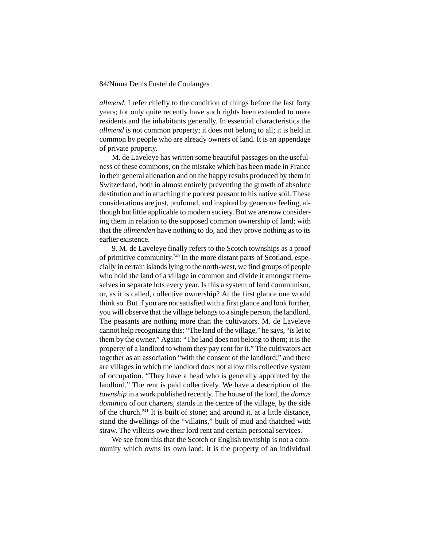*allmend*. I refer chiefly to the condition of things before the last forty years; for only quite recently have such rights been extended to mere residents and the inhabitants generally. In essential characteristics the *allmend* is not common property; it does not belong to all; it is held in common by people who are already owners of land. It is an appendage of private property.

M. de Laveleye has written some beautiful passages on the usefulness of these commons, on the mistake which has been made in France in their general alienation and on the happy results produced by them in Switzerland, both in almost entirely preventing the growth of absolute destitution and in attaching the poorest peasant to his native soil. These considerations are just, profound, and inspired by generous feeling, although but little applicable to modern society. But we are now considering them in relation to the supposed common ownership of land; with that the *allmenden* have nothing to do, and they prove nothing as to its earlier existence.

9. M. de Laveleye finally refers to the Scotch townships as a proof of primitive community.240 In the more distant parts of Scotland, especially in certain islands lying to the north-west, we find groups of people who hold the land of a village in common and divide it amongst themselves in separate lots every year. Is this a system of land communism, or, as it is called, collective ownership? At the first glance one would think so. But if you are not satisfied with a first glance and look further, you will observe that the village belongs to a single person, the landlord. The peasants are nothing more than the cultivators. M. de Laveleye cannot help recognizing this: "The land of the village," he says, "is let to them by the owner." Again: "The land does not belong to them; it is the property of a landlord to whom they pay rent for it." The cultivators act together as an association "with the consent of the landlord;" and there are villages in which the landlord does not allow this collective system of occupation. "They have a head who is generally appointed by the landlord." The rent is paid collectively. We have a description of the *township* in a work published recently. The house of the lord, the *domus dominica* of our charters, stands in the centre of the village, by the side of the church.241 It is built of stone; and around it, at a little distance, stand the dwellings of the "villains," built of mud and thatched with straw. The villeins owe their lord rent and certain personal services.

We see from this that the Scotch or English township is not a community which owns its own land; it is the property of an individual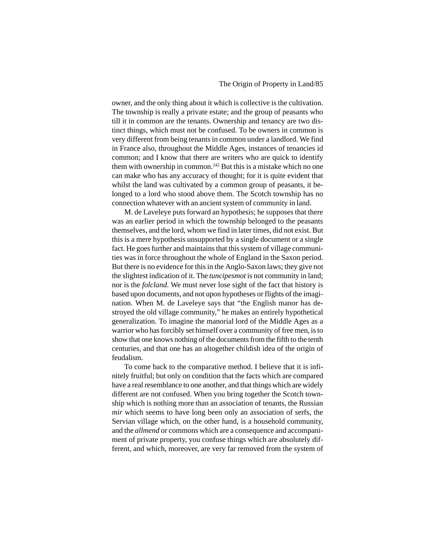owner, and the only thing about it which is collective is the cultivation. The township is really a private estate; and the group of peasants who till it in common are the tenants. Ownership and tenancy are two distinct things, which must not be confused. To be owners in common is very different from being tenants in common under a landlord. We find in France also, throughout the Middle Ages, instances of tenancies id common; and I know that there are writers who are quick to identify them with ownership in common.<sup>242</sup> But this is a mistake which no one can make who has any accuracy of thought; for it is quite evident that whilst the land was cultivated by a common group of peasants, it belonged to a lord who stood above them. The Scotch township has no connection whatever with an ancient system of community in land.

M. de Laveleye puts forward an hypothesis; he supposes that there was an earlier period in which the township belonged to the peasants themselves, and the lord, whom we find in later times, did not exist. But this is a mere hypothesis unsupported by a single document or a single fact. He goes further and maintains that this system of village communities was in force throughout the whole of England in the Saxon period. But there is no evidence for this in the Anglo-Saxon laws; they give not the slightest indication of it. The *tuncipesmot* is not community in land; nor is the *folcland*. We must never lose sight of the fact that history is based upon documents, and not upon hypotheses or flights of the imagination. When M. de Laveleye says that "the English manor has destroyed the old village community," he makes an entirely hypothetical generalization. To imagine the manorial lord of the Middle Ages as a warrior who has forcibly set himself over a community of free men, is to show that one knows nothing of the documents from the fifth to the tenth centuries, and that one has an altogether childish idea of the origin of feudalism.

To come back to the comparative method. I believe that it is infinitely fruitful; but only on condition that the facts which are compared have a real resemblance to one another, and that things which are widely different are not confused. When you bring together the Scotch township which is nothing more than an association of tenants, the Russian *mir* which seems to have long been only an association of serfs, the Servian village which, on the other hand, is a household community, and the *allmend* or commons which are a consequence and accompaniment of private property, you confuse things which are absolutely different, and which, moreover, are very far removed from the system of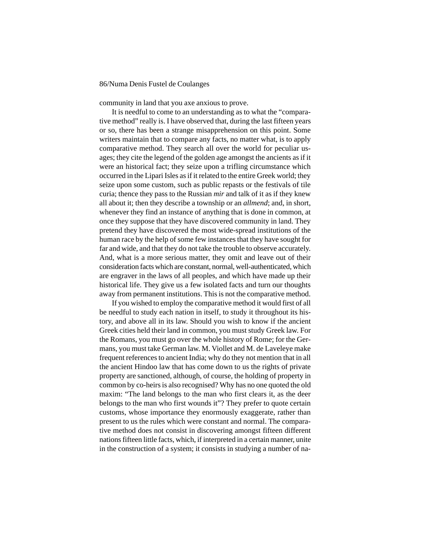community in land that you axe anxious to prove.

It is needful to come to an understanding as to what the "comparative method" really is. I have observed that, during the last fifteen years or so, there has been a strange misapprehension on this point. Some writers maintain that to compare any facts, no matter what, is to apply comparative method. They search all over the world for peculiar usages; they cite the legend of the golden age amongst the ancients as if it were an historical fact; they seize upon a trifling circumstance which occurred in the Lipari Isles as if it related to the entire Greek world; they seize upon some custom, such as public repasts or the festivals of tile curia; thence they pass to the Russian *mir* and talk of it as if they knew all about it; then they describe a township or an *allmend*; and, in short, whenever they find an instance of anything that is done in common, at once they suppose that they have discovered community in land. They pretend they have discovered the most wide-spread institutions of the human race by the help of some few instances that they have sought for far and wide, and that they do not take the trouble to observe accurately. And, what is a more serious matter, they omit and leave out of their consideration facts which are constant, normal, well-authenticated, which are engraver in the laws of all peoples, and which have made up their historical life. They give us a few isolated facts and turn our thoughts away from permanent institutions. This is not the comparative method.

If you wished to employ the comparative method it would first of all be needful to study each nation in itself, to study it throughout its history, and above all in its law. Should you wish to know if the ancient Greek cities held their land in common, you must study Greek law. For the Romans, you must go over the whole history of Rome; for the Germans, you must take German law. M. Viollet and M. de Laveleye make frequent references to ancient India; why do they not mention that in all the ancient Hindoo law that has come down to us the rights of private property are sanctioned, although, of course, the holding of property in common by co-heirs is also recognised? Why has no one quoted the old maxim: "The land belongs to the man who first clears it, as the deer belongs to the man who first wounds it"? They prefer to quote certain customs, whose importance they enormously exaggerate, rather than present to us the rules which were constant and normal. The comparative method does not consist in discovering amongst fifteen different nations fifteen little facts, which, if interpreted in a certain manner, unite in the construction of a system; it consists in studying a number of na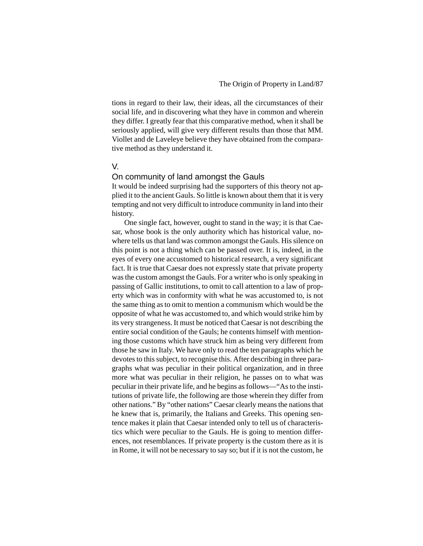tions in regard to their law, their ideas, all the circumstances of their social life, and in discovering what they have in common and wherein they differ. I greatly fear that this comparative method, when it shall be seriously applied, will give very different results than those that MM. Viollet and de Laveleye believe they have obtained from the comparative method as they understand it.

## V.

#### On community of land amongst the Gauls

It would be indeed surprising had the supporters of this theory not applied it to the ancient Gauls. So little is known about them that it is very tempting and not very difficult to introduce community in land into their history.

One single fact, however, ought to stand in the way; it is that Caesar, whose book is the only authority which has historical value, nowhere tells us that land was common amongst the Gauls. His silence on this point is not a thing which can be passed over. It is, indeed, in the eyes of every one accustomed to historical research, a very significant fact. It is true that Caesar does not expressly state that private property was the custom amongst the Gauls. For a writer who is only speaking in passing of Gallic institutions, to omit to call attention to a law of property which was in conformity with what he was accustomed to, is not the same thing as to omit to mention a communism which would be the opposite of what he was accustomed to, and which would strike him by its very strangeness. It must be noticed that Caesar is not describing the entire social condition of the Gauls; he contents himself with mentioning those customs which have struck him as being very different from those he saw in Italy. We have only to read the ten paragraphs which he devotes to this subject, to recognise this. After describing in three paragraphs what was peculiar in their political organization, and in three more what was peculiar in their religion, he passes on to what was peculiar in their private life, and he begins as follows—"As to the institutions of private life, the following are those wherein they differ from other nations." By "other nations" Caesar clearly means the nations that he knew that is, primarily, the Italians and Greeks. This opening sentence makes it plain that Caesar intended only to tell us of characteristics which were peculiar to the Gauls. He is going to mention differences, not resemblances. If private property is the custom there as it is in Rome, it will not be necessary to say so; but if it is not the custom, he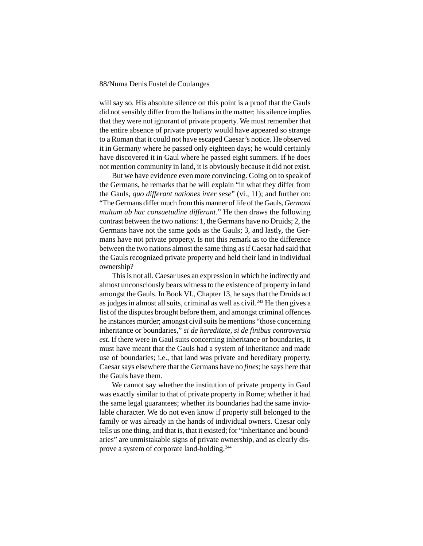will say so. His absolute silence on this point is a proof that the Gauls did not sensibly differ from the Italians in the matter; his silence implies that they were not ignorant of private property. We must remember that the entire absence of private property would have appeared so strange to a Roman that it could not have escaped Caesar's notice. He observed it in Germany where he passed only eighteen days; he would certainly have discovered it in Gaul where he passed eight summers. If he does not mention community in land, it is obviously because it did not exist.

But we have evidence even more convincing. Going on to speak of the Germans, he remarks that be will explain "in what they differ from the Gauls, *quo differant nationes inter sese*" (vi., 11); and further on: "The Germans differ much from this manner of life of the Gauls, *Germani multum ab hac consuetudine differunt*." He then draws the following contrast between the two nations: 1, the Germans have no Druids; 2, the Germans have not the same gods as the Gauls; 3, and lastly, the Germans have not private property. Is not this remark as to the difference between the two nations almost the same thing as if Caesar had said that the Gauls recognized private property and held their land in individual ownership?

This is not all. Caesar uses an expression in which he indirectly and almost unconsciously bears witness to the existence of property in land amongst the Gauls. In Book VI., Chapter 13, he says that the Druids act as judges in almost all suits, criminal as well as civil.243 He then gives a list of the disputes brought before them, and amongst criminal offences he instances murder; amongst civil suits he mentions "those concerning inheritance or boundaries," *si de hereditate, si de finibus controversia est*. If there were in Gaul suits concerning inheritance or boundaries, it must have meant that the Gauls had a system of inheritance and made use of boundaries; i.e., that land was private and hereditary property. Caesar says elsewhere that the Germans have no *fines*; he says here that the Gauls have them.

We cannot say whether the institution of private property in Gaul was exactly similar to that of private property in Rome; whether it had the same legal guarantees; whether its boundaries had the same inviolable character. We do not even know if property still belonged to the family or was already in the hands of individual owners. Caesar only tells us one thing, and that is, that it existed; for "inheritance and boundaries" are unmistakable signs of private ownership, and as clearly disprove a system of corporate land-holding.244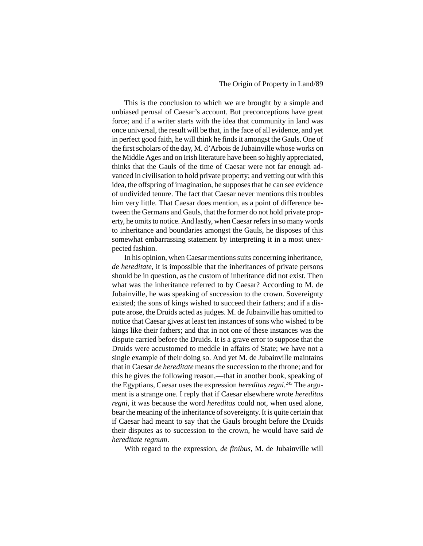### The Origin of Property in Land/89

This is the conclusion to which we are brought by a simple and unbiased perusal of Caesar's account. But preconceptions have great force; and if a writer starts with the idea that community in land was once universal, the result will be that, in the face of all evidence, and yet in perfect good faith, he will think he finds it amongst the Gauls. One of the first scholars of the day, M. d'Arbois de Jubainville whose works on the Middle Ages and on Irish literature have been so highly appreciated, thinks that the Gauls of the time of Caesar were not far enough advanced in civilisation to hold private property; and vetting out with this idea, the offspring of imagination, he supposes that he can see evidence of undivided tenure. The fact that Caesar never mentions this troubles him very little. That Caesar does mention, as a point of difference between the Germans and Gauls, that the former do not hold private property, he omits to notice. And lastly, when Caesar refers in so many words to inheritance and boundaries amongst the Gauls, he disposes of this somewhat embarrassing statement by interpreting it in a most unexpected fashion.

In his opinion, when Caesar mentions suits concerning inheritance, *de hereditate*, it is impossible that the inheritances of private persons should be in question, as the custom of inheritance did not exist. Then what was the inheritance referred to by Caesar? According to M. de Jubainville, he was speaking of succession to the crown. Sovereignty existed; the sons of kings wished to succeed their fathers; and if a dispute arose, the Druids acted as judges. M. de Jubainville has omitted to notice that Caesar gives at least ten instances of sons who wished to be kings like their fathers; and that in not one of these instances was the dispute carried before the Druids. It is a grave error to suppose that the Druids were accustomed to meddle in affairs of State; we have not a single example of their doing so. And yet M. de Jubainville maintains that in Caesar *de hereditate* means the succession to the throne; and for this he gives the following reason,—that in another book, speaking of the Egyptians, Caesar uses the expression *hereditas regni*. 245 The argument is a strange one. I reply that if Caesar elsewhere wrote *hereditas regni*, it was because the word *hereditas* could not, when used alone, bear the meaning of the inheritance of sovereignty. It is quite certain that if Caesar had meant to say that the Gauls brought before the Druids their disputes as to succession to the crown, he would have said *de hereditate regnum*.

With regard to the expression, *de finibus*, M. de Jubainville will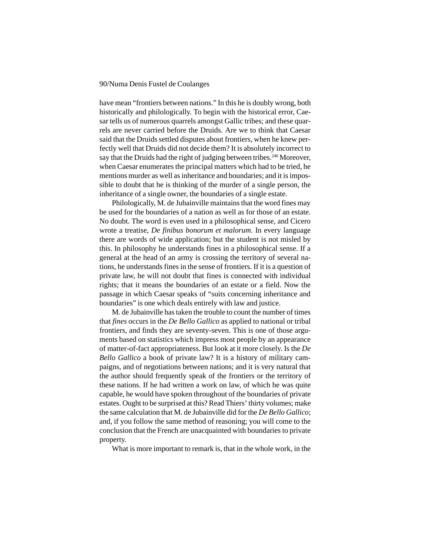have mean "frontiers between nations." In this he is doubly wrong, both historically and philologically. To begin with the historical error, Caesar tells us of numerous quarrels amongst Gallic tribes; and these quarrels are never carried before the Druids. Are we to think that Caesar said that the Druids settled disputes about frontiers, when he knew perfectly well that Druids did not decide them? It is absolutely incorrect to say that the Druids had the right of judging between tribes.<sup>246</sup> Moreover, when Caesar enumerates the principal matters which had to be tried, he mentions murder as well as inheritance and boundaries; and it is impossible to doubt that he is thinking of the murder of a single person, the inheritance of a single owner, the boundaries of a single estate.

Philologically, M. de Jubainville maintains that the word fines may be used for the boundaries of a nation as well as for those of an estate. No doubt. The word is even used in a philosophical sense, and Cicero wrote a treatise, *De finibus bonorum et malorum*. In every language there are words of wide application; but the student is not misled by this. In philosophy he understands fines in a philosophical sense. If a general at the head of an army is crossing the territory of several nations, he understands fines in the sense of frontiers. If it is a question of private law, he will not doubt that fines is connected with individual rights; that it means the boundaries of an estate or a field. Now the passage in which Caesar speaks of "suits concerning inheritance and boundaries" is one which deals entirely with law and justice.

M. de Jubainville has taken the trouble to count the number of times that *fines* occurs in the *De Bello Gallico* as applied to national or tribal frontiers, and finds they are seventy-seven. This is one of those arguments based on statistics which impress most people by an appearance of matter-of-fact appropriateness. But look at it more closely. Is the *De Bello Gallico* a book of private law? It is a history of military campaigns, and of negotiations between nations; and it is very natural that the author should frequently speak of the frontiers or the territory of these nations. If he had written a work on law, of which he was quite capable, he would have spoken throughout of the boundaries of private estates. Ought to be surprised at this? Read Thiers' thirty volumes; make the same calculation that M. de Jubainville did for the *De Bello Gallico*; and, if you follow the same method of reasoning; you will come to the conclusion that the French are unacquainted with boundaries to private property.

What is more important to remark is, that in the whole work, in the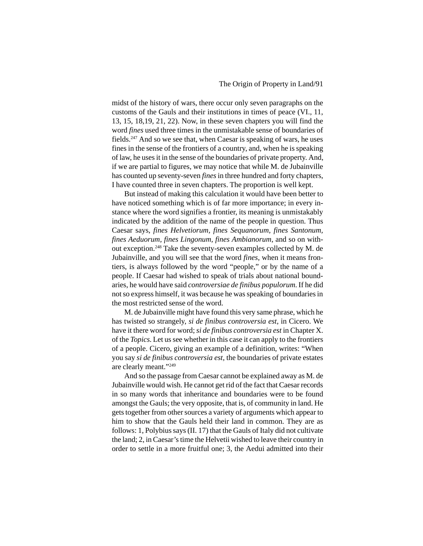midst of the history of wars, there occur only seven paragraphs on the customs of the Gauls and their institutions in times of peace (VI., 11, 13, 15, 18,19, 21, 22). Now, in these seven chapters you will find the word *fines* used three times in the unmistakable sense of boundaries of fields.247 And so we see that, when Caesar is speaking of wars, he uses fines in the sense of the frontiers of a country, and, when he is speaking of law, he uses it in the sense of the boundaries of private property. And, if we are partial to figures, we may notice that while M. de Jubainville has counted up seventy-seven *fines* in three hundred and forty chapters, I have counted three in seven chapters. The proportion is well kept.

But instead of making this calculation it would have been better to have noticed something which is of far more importance; in every instance where the word signifies a frontier, its meaning is unmistakably indicated by the addition of the name of the people in question. Thus Caesar says, *fines Helvetiorum, fines Sequanorum, fines Santonum, fines Aeduorum, fines Lingonum, fines Ambianorum*, and so on without exception.248 Take the seventy-seven examples collected by M. de Jubainville, and you will see that the word *fines*, when it means frontiers, is always followed by the word "people," or by the name of a people. If Caesar had wished to speak of trials about national boundaries, he would have said *controversiae de finibus populorum*. If he did not so express himself, it was because he was speaking of boundaries in the most restricted sense of the word.

M. de Jubainville might have found this very same phrase, which he has twisted so strangely, *si de finibus controversia est*, in Cicero. We have it there word for word; *si de finibus controversia est* in Chapter X. of the *Topics*. Let us see whether in this case it can apply to the frontiers of a people. Cicero, giving an example of a definition, writes: "When you say *si de finibus controversia est*, the boundaries of private estates are clearly meant."249

And so the passage from Caesar cannot be explained away as M. de Jubainville would wish. He cannot get rid of the fact that Caesar records in so many words that inheritance and boundaries were to be found amongst the Gauls; the very opposite, that is, of community in land. He gets together from other sources a variety of arguments which appear to him to show that the Gauls held their land in common. They are as follows: 1, Polybius says (II. 17) that the Gauls of Italy did not cultivate the land; 2, in Caesar's time the Helvetii wished to leave their country in order to settle in a more fruitful one; 3, the Aedui admitted into their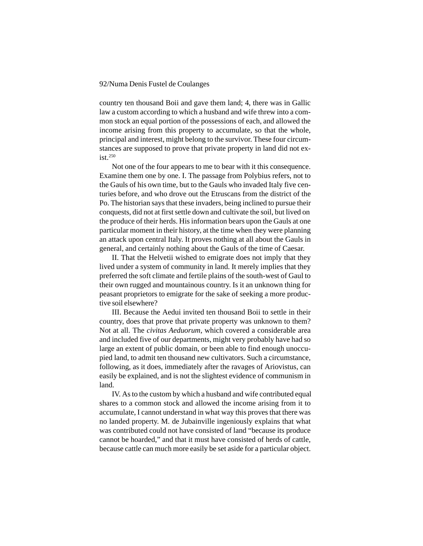country ten thousand Boii and gave them land; 4, there was in Gallic law a custom according to which a husband and wife threw into a common stock an equal portion of the possessions of each, and allowed the income arising from this property to accumulate, so that the whole, principal and interest, might belong to the survivor. These four circumstances are supposed to prove that private property in land did not ex $i$ st.<sup>250</sup>

Not one of the four appears to me to bear with it this consequence. Examine them one by one. I. The passage from Polybius refers, not to the Gauls of his own time, but to the Gauls who invaded Italy five centuries before, and who drove out the Etruscans from the district of the Po. The historian says that these invaders, being inclined to pursue their conquests, did not at first settle down and cultivate the soil, but lived on the produce of their herds. His information bears upon the Gauls at one particular moment in their history, at the time when they were planning an attack upon central Italy. It proves nothing at all about the Gauls in general, and certainly nothing about the Gauls of the time of Caesar.

II. That the Helvetii wished to emigrate does not imply that they lived under a system of community in land. It merely implies that they preferred the soft climate and fertile plains of the south-west of Gaul to their own rugged and mountainous country. Is it an unknown thing for peasant proprietors to emigrate for the sake of seeking a more productive soil elsewhere?

III. Because the Aedui invited ten thousand Boii to settle in their country, does that prove that private property was unknown to them? Not at all. The *civitas Aeduorum*, which covered a considerable area and included five of our departments, might very probably have had so large an extent of public domain, or been able to find enough unoccupied land, to admit ten thousand new cultivators. Such a circumstance, following, as it does, immediately after the ravages of Ariovistus, can easily be explained, and is not the slightest evidence of communism in land.

IV. As to the custom by which a husband and wife contributed equal shares to a common stock and allowed the income arising from it to accumulate, I cannot understand in what way this proves that there was no landed property. M. de Jubainville ingeniously explains that what was contributed could not have consisted of land "because its produce cannot be hoarded," and that it must have consisted of herds of cattle, because cattle can much more easily be set aside for a particular object.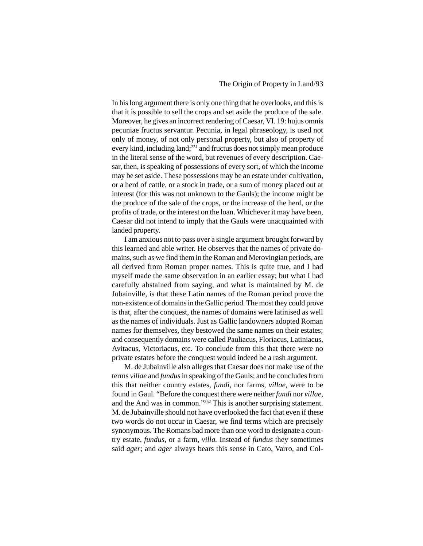In his long argument there is only one thing that he overlooks, and this is that it is possible to sell the crops and set aside the produce of the sale. Moreover, he gives an incorrect rendering of Caesar, VI. 19: hujus omnis pecuniae fructus servantur. Pecunia, in legal phraseology, is used not only of money, of not only personal property, but also of property of every kind, including land;<sup>251</sup> and fructus does not simply mean produce in the literal sense of the word, but revenues of every description. Caesar, then, is speaking of possessions of every sort, of which the income may be set aside. These possessions may be an estate under cultivation, or a herd of cattle, or a stock in trade, or a sum of money placed out at interest (for this was not unknown to the Gauls); the income might be the produce of the sale of the crops, or the increase of the herd, or the profits of trade, or the interest on the loan. Whichever it may have been, Caesar did not intend to imply that the Gauls were unacquainted with landed property.

I am anxious not to pass over a single argument brought forward by this learned and able writer. He observes that the names of private domains, such as we find them in the Roman and Merovingian periods, are all derived from Roman proper names. This is quite true, and I had myself made the same observation in an earlier essay; but what I had carefully abstained from saying, and what is maintained by M. de Jubainville, is that these Latin names of the Roman period prove the non-existence of domains in the Gallic period. The most they could prove is that, after the conquest, the names of domains were latinised as well as the names of individuals. Just as Gallic landowners adopted Roman names for themselves, they bestowed the same names on their estates; and consequently domains were called Pauliacus, Floriacus, Latiniacus, Avitacus, Victoriacus, etc. To conclude from this that there were no private estates before the conquest would indeed be a rash argument.

M. de Jubainville also alleges that Caesar does not make use of the terms *villae* and *fundus* in speaking of the Gauls; and he concludes from this that neither country estates, *fundi*, nor farms, *villae*, were to be found in Gaul. "Before the conquest there were neither *fundi* nor *villae*, and the And was in common."252 This is another surprising statement. M. de Jubainville should not have overlooked the fact that even if these two words do not occur in Caesar, we find terms which are precisely synonymous. The Romans bad more than one word to designate a country estate, *fundus*, or a farm, *villa.* Instead of *fundus* they sometimes said *ager*; and *ager* always bears this sense in Cato, Varro, and Col-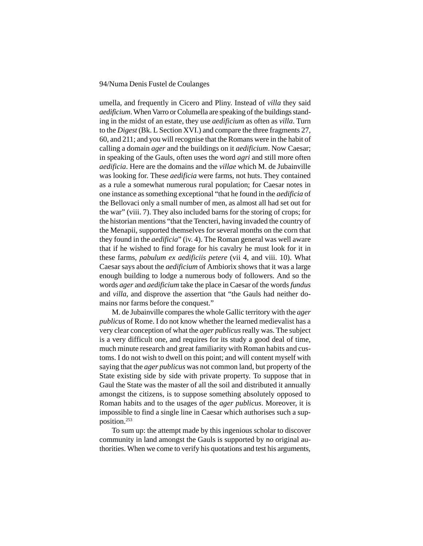umella, and frequently in Cicero and Pliny. Instead of *villa* they said *aedificium*. When Varro or Columella are speaking of the buildings standing in the midst of an estate, they use *aedificium* as often as *villa*. Turn to the *Digest* (Bk. L Section XVI.) and compare the three fragments 27, 60, and 211; and you will recognise that the Romans were in the habit of calling a domain *ager* and the buildings on it *aedificium*. Now Caesar; in speaking of the Gauls, often uses the word *agri* and still more often *aedificia*. Here are the domains and the *villae* which M. de Jubainville was looking for. These *aedificia* were farms, not huts. They contained as a rule a somewhat numerous rural population; for Caesar notes in one instance as something exceptional "that he found in the *aedificia* of the Bellovaci only a small number of men, as almost all had set out for the war" (viii. 7). They also included barns for the storing of crops; for the historian mentions "that the Tencteri, having invaded the country of the Menapii, supported themselves for several months on the corn that they found in the *aedificia*" (iv. 4). The Roman general was well aware that if he wished to find forage for his cavalry he must look for it in these farms, *pabulum ex aedificiis petere* (vii 4, and viii. 10). What Caesar says about the *aedificium* of Ambiorix shows that it was a large enough building to lodge a numerous body of followers. And so the words *ager* and *aedificium* take the place in Caesar of the words *fundus* and *villa*, and disprove the assertion that "the Gauls had neither domains nor farms before the conquest."

M. de Jubainville compares the whole Gallic territory with the *ager publicus* of Rome. I do not know whether the learned medievalist has a very clear conception of what the *ager publicus* really was. The subject is a very difficult one, and requires for its study a good deal of time, much minute research and great familiarity with Roman habits and customs. I do not wish to dwell on this point; and will content myself with saying that the *ager publicus* was not common land, but property of the State existing side by side with private property. To suppose that in Gaul the State was the master of all the soil and distributed it annually amongst the citizens, is to suppose something absolutely opposed to Roman habits and to the usages of the *ager publicus*. Moreover, it is impossible to find a single line in Caesar which authorises such a supposition.253

To sum up: the attempt made by this ingenious scholar to discover community in land amongst the Gauls is supported by no original authorities. When we come to verify his quotations and test his arguments,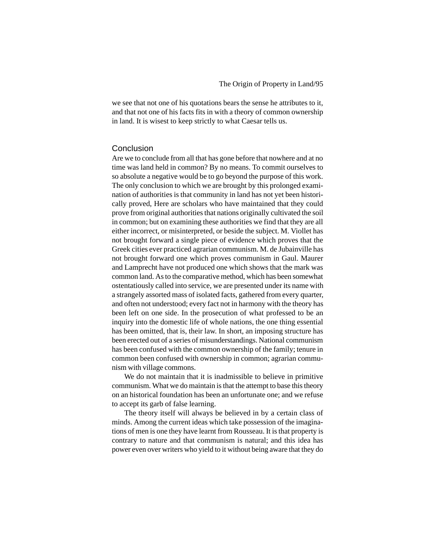we see that not one of his quotations bears the sense he attributes to it, and that not one of his facts fits in with a theory of common ownership in land. It is wisest to keep strictly to what Caesar tells us.

#### **Conclusion**

Are we to conclude from all that has gone before that nowhere and at no time was land held in common? By no means. To commit ourselves to so absolute a negative would be to go beyond the purpose of this work. The only conclusion to which we are brought by this prolonged examination of authorities is that community in land has not yet been historically proved, Here are scholars who have maintained that they could prove from original authorities that nations originally cultivated the soil in common; but on examining these authorities we find that they are all either incorrect, or misinterpreted, or beside the subject. M. Viollet has not brought forward a single piece of evidence which proves that the Greek cities ever practiced agrarian communism. M. de Jubainville has not brought forward one which proves communism in Gaul. Maurer and Lamprecht have not produced one which shows that the mark was common land. As to the comparative method, which has been somewhat ostentatiously called into service, we are presented under its name with a strangely assorted mass of isolated facts, gathered from every quarter, and often not understood; every fact not in harmony with the theory has been left on one side. In the prosecution of what professed to be an inquiry into the domestic life of whole nations, the one thing essential has been omitted, that is, their law. In short, an imposing structure has been erected out of a series of misunderstandings. National communism has been confused with the common ownership of the family; tenure in common been confused with ownership in common; agrarian communism with village commons.

We do not maintain that it is inadmissible to believe in primitive communism. What we do maintain is that the attempt to base this theory on an historical foundation has been an unfortunate one; and we refuse to accept its garb of false learning.

The theory itself will always be believed in by a certain class of minds. Among the current ideas which take possession of the imaginations of men is one they have learnt from Rousseau. It is that property is contrary to nature and that communism is natural; and this idea has power even over writers who yield to it without being aware that they do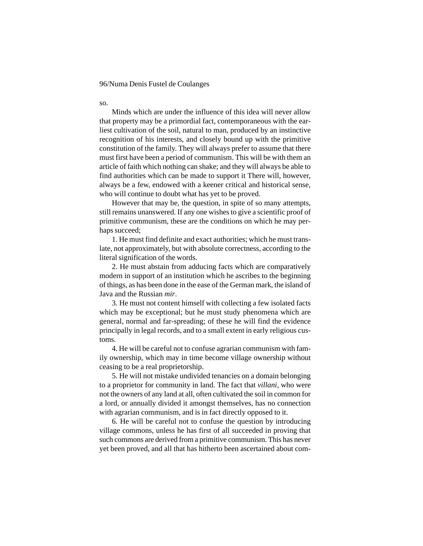so. Minds which are under the influence of this idea will never allow that property may be a primordial fact, contemporaneous with the earliest cultivation of the soil, natural to man, produced by an instinctive recognition of his interests, and closely bound up with the primitive constitution of the family. They will always prefer to assume that there must first have been a period of communism. This will be with them an article of faith which nothing can shake; and they will always be able to find authorities which can be made to support it There will, however, always be a few, endowed with a keener critical and historical sense, who will continue to doubt what has yet to be proved.

However that may be, the question, in spite of so many attempts, still remains unanswered. If any one wishes to give a scientific proof of primitive communism, these are the conditions on which he may perhaps succeed;

1. He must find definite and exact authorities; which he must translate, not approximately, but with absolute correctness, according to the literal signification of the words.

2. He must abstain from adducing facts which are comparatively modern in support of an institution which he ascribes to the beginning of things, as has been done in the ease of the German mark, the island of Java and the Russian *mir*.

3. He must not content himself with collecting a few isolated facts which may be exceptional; but he must study phenomena which are general, normal and far-spreading; of these he will find the evidence principally in legal records, and to a small extent in early religious customs.

4. He will be careful not to confuse agrarian communism with family ownership, which may in time become village ownership without ceasing to be a real proprietorship.

5. He will not mistake undivided tenancies on a domain belonging to a proprietor for community in land. The fact that *villani*, who were not the owners of any land at all, often cultivated the soil in common for a lord, or annually divided it amongst themselves, has no connection with agrarian communism, and is in fact directly opposed to it.

6. He will be careful not to confuse the question by introducing village commons, unless he has first of all succeeded in proving that such commons are derived from a primitive communism. This has never yet been proved, and all that has hitherto been ascertained about com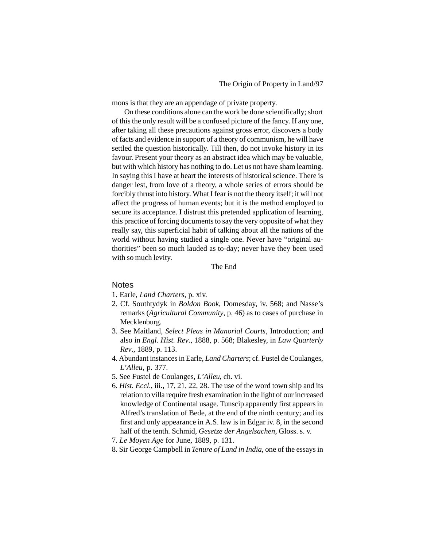mons is that they are an appendage of private property.

On these conditions alone can the work be done scientifically; short of this the only result will be a confused picture of the fancy. If any one, after taking all these precautions against gross error, discovers a body of facts and evidence in support of a theory of communism, he will have settled the question historically. Till then, do not invoke history in its favour. Present your theory as an abstract idea which may be valuable, but with which history has nothing to do. Let us not have sham learning. In saying this I have at heart the interests of historical science. There is danger lest, from love of a theory, a whole series of errors should be forcibly thrust into history. What I fear is not the theory itself; it will not affect the progress of human events; but it is the method employed to secure its acceptance. I distrust this pretended application of learning, this practice of forcing documents to say the very opposite of what they really say, this superficial habit of talking about all the nations of the world without having studied a single one. Never have "original authorities" been so much lauded as to-day; never have they been used with so much levity.

The End

#### **Notes**

- 1. Earle, *Land Charters*, p. xiv.
- 2. Cf. Southtydyk in *Boldon Book*, Domesday, iv. 568; and Nasse's remarks (*Agricultural Community*, p. 46) as to cases of purchase in Mecklenburg.
- 3. See Maitland, *Select Pleas in Manorial Courts*, Introduction; and also in *Engl. Hist. Rev*., 1888, p. 568; Blakesley, in *Law Quarterly Rev*., 1889, p. 113.
- 4. Abundant instances in Earle, *Land Charters*; cf. Fustel de Coulanges, *L'Alleu*, p. 377.
- 5. See Fustel de Coulanges, *L'Alleu*, ch. vi.
- 6. *Hist. Eccl*., iii., 17, 21, 22, 28. The use of the word town ship and its relation to villa require fresh examination in the light of our increased knowledge of Continental usage. Tunscip apparently first appears in Alfred's translation of Bede, at the end of the ninth century; and its first and only appearance in A.S. law is in Edgar iv. 8, in the second half of the tenth. Schmid, *Gesetze der Angelsachen*, Gloss. s. v.
- 7. *Le Moyen Age* for June, 1889, p. 131.
- 8. Sir George Campbell in *Tenure of Land in India*, one of the essays in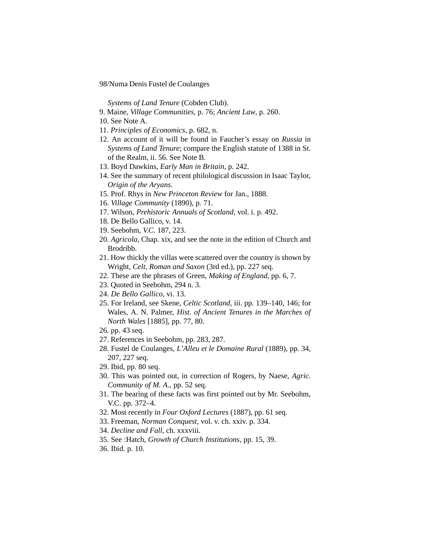*Systems of Land Tenure* (Cobden Club).

- 9. Maine, *Village Communities*, p. 76; *Ancient Law*, p. 260.
- 10. See Note A.
- 11. *Principles of Economics*, p. 682, n.
- 12. An account of it will be found in Faucher's essay on *Russia* in *Systems of Land Tenure*; compare the English statute of 1388 in St. of the Realm, ii. 56. See Note B.
- 13. Boyd Dawkins, *Early Man in Britain*, p. 242.
- 14. See the summary of recent philological discussion in Isaac Taylor, *Origin of the Aryans*.
- 15. Prof. Rhys in *New Princeton Review* for Jan., 1888.
- 16. *Village Community* (1890), p. 71.
- 17. Wilson, *Prehistoric Annuals of Scotland*, vol. i. p. 492.
- 18. De Bello Gallico, v. 14.
- 19. Seebohm, *V.C*. 187, 223.
- 20. *Agricola*, Chap. xix, and see the note in the edition of Church and **Brodribh**
- 21. How thickly the villas were scattered over the country is shown by Wright, *Celt, Roman and Saxon* (3rd ed.), pp. 227 seq.
- 22. These are the phrases of Green, *Making of England*, pp. 6, 7.
- 23. Quoted in Seebohm, 294 n. 3.
- 24. *De Bello Gallico*, vi. 13.
- 25. For Ireland, see Skene, *Celtic Scotland*, iii. pp. 139–140, 146; for Wales, A. N. Palmer, *Hist. of Ancient Tenures in the Marches of North Wales* [1885], pp. 77, 80.
- 26. pp. 43 seq.
- 27. References in Seebohm, pp. 283, 287.
- 28. Fustel de Coulanges, *L'Alleu et le Domaine Rural* (1889), pp. 34, 207, 227 seq.
- 29. Ibid, pp. 80 seq.
- 30. This was pointed out, in correction of Rogers, by Naese, *Agric. Community of M. A*., pp. 52 seq.
- 31. The bearing of these facts was first pointed out by Mr. Seebohm, V.C. pp. 372–4.
- 32. Most recently in *Four Oxford Lectures* (1887), pp. 61 seq.
- 33. Freeman, *Norman Conquest*, vol. v. ch. xxiv. p. 334.
- 34. *Decline and Fall*, ch. xxxviii.
- 35. See :Hatch, *Growth of Church Institutions*, pp. 15, 39.
- 36. Ibid. p. 10.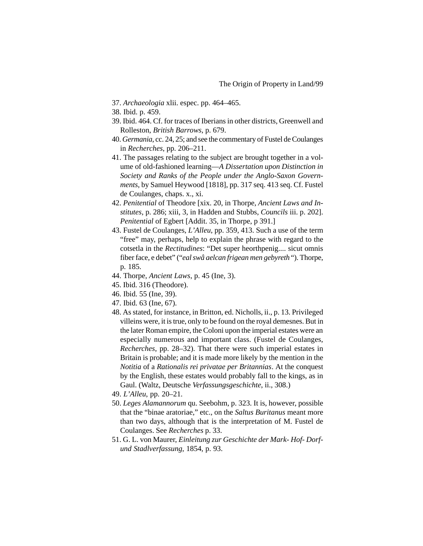- 37. *Archaeologia* xlii. espec. pp. 464–465.
- 38. Ibid. p. 459.
- 39. Ibid. 464. Cf. for traces of Iberians in other districts, Greenwell and Rolleston, *British Barrows*, p. 679.
- 40. *Germania*, cc. 24, 25; and see the commentary of Fustel de Coulanges in *Recherches*, pp. 206–211.
- 41. The passages relating to the subject are brought together in a volume of old-fashioned learning—*A Dissertation upon Distinction in Society and Ranks of the People under the Anglo-Saxon Governments*, by Samuel Heywood [1818], pp. 317 seq. 413 seq. Cf. Fustel de Coulanges, chaps. x., xi.
- 42. *Penitential* of Theodore [xix. 20, in Thorpe, *Ancient Laws and Institutes*, p. 286; xiii, 3, in Hadden and Stubbs, *Councils* iii. p. 202]. *Penitential* of Egbert [Addit. 35, in Thorpe, p 391.]
- 43. Fustel de Coulanges, *L'Alleu*, pp. 359, 413. Such a use of the term "free" may, perhaps, help to explain the phrase with regard to the cotsetla in the *Rectitudines*: "Det super heorthpenig.... sicut omnis fiber face, e debet" ("*eal swâ aelcan frigean men gebyreth* "). Thorpe, p. 185.
- 44. Thorpe, *Ancient Laws*, p. 45 (Ine, 3).
- 45. Ibid. 316 (Theodore).
- 46. Ibid. 55 (Ine, 39).
- 47. Ibid. 63 (Ine, 67).
- 48. As stated, for instance, in Britton, ed. Nicholls, ii., p. 13. Privileged villeins were, it is true, only to be found on the royal demesnes. But in the later Roman empire, the Coloni upon the imperial estates were an especially numerous and important class. (Fustel de Coulanges, *Recherches*, pp. 28–32). That there were such imperial estates in Britain is probable; and it is made more likely by the mention in the *Notitia* of a *Rationalis rei privatae per Britannias*. At the conquest by the English, these estates would probably fall to the kings, as in Gaul. (Waltz, Deutsche *Verfassungsgeschichte*, ii., 308.)
- 49. *L'Alleu*, pp. 20–21.
- 50. *Leges Alamannorum* qu. Seebohm, p. 323. It is, however, possible that the "binae aratoriae," etc., on the *Saltus Buritanus* meant more than two days, although that is the interpretation of M. Fustel de Coulanges. See *Recherches* p. 33.
- 51. G. L. von Maurer, *Einleitung zur Geschichte der Mark- Hof- Dorfund Stadlverfassung*, 1854, p. 93.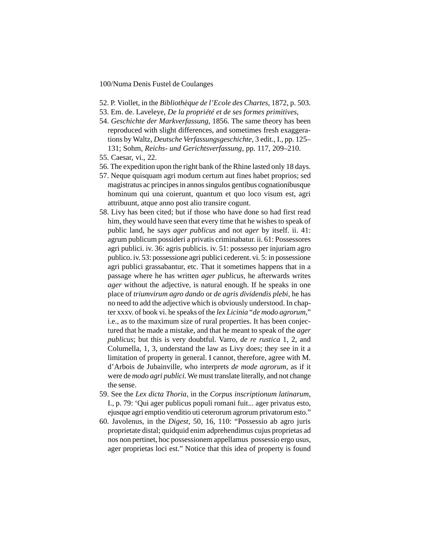- 52. P. Viollet, in the *Bibliothèque de l'Ecole des Chartes*, 1872, p. 503.
- 53. Em. de. Laveleye, *De la propriété et de ses formes primitives*,
- 54. *Geschichte der Markverfassung*, 1856. The same theory has been reproduced with slight differences, and sometimes fresh exaggerations by Waltz, *Deutsche Verfassungsgeschichte*, 3 edit., I., pp. 125– 131; Sohm, *Reichs- und Gerichtsverfassung*, pp. 117, 209–210.
- 55. Caesar, vi., 22.
- 56. The expedition upon the right bank of the Rhine lasted only 18 days.
- 57. Neque quisquam agri modum certum aut fines habet proprios; sed magistratus ac principes in annos singulos gentibus cognationibusque hominum qui una coierunt, quantum et quo loco visum est, agri attribuunt, atque anno post alio transire cogunt.
- 58. Livy has been cited; but if those who have done so had first read him, they would have seen that every time that he wishes to speak of public land, he says *ager publicus* and not *ager* by itself. ii. 41: agrum publicum possideri a privatis criminabatur. ii. 61: Possessores agri publici. iv. 36: agris publicis. iv. 51: possesso per injuriam agro publico. iv. 53: possessione agri publici cederent. vi. 5: in possessione agri publici grassabantur, etc. That it sometimes happens that in a passage where he has written *ager publicus*, he afterwards writes *ager* without the adjective, is natural enough. If he speaks in one place of *triumvirum agro dando* or *de agris dividendis plebi*, he has no need to add the adjective which is obviously understood. In chapter xxxv. of book vi. he speaks of the *lex Licinia* "*de modo agrorum*," i.e., as to the maximum size of rural properties. It has been conjectured that he made a mistake, and that he meant to speak of the *ager publicus*; but this is very doubtful. Varro, *de re rustica* 1, 2, and Columella, 1, 3, understand the law as Livy does; they see in it a limitation of property in general. I cannot, therefore, agree with M. d'Arbois de Jubainville, who interprets *de mode agrorum*, as if it were de *modo agri publici*. We must translate literally, and not change the sense.
- 59. See the *Lex dicta Thoria*, in the *Corpus inscriptionum latinarum*, I., p. 79: 'Qui ager publicus populi romani fuit... ager privatus esto, ejusque agri emptio venditio uti ceterorum agrorum privatorum esto."
- 60. Javolenus, in the *Digest*, 50, 16, 110: "Possessio ab agro juris proprietate distal; quidquid enim adprehendimus cujus proprietas ad nos non pertinet, hoc possessionem appellamus possessio ergo usus, ager proprietas loci est." Notice that this idea of property is found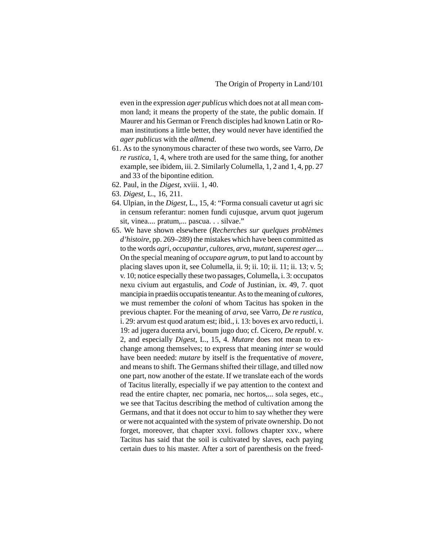even in the expression *ager publicus* which does not at all mean common land; it means the property of the state, the public domain. If Maurer and his German or French disciples had known Latin or Roman institutions a little better, they would never have identified the *ager publicus* with the *allmend*.

- 61. As to the synonymous character of these two words, see Varro, *De re rustica*, 1, 4, where troth are used for the same thing, for another example, see ibidem, iii. 2. Similarly Columella, 1, 2 and 1, 4, pp. 27 and 33 of the bipontine edition.
- 62. Paul, in the *Digest*, xviii. 1, 40.
- 63. *Digest*, L., 16, 211.
- 64. Ulpian, in the *Digest*, L., 15, 4: "Forma consuali cavetur ut agri sic in censum referantur: nomen fundi cujusque, arvum quot jugerum sit, vinea.... pratum,... pascua. . . silvae."
- 65. We have shown elsewhere (*Recherches sur quelques problèmes d'histoire*, pp. 269–289) the mistakes which have been committed as to the words *agri*, *occupantur*, *cultores*, *arva*, *mutant*, *superest ager*.... On the special meaning of *occupare agrum*, to put land to account by placing slaves upon it, see Columella, ii. 9; ii. 10; ii. 11; ii. 13; v. 5; v. 10; notice especially these two passages, Columella, i. 3: occupatos nexu civium aut ergastulis, and *Code* of Justinian, ix. 49, 7. quot mancipia in praediis occupatis teneantur. As to the meaning of *cultores*, we must remember the *coloni* of whom Tacitus has spoken in the previous chapter. For the meaning of *arva*, see Varro, *De re rustica*, i. 29: arvum est quod aratum est; ibid., i. 13: boves ex arvo reducti, i. 19: ad jugera ducenta arvi, boum jugo duo; cf. Cicero, *De republ*. v. 2, and especially *Digest*, L., 15, 4. *Mutare* does not mean to exchange among themselves; to express that meaning *inter se* would have been needed: *mutare* by itself is the frequentative of *movere*, and means to shift. The Germans shifted their tillage, and tilled now one part, now another of the estate. If we translate each of the words of Tacitus literally, especially if we pay attention to the context and read the entire chapter, nec pomaria, nec hortos,... sola seges, etc., we see that Tacitus describing the method of cultivation among the Germans, and that it does not occur to him to say whether they were or were not acquainted with the system of private ownership. Do not forget, moreover, that chapter xxvi. follows chapter xxv., where Tacitus has said that the soil is cultivated by slaves, each paying certain dues to his master. After a sort of parenthesis on the freed-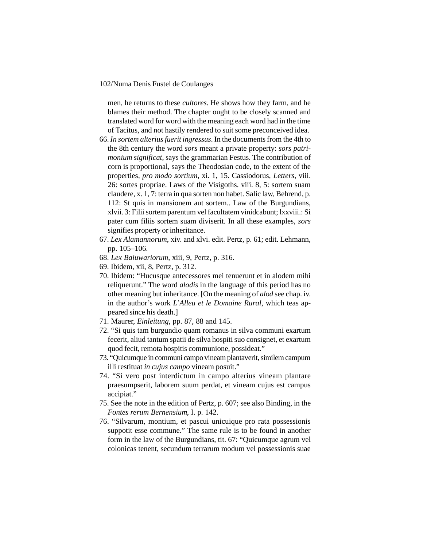men, he returns to these *cultores*. He shows how they farm, and he blames their method. The chapter ought to be closely scanned and translated word for word with the meaning each word had in the time of Tacitus, and not hastily rendered to suit some preconceived idea.

- 66. *In sortem alterius fuerit ingressus*. In the documents from the 4th to the 8th century the word *sors* meant a private property: *sors patrimonium significat*, says the grammarian Festus. The contribution of corn is proportional, says the Theodosian code, to the extent of the properties, *pro modo sortium*, xi. 1, 15. Cassiodorus, *Letters*, viii. 26: sortes propriae. Laws of the Visigoths. viii. 8, 5: sortem suam claudere, x. 1, 7: terra in qua sorten non habet. Salic law, Behrend, p. 112: St quis in mansionem aut sortem.. Law of the Burgundians, xlvii. 3: Filii sortem parentum vel facultatem vinidcabunt; lxxviii.: Si pater cum filiis sortem suam diviserit. In all these examples, *sors* signifies property or inheritance.
- 67. *Lex Alamannorum*, xiv. and xlvi. edit. Pertz, p. 61; edit. Lehmann, pp. 105–106.
- 68. *Lex Baiuwariorum*, xiii, 9, Pertz, p. 316.
- 69. Ibidem, xii, 8, Pertz, p. 312.
- 70. Ibidem: "Hucusque antecessores mei tenuerunt et in alodem mihi reliquerunt." The word *alodis* in the language of this period has no other meaning but inheritance. [On the meaning of *alod* see chap. iv. in the author's work *L'Alleu et le Domaine Rural*, which teas appeared since his death.]
- 71. Maurer, *Einleitung*, pp. 87, 88 and 145.
- 72. "Si quis tam burgundio quam romanus in silva communi exartum fecerit, aliud tantum spatii de silva hospiti suo consignet, et exartum quod fecit, remota hospitis communione, possideat."
- 73. "Quicumque in communi campo vineam plantaverit, similem campum illi restituat *in cujus campo* vineam posuit."
- 74. "Si vero post interdictum in campo alterius vineam plantare praesumpserit, laborem suum perdat, et vineam cujus est campus accipiat."
- 75. See the note in the edition of Pertz, p. 607; see also Binding, in the *Fontes rerum Bernensium*, I. p. 142.
- 76. "Silvarum, montium, et pascui unicuique pro rata possessionis suppotit esse commune." The same rule is to be found in another form in the law of the Burgundians, tit. 67: "Quicumque agrum vel colonicas tenent, secundum terrarum modum vel possessionis suae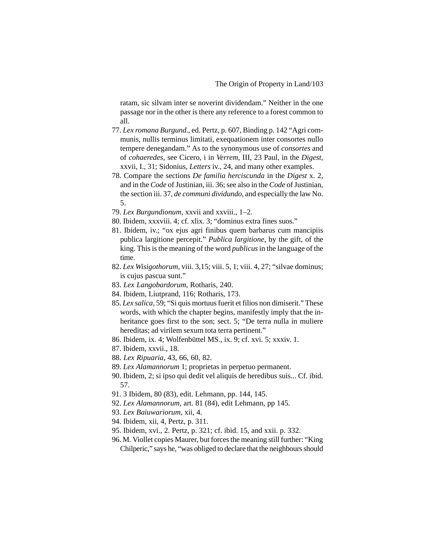ratam, sic silvam inter se noverint dividendam." Neither in the one passage nor in the other is there any reference to a forest common to all.

- 77. *Lex romana Burgund*., ed. Pertz, p. 607, Binding p. 142 "Agri communis, nullis terminus limitati, exequationem inter consortes nullo tempere denegandam." As to the synonymous use of *consortes* and of *cohaeredes*, see Cicero, i in *Verrem*, III, 23 Paul, in the *Digest*, xxvii, I., 31; Sidonius, *Letters* iv., 24, and many other examples.
- 78. Compare the sections *De familia herciscunda* in the *Digest* x. 2, and in the *Code* of Justinian, iii. 36; see also in the *Code* of Justinian, the section iii. 37, *de communi dividundo*, and especially the law No. 5.
- 79. *Lex Burgundionum*, xxvii and xxviii., 1–2.
- 80. Ibidem, xxxviii. 4; cf. xlix. 3; "dominus extra fines suos."
- 81. Ibidem, iv.; "ox ejus agri finibus quem barbarus cum mancipiis publica largitione percepit." *Publica largitione*, by the gift, of the king. This is the meaning of the word *publicus* in the language of the time.
- 82. *Lex Wisigothorum*, viii. 3,15; viii. 5, 1; viii. 4, 27; "silvae dominus; is cujus pascua sunt."
- 83. *Lex Langobardorum*, Rotharis, 240.
- 84. Ibidem, Liutprand, 116; Rotharis, 173.
- 85. *Lex salica*, 59; "Si quis mortuus fuerit et filios non dimiserit." These words, with which the chapter begins, manifestly imply that the inheritance goes first to the son; sect. 5; "De terra nulla in muliere hereditas; ad virilem sexum tota terra pertinent."
- 86. Ibidem, ix. 4; Wolfenbüttel MS., ix. 9; cf. xvi. 5; xxxiv. 1.
- 87. Ibidem, xxvii., 18.
- 88. *Lex Ripuaria*, 43, 66, 60, 82.
- 89. *Lex Alamannorum* 1; proprietas in perpetuo permanent.
- 90. Ibidem, 2; si ipso qui dedit vel aliquis de heredibus suis... Cf. ibid. 57.
- 91. 3 Ibidem, 80 (83), edit. Lehmann, pp. 144, 145.
- 92. *Lex Alamannorum*, art. 81 (84), edit Lehmann, pp 145.
- 93. *Lex Baiuwariorum*, xii, 4.
- 94. Ibidem, xii, 4, Pertz, p. 311.
- 95. Ibidem, xvi., 2. Pertz, p. 321; cf. ibid. 15, and xxii. p. 332.
- 96. M. Viollet copies Maurer, but forces the meaning still further: "King Chilperic," says he, "was obliged to declare that the neighbours should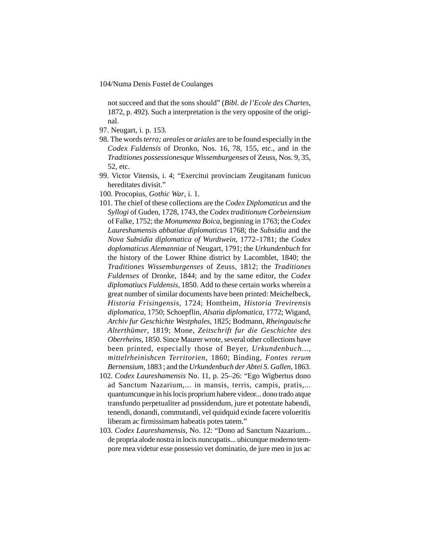not succeed and that the sons should" (*Bibl. de l'Ecole des Chartes*, 1872, p. 492). Such a interpretation is the very opposite of the original.

- 97. Neugart, i. p. 153.
- 98. The words *terra; areales* or *ariales* are to be found especially in the *Codex Fuldensis* of Dronko, Nos. 16, 78, 155, etc., and in the *Traditiones possessionesque Wissemburgenses* of Zeuss, Nos. 9, 35, 52, etc.
- 99. Victor Vitensis, i. 4; "Exercitui provinciam Zeugitanam funicuo hereditates divisit."
- 100. Procopius, *Gothic War*, i. 1.
- 101. The chief of these collections are the *Codex Diplomaticus* and the *Syllogi* of Guden, 1728, 1743, the *Codex traditionum Corbeiensium* of Falke, 1752; the *Monumenta Boica*, beginning in 1763; the *Codex Laureshamensis abbatiae diplomaticus* 1768; the *Subsidia* and the *Nova Subsidia diplomatica of Wurdtwein*, 1772–1781; the *Codex doplomaticus Alemanniae* of Neugart, 1791; the *Urkundenbuch* for the history of the Lower Rhine district by Lacomblet, 1840; the *Traditiones Wissemburgenses* of Zeuss, 1812; the *Traditiones Fuldenses* of Dronke, 1844; and by the same editor, the *Codex diplomatiucs Fuldensis*, 1850. Add to these certain works wherein a great number of similar documents have been printed: Meichelbeck, *Historia Frisingensis*, 1724; Hontheim, *Historia Trevirensis diplomatica*, 1750; Schoepflin, *Alsatia diplomatica*, 1772; Wigand, *Archiv fur Geschichte Westphales*, 1825; Bodmann, *Rheingauische Alterthümer*, 1819; Mone, *Zeitschrift fur die Geschichte des Oberrheins*, 1850. Since Maurer wrote, several other collections have been printed, especially those of Beyer, *Urkundenbuch..., mittelrheinishcen Territorien*, 1860; Binding, *Fontes rerum Bernensium*, 1883 ; and the *Urkundenbuch der Abtei S. Gallen*, 1863.
- 102. *Codex Laureshamensis* No. 11, p. 25–26: "Ego Wigbertus dono ad Sanctum Nazarium,... in mansis, terris, campis, pratis,... quantumcunque in his locis proprium habere videor... dono trado atque transfundo perpetualiter ad possidendum, jure et potentate habendi, tenendi, donandi, commutandi, vel quidquid exinde facere volueritis liberam ac firmissimam habeatis potes tatem."
- 103. *Codex Laureshamensis*, No. 12: "Dono ad Sanctum Nazarium... de propria alode nostra in locis nuncupatis... ubicunque moderno tempore mea videtur esse possessio vet dominatio, de jure meo in jus ac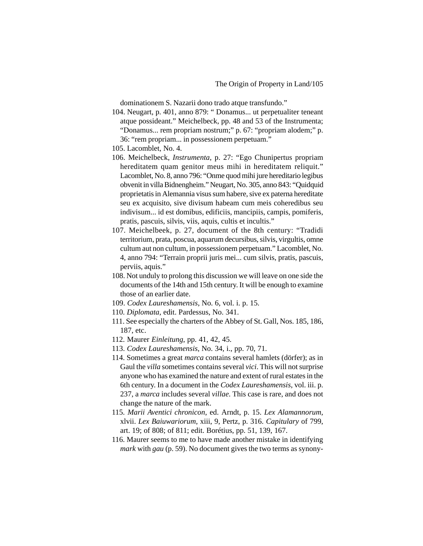dominationem S. Nazarii dono trado atque transfundo."

- 104. Neugart, p. 401, anno 879: " Donamus... ut perpetualiter teneant atque possideant." Meichelbeck, pp. 48 and 53 of the Instrumenta; "Donamus... rem propriam nostrum;" p. 67: "propriam alodem;" p. 36: "rem propriam... in possessionem perpetuam."
- 105. Lacomblet, No. 4.
- 106. Meichelbeck, *Instrumenta*, p. 27: "Ego Chunipertus propriam hereditatem quam genitor meus mihi in hereditatem reliquit." Lacomblet, No. 8, anno 796: "Onme quod mihi jure hereditario legibus obvenit in villa Bidnengheim." Neugart, No. 305, anno 843: "Quidquid proprietatis in Alemannia visus sum habere, sive ex paterna hereditate seu ex acquisito, sive divisum habeam cum meis coheredibus seu indivisum... id est domibus, edificiis, mancipiis, campis, pomiferis, pratis, pascuis, silvis, viis, aquis, cultis et incultis."
- 107. Meichelbeek, p. 27, document of the 8th century: "Tradidi territorium, prata, poscua, aquarum decursibus, silvis, virgultis, omne cultum aut non cultum, in possessionem perpetuam." Lacomblet, No. 4, anno 794: "Terrain proprii juris mei... cum silvis, pratis, pascuis, perviis, aquis."
- 108. Not unduly to prolong this discussion we will leave on one side the documents of the 14th and 15th century. It will be enough to examine those of an earlier date.
- 109. *Codex Laureshamensis*, No. 6, vol. i. p. 15.
- 110. *Diplomata*, edit. Pardessus, No. 341.
- 111. See especially the charters of the Abbey of St. Gall, Nos. 185, 186, 187, etc.
- 112. Maurer *Einleitung*, pp. 41, 42, 45.
- 113. *Codex Laureshamensis*, No. 34, i., pp. 70, 71.
- 114. Sometimes a great *marca* contains several hamlets (dörfer); as in Gaul the *villa* sometimes contains several *vici*. This will not surprise anyone who has examined the nature and extent of rural estates in the 6th century. In a document in the *Codex Laureshamensis*, vol. iii. p. 237, a *marca* includes several *villae*. This case is rare, and does not change the nature of the mark.
- 115. *Marii Aventici chronicon*, ed. Arndt, p. 15. *Lex Alamannorum*, xlvii. *Lex Baiuwariorum*, xiii, 9, Pertz, p. 316. *Capitulary* of 799, art. 19; of 808; of 811; edit. Borétius, pp. 51, 139, 167.
- 116. Maurer seems to me to have made another mistake in identifying *mark* with *gau* (p. 59). No document gives the two terms as synony-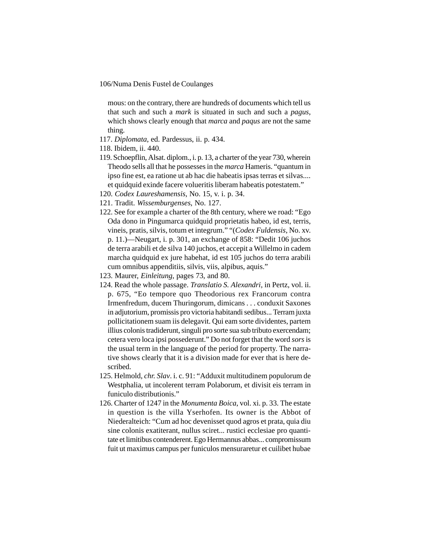mous: on the contrary, there are hundreds of documents which tell us that such and such a *mark* is situated in such and such a *pagus*, which shows clearly enough that *marca* and *paqus* are not the same thing.

- 117. *Diplomata*, ed. Pardessus, ii. p. 434.
- 118. Ibidem, ii. 440.
- 119. Schoepflin, Alsat. diplom., i. p. 13, a charter of the year 730, wherein Theodo sells all that he possesses in the *marca* Hameris. "quantum in ipso fine est, ea ratione ut ab hac die habeatis ipsas terras et silvas.... et quidquid exinde facere volueritis liberam habeatis potestatem."
- 120. *Codex Laureshamensis*, No. 15, v. i. p. 34.
- 121. Tradit. *Wissemburgenses*, No. 127.
- 122. See for example a charter of the 8th century, where we road: "Ego Oda dono in Pingumarca quidquid proprietatis habeo, id est, terris, vineis, pratis, silvis, totum et integrum." "(*Codex Fuldensis*, No. xv. p. 11.)—Neugart, i. p. 301, an exchange of 858: "Dedit 106 juchos de terra arabili et de silva 140 juchos, et accepit a Willelmo in cadem marcha quidquid ex jure habehat, id est 105 juchos do terra arabili cum omnibus appenditiis, silvis, viis, alpibus, aquis."
- 123. Maurer, *Einleitung*, pages 73, and 80.
- 124. Read the whole passage. *Translatio S. Alexandri*, in Pertz, vol. ii. p. 675, "Eo tempore quo Theodorious rex Francorum contra Irmenfredum, ducem Thuringorum, dimicans . . . conduxit Saxones in adjutorium, promissis pro victoria habitandi sedibus... Terram juxta pollicitationem suam iis delegavit. Qui eam sorte dividentes, partem illius colonis tradiderunt, singuli pro sorte sua sub tributo exercendam; cetera vero loca ipsi possederunt." Do not forget that the word *sors* is the usual term in the language of the period for property. The narrative shows clearly that it is a division made for ever that is here described.
- 125. Helmold, *chr. Slav*. i. c. 91: "Adduxit multitudinem populorum de Westphalia, ut incolerent terram Polaborum, et divisit eis terram in funiculo distributionis."
- 126. Charter of 1247 in the *Monumenta Boica*, vol. xi. p. 33. The estate in question is the villa Yserhofen. Its owner is the Abbot of Niederalteich: "Cum ad hoc devenisset quod agros et prata, quia diu sine colonis exatiterant, nullus sciret... rustici ecclesiae pro quantitate et limitibus contenderent. Ego Hermannus abbas... compromissum fuit ut maximus campus per funiculos mensuraretur et cuilibet hubae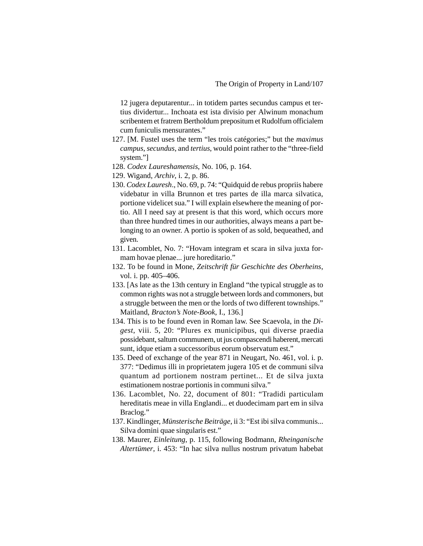12 jugera deputarentur... in totidem partes secundus campus et tertius dividertur... Inchoata est ista divisio per Alwinum monachum scribentem et fratrem Bertholdum prepositum et Rudolfum officialem cum funiculis mensurantes."

- 127. [M. Fustel uses the term "les trois catégories;" but the *maximus campus*, *secundus*, and *tertius*, would point rather to the "three-field system."]
- 128. *Codex Laureshamensis*, No. 106, p. 164.
- 129. Wigand, *Archiv*, i. 2, p. 86.
- 130. *Codex Lauresh*., No. 69, p. 74: "Quidquid de rebus propriis habere videbatur in villa Brunnon et tres partes de illa marca silvatica, portione videlicet sua." I will explain elsewhere the meaning of portio. All I need say at present is that this word, which occurs more than three hundred times in our authorities, always means a part belonging to an owner. A portio is spoken of as sold, bequeathed, and given.
- 131. Lacomblet, No. 7: "Hovam integram et scara in silva juxta formam hovae plenae... jure horeditario."
- 132. To be found in Mone, *Zeitschrift für Geschichte des Oberheins*, vol. i. pp. 405–406.
- 133. [As late as the 13th century in England "the typical struggle as to common rights was not a struggle between lords and commoners, but a struggle between the men or the lords of two different townships." Maitland, *Bracton's Note-Book*, I., 136.]
- 134. This is to be found even in Roman law. See Scaevola, in the *Digest*, viii. 5, 20: "Plures ex municipibus, qui diverse praedia possidebant, saltum communem, ut jus compascendi haberent, mercati sunt, idque etiam a successoribus eorum observatum est."
- 135. Deed of exchange of the year 871 in Neugart, No. 461, vol. i. p. 377: "Dedimus illi in proprietatem jugera 105 et de communi silva quantum ad portionem nostram pertinet... Et de silva juxta estimationem nostrae portionis in communi silva."
- 136. Lacomblet, No. 22, document of 801: "Tradidi particulam hereditatis meae in villa Englandi... et duodecimam part em in silva Braclog."
- 137. Kindlinger, *Münsterische Beiträge*, ii 3: "Est ibi silva communis... Silva domini quae singularis est."
- 138. Maurer, *Einleitung*, p. 115, following Bodmann, *Rheinganische Altertümer*, i. 453: "In hac silva nullus nostrum privatum habebat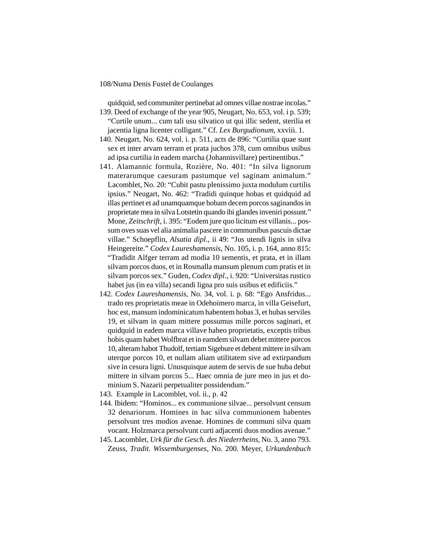quidquid, sed communiter pertinebat ad omnes villae nostrae incolas."

- 139. Deed of exchange of the year 905, Neugart, No. 653, vol. i p. 539; "Curtile unum... cum tali usu silvatico ut qui illic sedent, sterilia et jacentia ligna licenter colligant." Cf. *Lex Burgudionum*, xxviii. 1.
- 140. Neugart, No. 624, vol. i. p. 511, acts de 896: "Curtilia quae sunt sex et inter arvam terram et prata juchos 378, cum omnibus usibus ad ipsa curtilia in eadem marcha (Johannisvillare) pertinentibus."
- 141. Alamannic formula, Rozière, No. 401: "In silva lignorum materarumque caesuram pastumque vel saginam animalum." Lacomblet, No. 20: "Cubit pastu plenissimo juxta modulum curtilis ipsius." Neugart, No. 462: "Tradidi quinque hobas et quidquid ad illas pertinet et ad unamquamque hobam decem porcos saginandos in proprietate mea in silva Lotstetin quando ibi glandes inveniri possunt." Mone, *Zeitschrift*, i. 395: "Eodem jure quo licitum est villanis... possum oves suas vel alia animalia pascere in communibus pascuis dictae villae." Schoepflin, *Alsatia dipl*., ii 49: "Jus utendi lignis in silva Heingereite." *Codex Laureshamensis*, No. 105, i. p. 164, anno 815: "Tradidit Alfger terram ad modia 10 sementis, et prata, et in illam silvam porcos duos, et in Rosmalla mansum plenum cum pratis et in silvam porcos sex." Guden, *Codex dipl*., i. 920: "Universitas rustico habet jus (in ea villa) secandi ligna pro suis usibus et edificiis."
- 142. *Codex Laureshamensis*, No. 34, vol. i. p. 68: "Ego Ansfridus... trado res proprietatis meae in Odehoimero marca, in villa Geisefurt, hoc est, mansum indominicatum habentem hobas 3, et hubas serviles 19, et silvam in quam mittere possumus mille porcos saginari, et quidquid in eadem marca villave habeo proprietatis, exceptis tribus hobis quam habet Wolfbrat et in eamdem silvam debet mittere porcos 10, alteram habot Thudolf, tertiam Sigebure et debent mittere in silvam uterque porcos 10, et nullam aliam utilitatem sive ad extirpandum sive in cesura ligni. Unusquisque autem de servis de sue huba debut mittere in silvam porcos 5... Haec omnia de jure meo in jus et dominium S. Nazarii perpetualiter possidendum."
- 143. Example in Lacomblet, vol. ii., p. 42
- 144. Ibidem: "Hominos... ex communione silvae... persolvunt censum 32 denariorum. Homines in hac silva communionem habentes persolvunt tres modios avenae. Homines de communi silva quam vocant. Holzmarca persolvunt curti adjacenti duos modios avenae."
- 145. Lacomblet, *Urk für die Gesch. des Niederrheins*, No. 3, anno 793. Zeuss, *Tradit. Wissemburgenses*, No. 200. Meyer, *Urkundenbuch*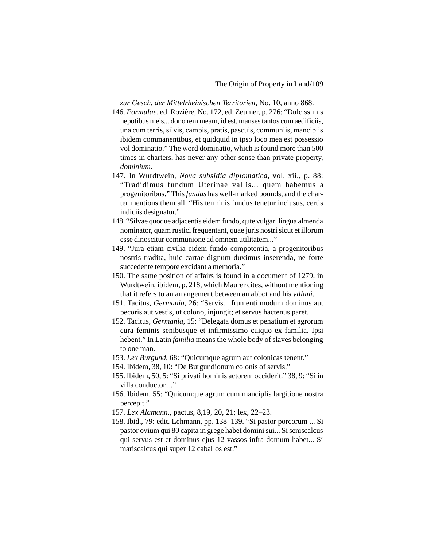*zur Gesch. der Mittelrheinischen Territorien*, No. 10, anno 868.

- 146. *Formulae*, ed. Rozière, No. 172, ed. Zeumer, p. 276: "Dulcissimis nepotibus meis... dono rem meam, id est, manses tantos cum aedificiis, una cum terris, silvis, campis, pratis, pascuis, communiis, mancipiis ibidem commanentibus, et quidquid in ipso loco mea est possessio vol dominatio." The word dominatio, which is found more than 500 times in charters, has never any other sense than private property, *dominium*.
- 147. In Wurdtwein, *Nova subsidia diplomatica*, vol. xii., p. 88: "Tradidimus fundum Uterinae vallis... quem habemus a progenitoribus." This *fundus* has well-marked bounds, and the charter mentions them all. "His terminis fundus tenetur inclusus, certis indiciis designatur."
- 148. "Silvae quoque adjacentis eidem fundo, qute vulgari lingua almenda nominator, quam rustici frequentant, quae juris nostri sicut et illorum esse dinoscitur communione ad omnem utilitatem..."
- 149. "Jura etiam civilia eidem fundo compotentia, a progenitoribus nostris tradita, huic cartae dignum duximus inserenda, ne forte succedente tempore excidant a memoria."
- 150. The same position of affairs is found in a document of 1279, in Wurdtwein, ibidem, p. 218, which Maurer cites, without mentioning that it refers to an arrangement between an abbot and his *villani*.
- 151. Tacitus, *Germania*, 26: "Servis... frumenti modum dominus aut pecoris aut vestis, ut colono, injungit; et servus hactenus paret.
- 152. Tacitus, *Germania*, 15: "Delegata domus et penatium et agrorum cura feminis senibusque et infirmissimo cuiquo ex familia. Ipsi hebent." In Latin *familia* means the whole body of slaves belonging to one man.
- 153. *Lex Burgund*, 68: "Quicumque agrum aut colonicas tenent."
- 154. Ibidem, 38, 10: "De Burgundionum colonis of servis."
- 155. Ibidem, 50, 5: "Si privati hominis actorem occiderit." 38, 9: "Si in villa conductor...."
- 156. Ibidem, 55: "Quicumque agrum cum manciplis largitione nostra percepit."
- 157. *Lex Alamann*., pactus, 8,19, 20, 21; lex, 22–23.
- 158. Ibid., 79: edit. Lehmann, pp. 138–139. "Si pastor porcorum ... Si pastor ovium qui 80 capita in grege habet domini sui... Si seniscalcus qui servus est et dominus ejus 12 vassos infra domum habet... Si mariscalcus qui super 12 caballos est."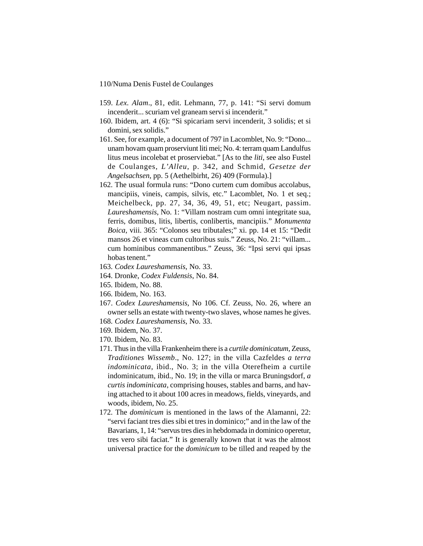- 159. *Lex. Alam*., 81, edit. Lehmann, 77, p. 141: "Si servi domum incenderit... scuriam vel graneam servi si incenderit."
- 160. Ibidem, art. 4 (6): "Si spicariam servi incenderit, 3 solidis; et si domini, sex solidis."
- 161. See, for example, a document of 797 in Lacomblet, No. 9: "Dono... unam hovam quam proserviunt liti mei; No. 4: terram quam Landulfus litus meus incolebat et proserviebat." [As to the *liti*, see also Fustel de Coulanges, *L'Alleu*, p. 342, and Schmid, *Gesetze der Angelsachsen*, pp. 5 (Aethelbirht, 26) 409 (Formula).]
- 162. The usual formula runs: "Dono curtem cum domibus accolabus, mancipiis, vineis, campis, silvis, etc." Lacomblet, No. 1 et seq.; Meichelbeck, pp. 27, 34, 36, 49, 51, etc; Neugart, passim. *Laureshamensis*, No. 1: "Villam nostram cum omni integritate sua, ferris, domibus, litis, libertis, conlibertis, mancipiis." *Monumenta Boica*, viii. 365: "Colonos seu tributales;" xi. pp. 14 et 15: "Dedit mansos 26 et vineas cum cultoribus suis." Zeuss, No. 21: "villam... cum hominibus commanentibus." Zeuss, 36: "Ipsi servi qui ipsas hobas tenent."
- 163. *Codex Laureshamensis*, No. 33.
- 164. Dronke, *Codex Fuldensis*, No. 84.
- 165. Ibidem, No. 88.
- 166. Ibidem, No. 163.
- 167. *Codex Laureshamensis*, No 106. Cf. Zeuss, No. 26, where an owner sells an estate with twenty-two slaves, whose names he gives.
- 168. *Codex Laureshamensis*, No. 33.
- 169. Ibidem, No. 37.
- 170. Ibidem, No. 83.
- 171. Thus in the villa Frankenheim there is a *curtile dominicatum*, Zeuss, *Traditiones Wissemb*., No. 127; in the villa Cazfeldes *a terra indominicata*, ibid., No. 3; in the villa Oterefheim a curtile indominicatum, ibid., No. 19; in the villa or marca Bruningsdorf, *a curtis indominicata*, comprising houses, stables and barns, and having attached to it about 100 acres in meadows, fields, vineyards, and woods, ibidem, No. 25.
- 172. The *dominicum* is mentioned in the laws of the Alamanni, 22: "servi faciant tres dies sibi et tres in dominico;" and in the law of the Bavarians, 1, 14: "servus tres dies in hebdomada in dominico operetur, tres vero sibi faciat." It is generally known that it was the almost universal practice for the *dominicum* to be tilled and reaped by the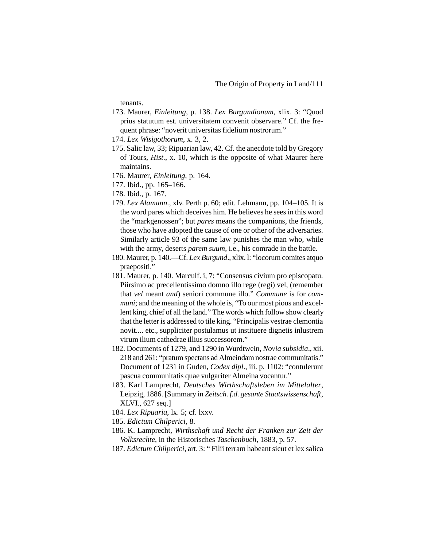tenants.

- 173. Maurer, *Einleitung*, p. 138. *Lex Burgundionum*, xlix. 3: "Quod prius statutum est. universitatem convenit observare." Cf. the frequent phrase: "noverit universitas fidelium nostrorum."
- 174. *Lex Wisigothorum*, x. 3, 2.
- 175. Salic law, 33; Ripuarian law, 42. Cf. the anecdote told by Gregory of Tours, *Hist*., x. 10, which is the opposite of what Maurer here maintains.
- 176. Maurer, *Einleitung*, p. 164.
- 177. Ibid., pp. 165–166.
- 178. Ibid., p. 167.
- 179. *Lex Alamann*., xlv. Perth p. 60; edit. Lehmann, pp. 104–105. It is the word pares which deceives him. He believes he sees in this word the "markgenossen"; but *pares* means the companions, the friends, those who have adopted the cause of one or other of the adversaries. Similarly article 93 of the same law punishes the man who, while with the army, deserts *parem suum*, i.e., his comrade in the battle.
- 180. Maurer, p. 140.—Cf. *Lex Burgund*., xlix. l: "locorum comites atquo praepositi."
- 181. Maurer, p. 140. Marculf. i, 7: "Consensus civium pro episcopatu. Piirsimo ac precellentissimo domno illo rege (regi) vel, (remember that *vel* meant *and*) seniori commune illo." *Commune* is for *communi*; and the meaning of the whole is, "To our most pious and excellent king, chief of all the land." The words which follow show clearly that the letter is addressed to tile king. "Principalis vestrae clemontia novit.... etc., suppliciter postulamus ut instituere dignetis inlustrem virum ilium cathedrae illius successorem."
- 182. Documents of 1279, and 1290 in Wurdtwein, *Novia subsidia*., xii. 218 and 261: "pratum spectans ad Almeindam nostrae communitatis." Document of 1231 in Guden, *Codex dipl*., iii. p. 1102: "contulerunt pascua communitatis quae vulgariter Almeina vocantur."
- 183. Karl Lamprecht, *Deutsches Wirthschaftsleben im Mittelalter*, Leipzig, 1886. [Summary in *Zeitsch. f.d. gesante Staatswissenschaft*, XLVI., 627 seq.]
- 184. *Lex Ripuaria*, lx. 5; cf. lxxv.
- 185. *Edictum Chilperici*, 8.
- 186. K. Lamprecht, *Wirthschaft und Recht der Franken zur Zeit der Volksrechte*, in the Historisches *Taschenbuch*, 1883, p. 57.
- 187. *Edictum Chilperici*, art. 3: " Filii terram habeant sicut et lex salica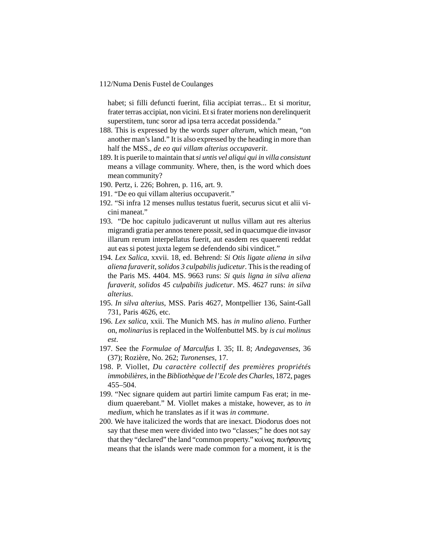habet; si filli defuncti fuerint, filia accipiat terras... Et si moritur, frater terras accipiat, non vicini. Et si frater moriens non derelinquerit superstitem, tunc soror ad ipsa terra accedat possidenda."

- 188. This is expressed by the words *super alterum*, which mean, "on another man's land." It is also expressed by the heading in more than half the MSS., *de eo qui villam alterius occupaverit*.
- 189. It is puerile to maintain that *si untis vel aliqui qui in villa consistunt* means a village community. Where, then, is the word which does mean community?
- 190. Pertz, i. 226; Bohren, p. 116, art. 9.
- 191. "De eo qui villam alterius occupaverit."
- 192. "Si infra 12 menses nullus testatus fuerit, securus sicut et alii vicini maneat."
- 193. "De hoc capitulo judicaverunt ut nullus villam aut res alterius migrandi gratia per annos tenere possit, sed in quacumque die invasor illarum rerum interpellatus fuerit, aut easdem res quaerenti reddat aut eas si potest juxta legem se defendendo sibi vindicet."
- 194. *Lex Salica*, xxvii. 18, ed. Behrend: *Si Otis ligate aliena in silva aliena furaverit, solidos 3 culpabilis judicetur*. This is the reading of the Paris MS. 4404. MS. 9663 runs: *Si quis ligna in silva aliena furaverit, solidos 45 culpabilis judicetur*. MS. 4627 runs: *in silva alterius*.
- 195. *In silva alterius*, MSS. Paris 4627, Montpellier 136, Saint-Gall 731, Paris 4626, etc.
- 196. *Lex salica*, xxii. The Munich MS. has *in mulino alieno*. Further on, *molinarius* is replaced in the Wolfenbuttel MS. by *is cui molinus est*.
- 197. See the *Formulae of Marculfus* I. 35; II. 8; *Andegavenses*, 36 (37); Rozière, No. 262; *Turonenses*, 17.
- 198. P. Viollet, *Du caractère collectif des premières propriétés immobilières*, in the *Bibliothèque de l'Ecole des Charles*, 1872, pages 455–504.
- 199. "Nec signare quidem aut partiri limite campum Fas erat; in medium quaerebant." M. Viollet makes a mistake, however, as to *in medium*, which he translates as if it was *in commune*.
- 200. We have italicized the words that are inexact. Diodorus does not say that these men were divided into two "classes;" he does not say that they "declared" the land "common property." κοίνας ποιήσαντες means that the islands were made common for a moment, it is the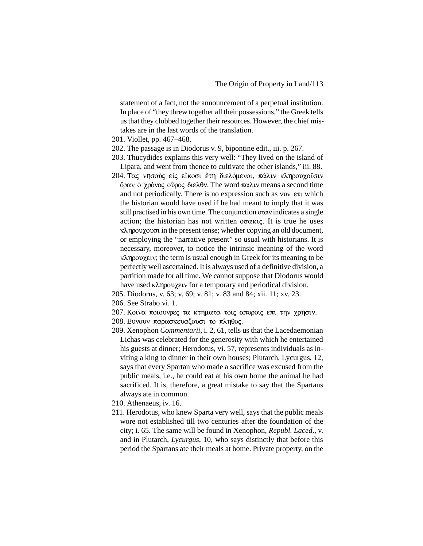statement of a fact, not the announcement of a perpetual institution. In place of "they threw together all their possessions," the Greek tells us that they clubbed together their resources. However, the chief mistakes are in the last words of the translation.

- 201. Viollet, pp. 467–468.
- 202. The passage is in Diodorus v. 9, bipontine edit., iii. p. 267.
- 203. Thucydides explains this very well: "They lived on the island of Lipara, and went from thence to cultivate the other islands," iii. 88.
- 204. Τας νησούς είς είκοσι έτη διελόμενοι, πάλιν κληρουχοίσιν  $\phi$  όραν ό χρόνος οδρος διελθν. The word παλιν means a second time and not periodically. There is no expression such as vov  $\epsilon\tau$ t which the historian would have used if he had meant to imply that it was still practised in his own time. The conjunction  $\sigma \alpha v$  indicates a single action; the historian has not written  $\sigma \sigma \alpha \kappa \iota \zeta$ . It is true he uses  $\kappa\lambda$ ηρουχουσι in the present tense; whether copying an old document, or employing the "narrative present" so usual with historians. It is necessary, moreover, to notice the intrinsic meaning of the word  $\kappa\lambda$ ηρουχειν; the term is usual enough in Greek for its meaning to be perfectly well ascertained. It is always used of a definitive division, a partition made for all time. We cannot suppose that Diodorus would have used κληρουχειν for a temporary and periodical division.
- 205. Diodorus, v. 63; v. 69; v. 81; v. 83 and 84; xii. 11; xv. 23.
- 206. See Strabo vi. 1.
- $207$ . Κοινα ποιουνρες τα κτηματα τοις αποροις επι την χρησιν.
- 208. Ευνουν παρασκευαζουσι το πληθος.
- 209. Xenophon *Commentarii*, i. 2, 61, tells us that the Lacedaemonian Lichas was celebrated for the generosity with which he entertained his guests at dinner; Herodotus, vi. 57, represents individuals as inviting a king to dinner in their own houses; Plutarch, Lycurgus, 12, says that every Spartan who made a sacrifice was excused from the public meals, i.e., he could eat at his own home the animal he had sacrificed. It is, therefore, a great mistake to say that the Spartans always ate in common.
- 210. Athenaeus, iv. 16.
- 211. Herodotus, who knew Sparta very well, says that the public meals wore not established till two centuries after the foundation of the city; i. 65. The same will be found in Xenophon, *Republ. Laced*., v. and in Plutarch, *Lycurgus*, 10, who says distinctly that before this period the Spartans ate their meals at home. Private property, on the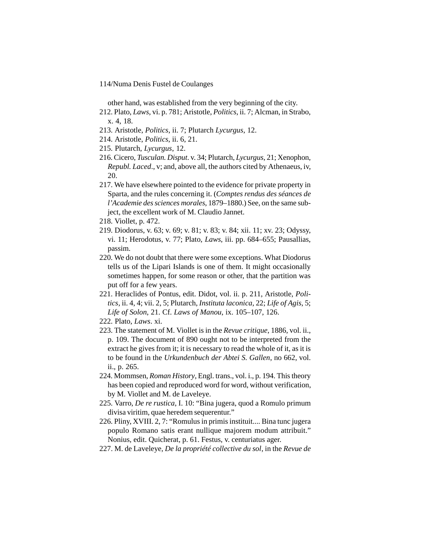other hand, was established from the very beginning of the city.

- 212. Plato, *Laws*, vi. p. 781; Aristotle, *Politics*, ii. 7; Alcman, in Strabo, x. 4, 18.
- 213. Aristotle, *Politics*, ii. 7; Plutarch *Lycurgus*, 12.
- 214. Aristotle, *Politics*, ii. 6, 21.
- 215. Plutarch, *Lycurgus*, 12.
- 216. Cicero, *Tusculan. Disput*. v. 34; Plutarch, *Lycurgus*, 21; Xenophon, *Republ. Laced*., v; and, above all, the authors cited by Athenaeus, iv, 20.
- 217. We have elsewhere pointed to the evidence for private property in Sparta, and the rules concerning it. (*Comptes rendus des séances de l'Academie des sciences morales*, 1879–1880.) See, on the same subject, the excellent work of M. Claudio Jannet.
- 218. Viollet, p. 472.
- 219. Diodorus, v. 63; v. 69; v. 81; v. 83; v. 84; xii. 11; xv. 23; Odyssy, vi. 11; Herodotus, v. 77; Plato, *Laws*, iii. pp. 684–655; Pausallias, passim.
- 220. We do not doubt that there were some exceptions. What Diodorus tells us of the Lipari Islands is one of them. It might occasionally sometimes happen, for some reason or other, that the partition was put off for a few years.
- 221. Heraclides of Pontus, edit. Didot, vol. ii. p. 211, Aristotle, *Politics*, ii. 4, 4; vii. 2, 5; Plutarch, *Instituta laconica*, 22; *Life of Agis*, 5; *Life of Solon*, 21. Cf. *Laws of Manou*, ix. 105–107, 126.
- 222. Plato, *Laws*. xi.
- 223. The statement of M. Viollet is in the *Revue critique*, 1886, vol. ii., p. 109. The document of 890 ought not to be interpreted from the extract he gives from it; it is necessary to read the whole of it, as it is to be found in the *Urkundenbuch der Abtei S. Gallen*, no 662, vol. ii., p. 265.
- 224. Mommsen, *Roman History*, Engl. trans., vol. i., p. 194. This theory has been copied and reproduced word for word, without verification, by M. Viollet and M. de Laveleye.
- 225. Varro, *De re rustica*, I. 10: "Bina jugera, quod a Romulo primum divisa viritim, quae heredem sequerentur."
- 226. Pliny, XVIII. 2, 7: "Romulus in primis instituit.... Bina tunc jugera populo Romano satis erant nullique majorem modum attribuit." Nonius, edit. Quicherat, p. 61. Festus, v. centuriatus ager.
- 227. M. de Laveleye, *De la propriété collective du sol*, in the *Revue de*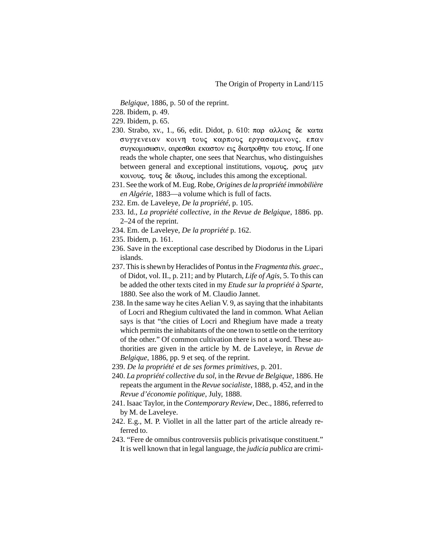*Belgique*, 1886, p. 50 of the reprint.

228. Ibidem, p. 49.

229. Ibidem, p. 65.

- 230. Strabo, xv., 1., 66, edit. Didot, p. 610: παρ αλλοις δε κατα συγγενειαν κοινη τους καρπους εργασαμενονς, επαν συγκομισωσιν, αιρεσθαι εκαστον εις διατροθην του ετους. If one reads the whole chapter, one sees that Nearchus, who distinguishes between general and exceptional institutions,  $v \circ \omega$ ,  $\rho \circ \omega$ ,  $\mu \varepsilon v$ κοινους, τους δε ιδιους, includes this among the exceptional.
- 231. See the work of M. Eug. Robe, *Origines de la propriété immobilière en Algérie*, 1883—a volume which is full of facts.
- 232. Em. de Laveleye, *De la propriété*, p. 105.
- 233. Id., *La propriété collective, in the Revue de Belgique*, 1886. pp. 2–24 of the reprint.
- 234. Em. de Laveleye, *De la propriété* p. 162.
- 235. Ibidem, p. 161.
- 236. Save in the exceptional case described by Diodorus in the Lipari islands.
- 237. This is shewn by Heraclides of Pontus in the *Fragmenta this. graec*., of Didot, vol. II., p. 211; and by Plutarch, *Life of Agis*, 5. To this can be added the other texts cited in my *Etude sur la propriété à Sparte*, 1880. See also the work of M. Claudio Jannet.
- 238. In the same way he cites Aelian V. 9, as saying that the inhabitants of Locri and Rhegium cultivated the land in common. What Aelian says is that "the cities of Locri and Rhegium have made a treaty which permits the inhabitants of the one town to settle on the territory of the other." Of common cultivation there is not a word. These authorities are given in the article by M. de Laveleye, in *Revue de Belgique*, 1886, pp. 9 et seq. of the reprint.
- 239. *De la propriété et de ses formes primitives*, p. 201.
- 240. *La propriété collective du sol*, in the *Revue de Belgique*, 1886. He repeats the argument in the *Revue socialiste*, 1888, p. 452, and in the *Revue d'économie politique*, July, 1888.
- 241. Isaac Taylor, in the *Contemporary Review*, Dec., 1886, referred to by M. de Laveleye.
- 242. E.g., M. P. Viollet in all the latter part of the article already referred to.
- 243. "Fere de omnibus controversiis publicis privatisque constituent." It is well known that in legal language, the *judicia publica* are crimi-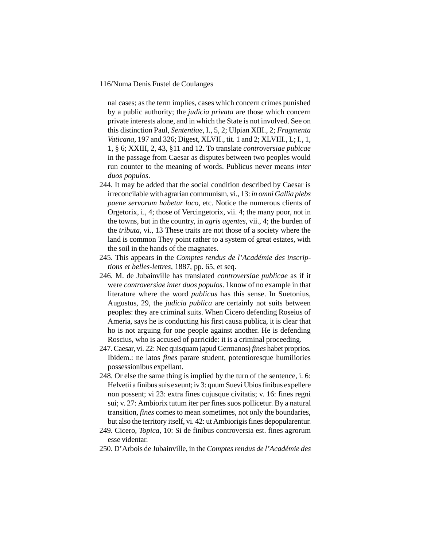nal cases; as the term implies, cases which concern crimes punished by a public authority; the *judicia privata* are those which concern private interests alone, and in which the State is not involved. See on this distinction Paul, *Sententiae*, I., 5, 2; Ulpian XIII., 2; *Fragmenta Vaticana*, 197 and 326; Digest, XLVII., tit. 1 and 2; XLVIII., L; I., 1, 1, § 6; XXIII, 2, 43, §11 and 12. To translate *controversiae pubicae* in the passage from Caesar as disputes between two peoples would run counter to the meaning of words. Publicus never means *inter duos populos*.

- 244. It may be added that the social condition described by Caesar is irreconcilable with agrarian communism, vi., 13: *in omni Gallia plebs paene servorum habetur loco*, etc. Notice the numerous clients of Orgetorix, i., 4; those of Vercingetorix, vii. 4; the many poor, not in the towns, but in the country, in *agris agentes*, vii., 4; the burden of the *tributa*, vi., 13 These traits are not those of a society where the land is common They point rather to a system of great estates, with the soil in the hands of the magnates.
- 245. This appears in the *Comptes rendus de l'Académie des inscriptions et belles-lettres*, 1887, pp. 65, et seq.
- 246. M. de Jubainville has translated *controversiae publicae* as if it were *controversiae inter duos populos*. I know of no example in that literature where the word *publicus* has this sense. In Suetonius, Augustus, 29, the *judicia publica* are certainly not suits between peoples: they are criminal suits. When Cicero defending Roseius of Ameria, says he is conducting his first causa publica, it is clear that ho is not arguing for one people against another. He is defending Roscius, who is accused of parricide: it is a criminal proceeding.
- 247. Caesar, vi. 22: Nec quisquam (apud Germanos) *fines* habet proprios. Ibidem.: ne latos *fines* parare student, potentioresque humiliories possessionibus expellant.
- 248. Or else the same thing is implied by the turn of the sentence, i. 6: Helvetii a finibus suis exeunt; iv 3: quum Suevi Ubios finibus expellere non possent; vi 23: extra fines cujusque civitatis; v. 16: fines regni sui; v. 27: Ambiorix tutum iter per fines suos pollicetur. By a natural transition, *fines* comes to mean sometimes, not only the boundaries, but also the territory itself, vi. 42: ut Ambiorigis fines depopularentur.
- 249. Cicero, *Topica*, 10: Si de finibus controversia est. fines agrorum esse videntar.
- 250. D'Arbois de Jubainville, in the *Comptes rendus de l'Académie des*